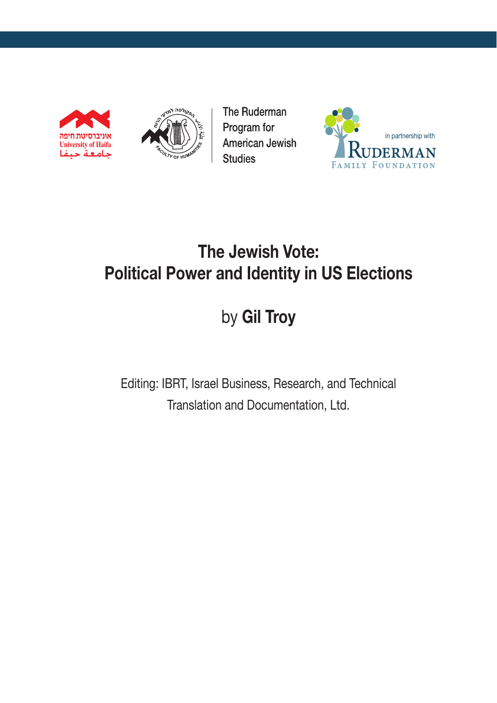



The Ruderman Program for **American Jewish Studies** 



# **The Jewish Vote: Political Power and Identity in US Elections**

# by **Gil Troy**

Editing: IBRT, Israel Business, Research, and Technical Translation and Documentation, Ltd.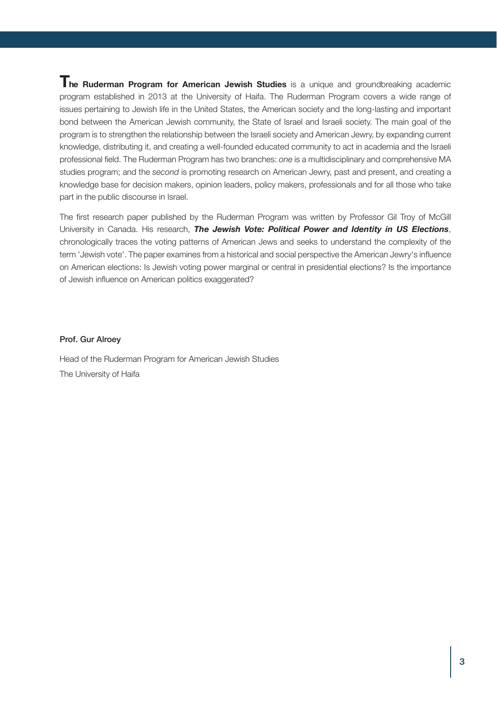**The Ruderman Program for American Jewish Studies** is a unique and groundbreaking academic program established in 2013 at the University of Haifa. The Ruderman Program covers a wide range of issues pertaining to Jewish life in the United States, the American society and the long-lasting and important bond between the American Jewish community, the State of Israel and Israeli society. The main goal of the program is to strengthen the relationship between the Israeli society and American Jewry, by expanding current knowledge, distributing it, and creating a well-founded educated community to act in academia and the Israeli professional field. The Ruderman Program has two branches: *one* is a multidisciplinary and comprehensive MA studies program; and the *second* is promoting research on American Jewry, past and present, and creating a knowledge base for decision makers, opinion leaders, policy makers, professionals and for all those who take part in the public discourse in Israel.

The first research paper published by the Ruderman Program was written by Professor Gil Troy of McGill University in Canada. His research, *The Jewish Vote: Political Power and Identity in US Elections*, chronologically traces the voting patterns of American Jews and seeks to understand the complexity of the term 'Jewish vote'. The paper examines from a historical and social perspective the American Jewry's influence on American elections: Is Jewish voting power marginal or central in presidential elections? Is the importance of Jewish influence on American politics exaggerated?

#### Prof. Gur Alroey

Head of the Ruderman Program for American Jewish Studies The University of Haifa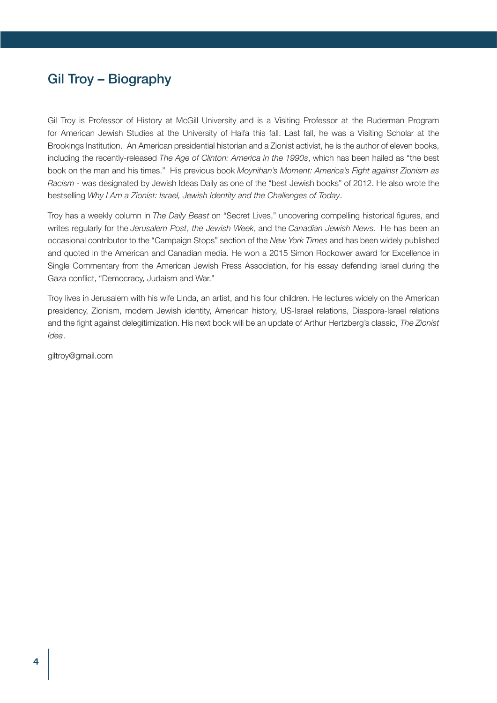# Gil Troy – Biography

Gil Troy is Professor of History at McGill University and is a Visiting Professor at the Ruderman Program for American Jewish Studies at the University of Haifa this fall. Last fall, he was a Visiting Scholar at the Brookings Institution. An American presidential historian and a Zionist activist, he is the author of eleven books, including the recently-released *The Age of Clinton: America in the 1990s*, which has been hailed as "the best book on the man and his times." His previous book *Moynihan's Moment: America's Fight against Zionism as Racism* - was designated by Jewish Ideas Daily as one of the "best Jewish books" of 2012. He also wrote the bestselling *Why I Am a Zionist: Israel, Jewish Identity and the Challenges of Today*.

Troy has a weekly column in *The Daily Beast* on "Secret Lives," uncovering compelling historical figures, and writes regularly for the *Jerusalem Post*, *the Jewish Week*, and the *Canadian Jewish News*. He has been an occasional contributor to the "Campaign Stops" section of the *New York Times* and has been widely published and quoted in the American and Canadian media. He won a 2015 Simon Rockower award for Excellence in Single Commentary from the American Jewish Press Association, for his essay defending Israel during the Gaza conflict, "Democracy, Judaism and War."

Troy lives in Jerusalem with his wife Linda, an artist, and his four children. He lectures widely on the American presidency, Zionism, modern Jewish identity, American history, US-Israel relations, Diaspora-Israel relations and the fight against delegitimization. His next book will be an update of Arthur Hertzberg's classic, *The Zionist Idea*.

giltroy@gmail.com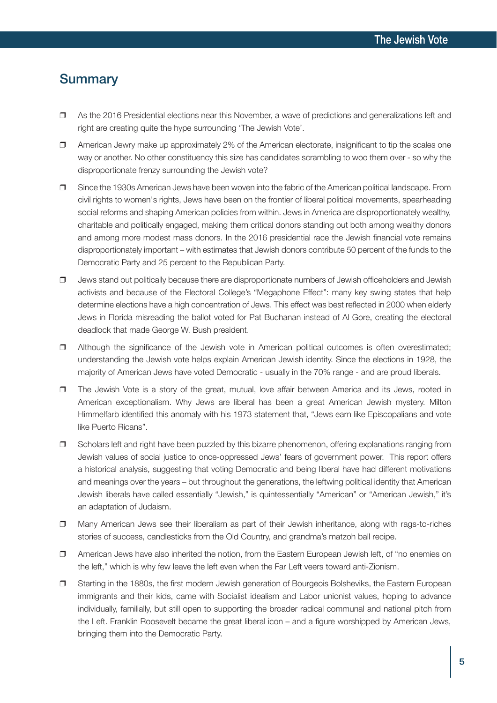#### **Summary**

- $\Box$  As the 2016 Presidential elections near this November, a wave of predictions and generalizations left and right are creating quite the hype surrounding 'The Jewish Vote'.
- $\Box$  American Jewry make up approximately 2% of the American electorate, insignificant to tip the scales one way or another. No other constituency this size has candidates scrambling to woo them over - so why the disproportionate frenzy surrounding the Jewish vote?
- $\Box$  Since the 1930s American Jews have been woven into the fabric of the American political landscape. From civil rights to women's rights, Jews have been on the frontier of liberal political movements, spearheading social reforms and shaping American policies from within. Jews in America are disproportionately wealthy, charitable and politically engaged, making them critical donors standing out both among wealthy donors and among more modest mass donors. In the 2016 presidential race the Jewish financial vote remains disproportionately important – with estimates that Jewish donors contribute 50 percent of the funds to the Democratic Party and 25 percent to the Republican Party.
- $\Box$  Jews stand out politically because there are disproportionate numbers of Jewish officeholders and Jewish activists and because of the Electoral College's "Megaphone Effect": many key swing states that help determine elections have a high concentration of Jews. This effect was best reflected in 2000 when elderly Jews in Florida misreading the ballot voted for Pat Buchanan instead of Al Gore, creating the electoral deadlock that made George W. Bush president.
- $\Box$  Although the significance of the Jewish vote in American political outcomes is often overestimated; understanding the Jewish vote helps explain American Jewish identity. Since the elections in 1928, the majority of American Jews have voted Democratic - usually in the 70% range - and are proud liberals.
- $\Box$  The Jewish Vote is a story of the great, mutual, love affair between America and its Jews, rooted in American exceptionalism. Why Jews are liberal has been a great American Jewish mystery. Milton Himmelfarb identified this anomaly with his 1973 statement that, "Jews earn like Episcopalians and vote like Puerto Ricans".
- $\Box$  Scholars left and right have been puzzled by this bizarre phenomenon, offering explanations ranging from Jewish values of social justice to once-oppressed Jews' fears of government power. This report offers a historical analysis, suggesting that voting Democratic and being liberal have had different motivations and meanings over the years – but throughout the generations, the leftwing political identity that American Jewish liberals have called essentially "Jewish," is quintessentially "American" or "American Jewish," it's an adaptation of Judaism.
- $\Box$  Many American Jews see their liberalism as part of their Jewish inheritance, along with rags-to-riches stories of success, candlesticks from the Old Country, and grandma's matzoh ball recipe.
- $\Box$  American Jews have also inherited the notion, from the Eastern European Jewish left, of "no enemies on the left," which is why few leave the left even when the Far Left veers toward anti-Zionism.
- $\Box$  Starting in the 1880s, the first modern Jewish generation of Bourgeois Bolsheviks, the Eastern European immigrants and their kids, came with Socialist idealism and Labor unionist values, hoping to advance individually, familially, but still open to supporting the broader radical communal and national pitch from the Left. Franklin Roosevelt became the great liberal icon – and a figure worshipped by American Jews, bringing them into the Democratic Party.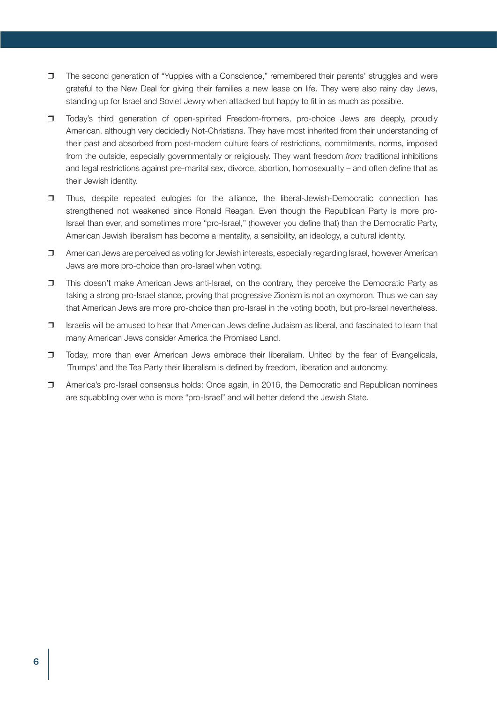- $\Box$  The second generation of "Yuppies with a Conscience," remembered their parents' struggles and were grateful to the New Deal for giving their families a new lease on life. They were also rainy day Jews, standing up for Israel and Soviet Jewry when attacked but happy to fit in as much as possible.
- r Today's third generation of open-spirited Freedom-fromers, pro-choice Jews are deeply, proudly American, although very decidedly Not-Christians. They have most inherited from their understanding of their past and absorbed from post-modern culture fears of restrictions, commitments, norms, imposed from the outside, especially governmentally or religiously. They want freedom *from* traditional inhibitions and legal restrictions against pre-marital sex, divorce, abortion, homosexuality – and often define that as their Jewish identity.
- $\Box$  Thus, despite repeated eulogies for the alliance, the liberal-Jewish-Democratic connection has strengthened not weakened since Ronald Reagan. Even though the Republican Party is more pro-Israel than ever, and sometimes more "pro-Israel," (however you define that) than the Democratic Party, American Jewish liberalism has become a mentality, a sensibility, an ideology, a cultural identity.
- $\Box$  American Jews are perceived as voting for Jewish interests, especially regarding Israel, however American Jews are more pro-choice than pro-Israel when voting.
- $\Box$  This doesn't make American Jews anti-Israel, on the contrary, they perceive the Democratic Party as taking a strong pro-Israel stance, proving that progressive Zionism is not an oxymoron. Thus we can say that American Jews are more pro-choice than pro-Israel in the voting booth, but pro-Israel nevertheless.
- $\Box$  Israelis will be amused to hear that American Jews define Judaism as liberal, and fascinated to learn that many American Jews consider America the Promised Land.
- **T** Today, more than ever American Jews embrace their liberalism. United by the fear of Evangelicals, 'Trumps' and the Tea Party their liberalism is defined by freedom, liberation and autonomy.
- r America's pro-Israel consensus holds: Once again, in 2016, the Democratic and Republican nominees are squabbling over who is more "pro-Israel" and will better defend the Jewish State.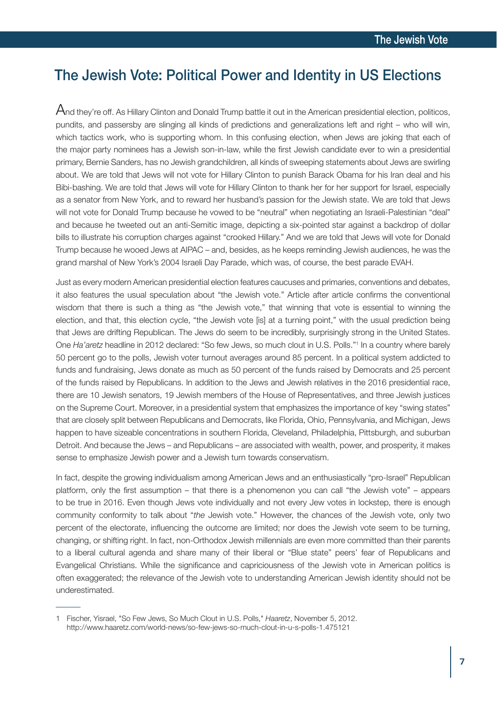# The Jewish Vote: Political Power and Identity in US Elections

 $A$ nd thev're off. As Hillary Clinton and Donald Trump battle it out in the American presidential election, politicos, pundits, and passersby are slinging all kinds of predictions and generalizations left and right – who will win, which tactics work, who is supporting whom. In this confusing election, when Jews are joking that each of the major party nominees has a Jewish son-in-law, while the first Jewish candidate ever to win a presidential primary, Bernie Sanders, has no Jewish grandchildren, all kinds of sweeping statements about Jews are swirling about. We are told that Jews will not vote for Hillary Clinton to punish Barack Obama for his Iran deal and his Bibi-bashing. We are told that Jews will vote for Hillary Clinton to thank her for her support for Israel, especially as a senator from New York, and to reward her husband's passion for the Jewish state. We are told that Jews will not vote for Donald Trump because he vowed to be "neutral" when negotiating an Israeli-Palestinian "deal" and because he tweeted out an anti-Semitic image, depicting a six-pointed star against a backdrop of dollar bills to illustrate his corruption charges against "crooked Hillary." And we are told that Jews will vote for Donald Trump because he wooed Jews at AIPAC – and, besides, as he keeps reminding Jewish audiences, he was the grand marshal of New York's 2004 Israeli Day Parade, which was, of course, the best parade EVAH.

Just as every modern American presidential election features caucuses and primaries, conventions and debates, it also features the usual speculation about "the Jewish vote." Article after article confirms the conventional wisdom that there is such a thing as "the Jewish vote," that winning that vote is essential to winning the election, and that, this election cycle, "the Jewish vote [is] at a turning point," with the usual prediction being that Jews are drifting Republican. The Jews do seem to be incredibly, surprisingly strong in the United States. One *Ha'aretz* headline in 2012 declared: "So few Jews, so much clout in U.S. Polls."1 In a country where barely 50 percent go to the polls, Jewish voter turnout averages around 85 percent. In a political system addicted to funds and fundraising, Jews donate as much as 50 percent of the funds raised by Democrats and 25 percent of the funds raised by Republicans. In addition to the Jews and Jewish relatives in the 2016 presidential race, there are 10 Jewish senators, 19 Jewish members of the House of Representatives, and three Jewish justices on the Supreme Court. Moreover, in a presidential system that emphasizes the importance of key "swing states" that are closely split between Republicans and Democrats, like Florida, Ohio, Pennsylvania, and Michigan, Jews happen to have sizeable concentrations in southern Florida, Cleveland, Philadelphia, Pittsburgh, and suburban Detroit. And because the Jews – and Republicans – are associated with wealth, power, and prosperity, it makes sense to emphasize Jewish power and a Jewish turn towards conservatism.

In fact, despite the growing individualism among American Jews and an enthusiastically "pro-Israel" Republican platform, only the first assumption – that there is a phenomenon you can call "the Jewish vote" – appears to be true in 2016. Even though Jews vote individually and not every Jew votes in lockstep, there is enough community conformity to talk about "*the* Jewish vote." However, the chances of the Jewish vote, only two percent of the electorate, influencing the outcome are limited; nor does the Jewish vote seem to be turning, changing, or shifting right. In fact, non-Orthodox Jewish millennials are even more committed than their parents to a liberal cultural agenda and share many of their liberal or "Blue state" peers' fear of Republicans and Evangelical Christians. While the significance and capriciousness of the Jewish vote in American politics is often exaggerated; the relevance of the Jewish vote to understanding American Jewish identity should not be underestimated.

<sup>1</sup> Fischer, Yisrael, "So Few Jews, So Much Clout in U.S. Polls," *Haaretz*, November 5, 2012. http://www.haaretz.com/world-news/so-few-jews-so-much-clout-in-u-s-polls-1.475121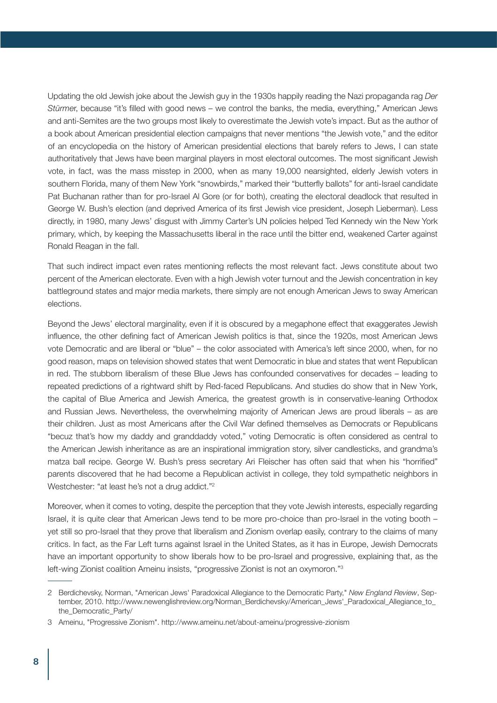Updating the old Jewish joke about the Jewish guy in the 1930s happily reading the Nazi propaganda rag *Der Stürme*r, because "it's filled with good news – we control the banks, the media, everything," American Jews and anti-Semites are the two groups most likely to overestimate the Jewish vote's impact. But as the author of a book about American presidential election campaigns that never mentions "the Jewish vote," and the editor of an encyclopedia on the history of American presidential elections that barely refers to Jews, I can state authoritatively that Jews have been marginal players in most electoral outcomes. The most significant Jewish vote, in fact, was the mass misstep in 2000, when as many 19,000 nearsighted, elderly Jewish voters in southern Florida, many of them New York "snowbirds," marked their "butterfly ballots" for anti-Israel candidate Pat Buchanan rather than for pro-Israel Al Gore (or for both), creating the electoral deadlock that resulted in George W. Bush's election (and deprived America of its first Jewish vice president, Joseph Lieberman). Less directly, in 1980, many Jews' disgust with Jimmy Carter's UN policies helped Ted Kennedy win the New York primary, which, by keeping the Massachusetts liberal in the race until the bitter end, weakened Carter against Ronald Reagan in the fall.

That such indirect impact even rates mentioning reflects the most relevant fact. Jews constitute about two percent of the American electorate. Even with a high Jewish voter turnout and the Jewish concentration in key battleground states and major media markets, there simply are not enough American Jews to sway American elections.

Beyond the Jews' electoral marginality, even if it is obscured by a megaphone effect that exaggerates Jewish influence, the other defining fact of American Jewish politics is that, since the 1920s, most American Jews vote Democratic and are liberal or "blue" – the color associated with America's left since 2000, when, for no good reason, maps on television showed states that went Democratic in blue and states that went Republican in red. The stubborn liberalism of these Blue Jews has confounded conservatives for decades – leading to repeated predictions of a rightward shift by Red-faced Republicans. And studies do show that in New York, the capital of Blue America and Jewish America, the greatest growth is in conservative-leaning Orthodox and Russian Jews. Nevertheless, the overwhelming majority of American Jews are proud liberals – as are their children. Just as most Americans after the Civil War defined themselves as Democrats or Republicans "becuz that's how my daddy and granddaddy voted," voting Democratic is often considered as central to the American Jewish inheritance as are an inspirational immigration story, silver candlesticks, and grandma's matza ball recipe. George W. Bush's press secretary Ari Fleischer has often said that when his "horrified" parents discovered that he had become a Republican activist in college, they told sympathetic neighbors in Westchester: "at least he's not a drug addict."2

Moreover, when it comes to voting, despite the perception that they vote Jewish interests, especially regarding Israel, it is quite clear that American Jews tend to be more pro-choice than pro-Israel in the voting booth – yet still so pro-Israel that they prove that liberalism and Zionism overlap easily, contrary to the claims of many critics. In fact, as the Far Left turns against Israel in the United States, as it has in Europe, Jewish Democrats have an important opportunity to show liberals how to be pro-Israel and progressive, explaining that, as the left-wing Zionist coalition Ameinu insists, "progressive Zionist is not an oxymoron."3

<sup>2</sup> Berdichevsky, Norman, "American Jews' Paradoxical Allegiance to the Democratic Party," *New England Review*, September, 2010. http://www.newenglishreview.org/Norman\_Berdichevsky/American\_Jews'\_Paradoxical\_Allegiance\_to\_ the\_Democratic\_Party/

<sup>3</sup> Ameinu, "Progressive Zionism". http://www.ameinu.net/about-ameinu/progressive-zionism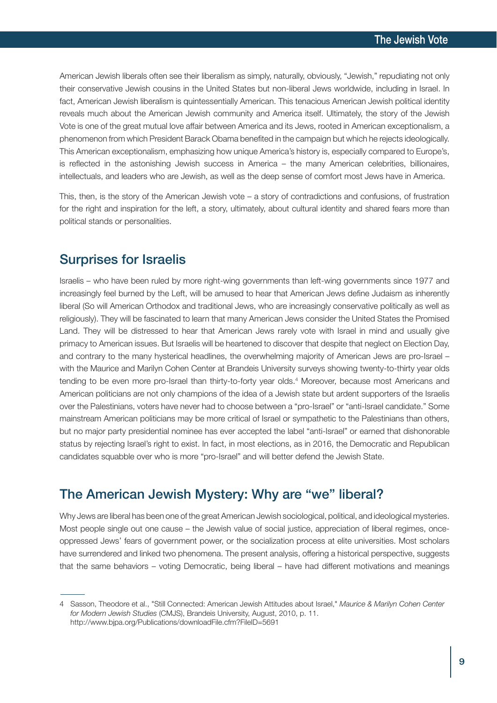American Jewish liberals often see their liberalism as simply, naturally, obviously, "Jewish," repudiating not only their conservative Jewish cousins in the United States but non-liberal Jews worldwide, including in Israel. In fact, American Jewish liberalism is quintessentially American. This tenacious American Jewish political identity reveals much about the American Jewish community and America itself. Ultimately, the story of the Jewish Vote is one of the great mutual love affair between America and its Jews, rooted in American exceptionalism, a phenomenon from which President Barack Obama benefited in the campaign but which he rejects ideologically. This American exceptionalism, emphasizing how unique America's history is, especially compared to Europe's, is reflected in the astonishing Jewish success in America – the many American celebrities, billionaires, intellectuals, and leaders who are Jewish, as well as the deep sense of comfort most Jews have in America.

This, then, is the story of the American Jewish vote – a story of contradictions and confusions, of frustration for the right and inspiration for the left, a story, ultimately, about cultural identity and shared fears more than political stands or personalities.

# Surprises for Israelis

Israelis – who have been ruled by more right-wing governments than left-wing governments since 1977 and increasingly feel burned by the Left, will be amused to hear that American Jews define Judaism as inherently liberal (So will American Orthodox and traditional Jews, who are increasingly conservative politically as well as religiously). They will be fascinated to learn that many American Jews consider the United States the Promised Land. They will be distressed to hear that American Jews rarely vote with Israel in mind and usually give primacy to American issues. But Israelis will be heartened to discover that despite that neglect on Election Day, and contrary to the many hysterical headlines, the overwhelming majority of American Jews are pro-Israel – with the Maurice and Marilyn Cohen Center at Brandeis University surveys showing twenty-to-thirty year olds tending to be even more pro-Israel than thirty-to-forty year olds. <sup>4</sup> Moreover, because most Americans and American politicians are not only champions of the idea of a Jewish state but ardent supporters of the Israelis over the Palestinians, voters have never had to choose between a "pro-Israel" or "anti-Israel candidate." Some mainstream American politicians may be more critical of Israel or sympathetic to the Palestinians than others, but no major party presidential nominee has ever accepted the label "anti-Israel" or earned that dishonorable status by rejecting Israel's right to exist. In fact, in most elections, as in 2016, the Democratic and Republican candidates squabble over who is more "pro-Israel" and will better defend the Jewish State.

# The American Jewish Mystery: Why are "we" liberal?

Why Jews are liberal has been one of the great American Jewish sociological, political, and ideological mysteries. Most people single out one cause – the Jewish value of social justice, appreciation of liberal regimes, onceoppressed Jews' fears of government power, or the socialization process at elite universities. Most scholars have surrendered and linked two phenomena. The present analysis, offering a historical perspective, suggests that the same behaviors – voting Democratic, being liberal – have had different motivations and meanings

<sup>4</sup> Sasson, Theodore et al., "Still Connected: American Jewish Attitudes about Israel," *Maurice & Marilyn Cohen Center for Modern Jewish Studies* (CMJS), Brandeis University, August, 2010, p. 11. http://www.bjpa.org/Publications/downloadFile.cfm?FileID=5691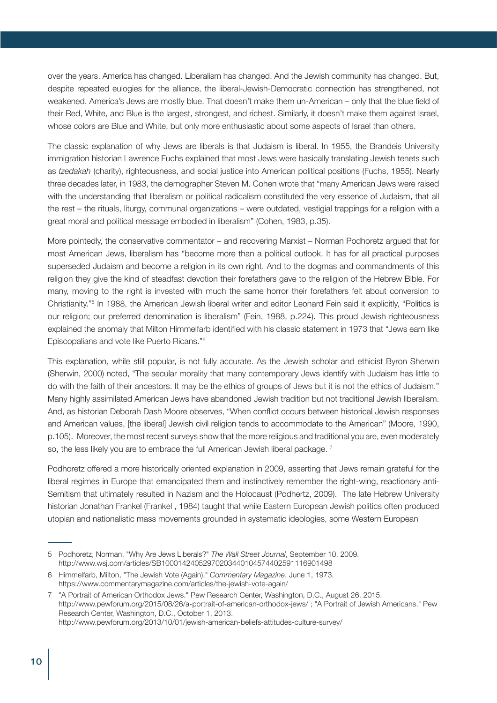over the years. America has changed. Liberalism has changed. And the Jewish community has changed. But, despite repeated eulogies for the alliance, the liberal-Jewish-Democratic connection has strengthened, not weakened. America's Jews are mostly blue. That doesn't make them un-American – only that the blue field of their Red, White, and Blue is the largest, strongest, and richest. Similarly, it doesn't make them against Israel, whose colors are Blue and White, but only more enthusiastic about some aspects of Israel than others.

The classic explanation of why Jews are liberals is that Judaism is liberal. In 1955, the Brandeis University immigration historian Lawrence Fuchs explained that most Jews were basically translating Jewish tenets such as *tzedakah* (charity), righteousness, and social justice into American political positions (Fuchs, 1955). Nearly three decades later, in 1983, the demographer Steven M. Cohen wrote that "many American Jews were raised with the understanding that liberalism or political radicalism constituted the very essence of Judaism, that all the rest – the rituals, liturgy, communal organizations – were outdated, vestigial trappings for a religion with a great moral and political message embodied in liberalism" (Cohen, 1983, p.35).

More pointedly, the conservative commentator – and recovering Marxist – Norman Podhoretz argued that for most American Jews, liberalism has "become more than a political outlook. It has for all practical purposes superseded Judaism and become a religion in its own right. And to the dogmas and commandments of this religion they give the kind of steadfast devotion their forefathers gave to the religion of the Hebrew Bible. For many, moving to the right is invested with much the same horror their forefathers felt about conversion to Christianity."<sup>5</sup> In 1988, the American Jewish liberal writer and editor Leonard Fein said it explicitly, "Politics is our religion; our preferred denomination is liberalism" (Fein, 1988, p.224). This proud Jewish righteousness explained the anomaly that Milton Himmelfarb identified with his classic statement in 1973 that "Jews earn like Episcopalians and vote like Puerto Ricans."6

This explanation, while still popular, is not fully accurate. As the Jewish scholar and ethicist Byron Sherwin (Sherwin, 2000) noted, "The secular morality that many contemporary Jews identify with Judaism has little to do with the faith of their ancestors. It may be the ethics of groups of Jews but it is not the ethics of Judaism." Many highly assimilated American Jews have abandoned Jewish tradition but not traditional Jewish liberalism. And, as historian Deborah Dash Moore observes, "When conflict occurs between historical Jewish responses and American values, [the liberal] Jewish civil religion tends to accommodate to the American" (Moore, 1990, p.105). Moreover, the most recent surveys show that the more religious and traditional you are, even moderately so, the less likely you are to embrace the full American Jewish liberal package.<sup>7</sup>

Podhoretz offered a more historically oriented explanation in 2009, asserting that Jews remain grateful for the liberal regimes in Europe that emancipated them and instinctively remember the right-wing, reactionary anti-Semitism that ultimately resulted in Nazism and the Holocaust (Podhertz, 2009). The late Hebrew University historian Jonathan Frankel (Frankel , 1984) taught that while Eastern European Jewish politics often produced utopian and nationalistic mass movements grounded in systematic ideologies, some Western European

<sup>5</sup> Podhoretz, Norman, "Why Are Jews Liberals?" *The Wall Street Journal*, September 10, 2009. http://www.wsj.com/articles/SB10001424052970203440104574402591116901498

<sup>6</sup> Himmelfarb, Milton, "The Jewish Vote (Again)," *Commentary Magazine*, June 1, 1973. https://www.commentarymagazine.com/articles/the-jewish-vote-again/

<sup>7</sup> "A Portrait of American Orthodox Jews." Pew Research Center, Washington, D.C., August 26, 2015. http://www.pewforum.org/2015/08/26/a-portrait-of-american-orthodox-jews/ ; "A Portrait of Jewish Americans." Pew Research Center, Washington, D.C., October 1, 2013. http://www.pewforum.org/2013/10/01/jewish-american-beliefs-attitudes-culture-survey/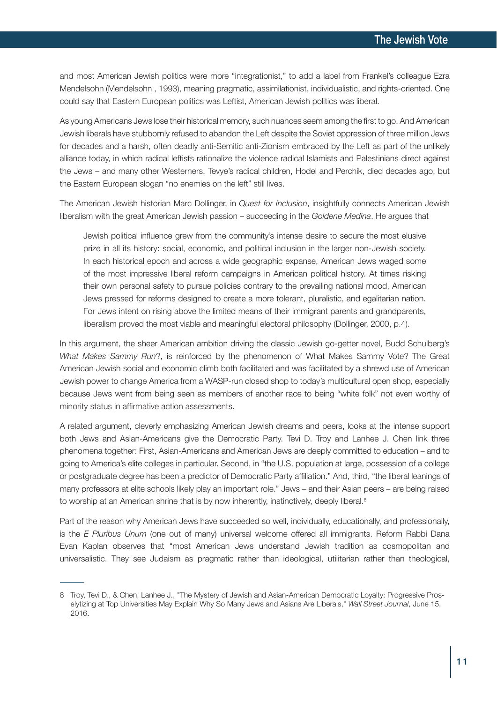and most American Jewish politics were more "integrationist," to add a label from Frankel's colleague Ezra Mendelsohn (Mendelsohn , 1993), meaning pragmatic, assimilationist, individualistic, and rights-oriented. One could say that Eastern European politics was Leftist, American Jewish politics was liberal.

As young Americans Jews lose their historical memory, such nuances seem among the first to go. And American Jewish liberals have stubbornly refused to abandon the Left despite the Soviet oppression of three million Jews for decades and a harsh, often deadly anti-Semitic anti-Zionism embraced by the Left as part of the unlikely alliance today, in which radical leftists rationalize the violence radical Islamists and Palestinians direct against the Jews – and many other Westerners. Tevye's radical children, Hodel and Perchik, died decades ago, but the Eastern European slogan "no enemies on the left" still lives.

The American Jewish historian Marc Dollinger, in *Quest for Inclusion*, insightfully connects American Jewish liberalism with the great American Jewish passion – succeeding in the *Goldene Medina*. He argues that

Jewish political influence grew from the community's intense desire to secure the most elusive prize in all its history: social, economic, and political inclusion in the larger non-Jewish society. In each historical epoch and across a wide geographic expanse, American Jews waged some of the most impressive liberal reform campaigns in American political history. At times risking their own personal safety to pursue policies contrary to the prevailing national mood, American Jews pressed for reforms designed to create a more tolerant, pluralistic, and egalitarian nation. For Jews intent on rising above the limited means of their immigrant parents and grandparents, liberalism proved the most viable and meaningful electoral philosophy (Dollinger, 2000, p.4).

In this argument, the sheer American ambition driving the classic Jewish go-getter novel, Budd Schulberg's *What Makes Sammy Run*?, is reinforced by the phenomenon of What Makes Sammy Vote? The Great American Jewish social and economic climb both facilitated and was facilitated by a shrewd use of American Jewish power to change America from a WASP-run closed shop to today's multicultural open shop, especially because Jews went from being seen as members of another race to being "white folk" not even worthy of minority status in affirmative action assessments.

A related argument, cleverly emphasizing American Jewish dreams and peers, looks at the intense support both Jews and Asian-Americans give the Democratic Party. Tevi D. Troy and Lanhee J. Chen link three phenomena together: First, Asian-Americans and American Jews are deeply committed to education – and to going to America's elite colleges in particular. Second, in "the U.S. population at large, possession of a college or postgraduate degree has been a predictor of Democratic Party affiliation." And, third, "the liberal leanings of many professors at elite schools likely play an important role." Jews – and their Asian peers – are being raised to worship at an American shrine that is by now inherently, instinctively, deeply liberal.<sup>8</sup>

Part of the reason why American Jews have succeeded so well, individually, educationally, and professionally, is the *E Pluribus Unum* (one out of many) universal welcome offered all immigrants. Reform Rabbi Dana Evan Kaplan observes that "most American Jews understand Jewish tradition as cosmopolitan and universalistic. They see Judaism as pragmatic rather than ideological, utilitarian rather than theological,

<sup>8</sup> Troy, Tevi D., & Chen, Lanhee J., "The Mystery of Jewish and Asian-American Democratic Loyalty: Progressive Proselytizing at Top Universities May Explain Why So Many Jews and Asians Are Liberals," *Wall Street Journal*, June 15, 2016.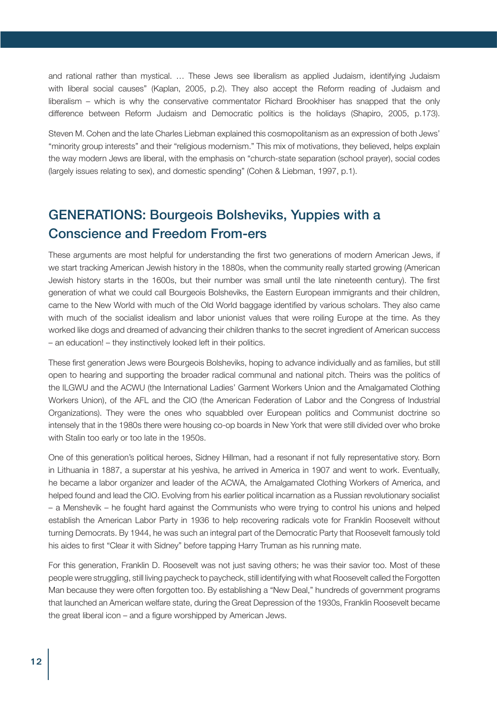and rational rather than mystical. … These Jews see liberalism as applied Judaism, identifying Judaism with liberal social causes" (Kaplan, 2005, p.2). They also accept the Reform reading of Judaism and liberalism – which is why the conservative commentator Richard Brookhiser has snapped that the only difference between Reform Judaism and Democratic politics is the holidays (Shapiro, 2005, p.173).

Steven M. Cohen and the late Charles Liebman explained this cosmopolitanism as an expression of both Jews' "minority group interests" and their "religious modernism." This mix of motivations, they believed, helps explain the way modern Jews are liberal, with the emphasis on "church-state separation (school prayer), social codes (largely issues relating to sex), and domestic spending" (Cohen & Liebman, 1997, p.1).

# GENERATIONS: Bourgeois Bolsheviks, Yuppies with a Conscience and Freedom From-ers

These arguments are most helpful for understanding the first two generations of modern American Jews, if we start tracking American Jewish history in the 1880s, when the community really started growing (American Jewish history starts in the 1600s, but their number was small until the late nineteenth century). The first generation of what we could call Bourgeois Bolsheviks, the Eastern European immigrants and their children, came to the New World with much of the Old World baggage identified by various scholars. They also came with much of the socialist idealism and labor unionist values that were roiling Europe at the time. As they worked like dogs and dreamed of advancing their children thanks to the secret ingredient of American success – an education! – they instinctively looked left in their politics.

These first generation Jews were Bourgeois Bolsheviks, hoping to advance individually and as families, but still open to hearing and supporting the broader radical communal and national pitch. Theirs was the politics of the ILGWU and the ACWU (the International Ladies' Garment Workers Union and the Amalgamated Clothing Workers Union), of the AFL and the CIO (the American Federation of Labor and the Congress of Industrial Organizations). They were the ones who squabbled over European politics and Communist doctrine so intensely that in the 1980s there were housing co-op boards in New York that were still divided over who broke with Stalin too early or too late in the 1950s.

One of this generation's political heroes, Sidney Hillman, had a resonant if not fully representative story. Born in Lithuania in 1887, a superstar at his yeshiva, he arrived in America in 1907 and went to work. Eventually, he became a labor organizer and leader of the ACWA, the Amalgamated Clothing Workers of America, and helped found and lead the CIO. Evolving from his earlier political incarnation as a Russian revolutionary socialist – a Menshevik – he fought hard against the Communists who were trying to control his unions and helped establish the American Labor Party in 1936 to help recovering radicals vote for Franklin Roosevelt without turning Democrats. By 1944, he was such an integral part of the Democratic Party that Roosevelt famously told his aides to first "Clear it with Sidney" before tapping Harry Truman as his running mate.

For this generation, Franklin D. Roosevelt was not just saving others; he was their savior too. Most of these people were struggling, still living paycheck to paycheck, still identifying with what Roosevelt called the Forgotten Man because they were often forgotten too. By establishing a "New Deal," hundreds of government programs that launched an American welfare state, during the Great Depression of the 1930s, Franklin Roosevelt became the great liberal icon – and a figure worshipped by American Jews.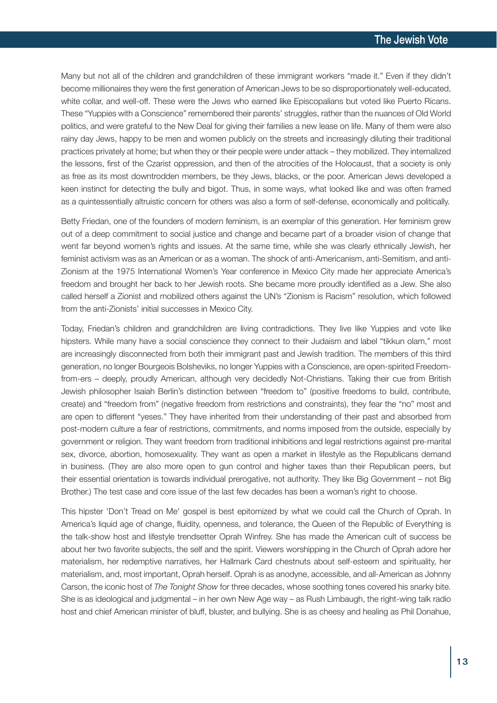Many but not all of the children and grandchildren of these immigrant workers "made it." Even if they didn't become millionaires they were the first generation of American Jews to be so disproportionately well-educated, white collar, and well-off. These were the Jews who earned like Episcopalians but voted like Puerto Ricans. These "Yuppies with a Conscience" remembered their parents' struggles, rather than the nuances of Old World politics, and were grateful to the New Deal for giving their families a new lease on life. Many of them were also rainy day Jews, happy to be men and women publicly on the streets and increasingly diluting their traditional practices privately at home; but when they or their people were under attack – they mobilized. They internalized the lessons, first of the Czarist oppression, and then of the atrocities of the Holocaust, that a society is only as free as its most downtrodden members, be they Jews, blacks, or the poor. American Jews developed a keen instinct for detecting the bully and bigot. Thus, in some ways, what looked like and was often framed as a quintessentially altruistic concern for others was also a form of self-defense, economically and politically.

Betty Friedan, one of the founders of modern feminism, is an exemplar of this generation. Her feminism grew out of a deep commitment to social justice and change and became part of a broader vision of change that went far beyond women's rights and issues. At the same time, while she was clearly ethnically Jewish, her feminist activism was as an American or as a woman. The shock of anti-Americanism, anti-Semitism, and anti-Zionism at the 1975 International Women's Year conference in Mexico City made her appreciate America's freedom and brought her back to her Jewish roots. She became more proudly identified as a Jew. She also called herself a Zionist and mobilized others against the UN's "Zionism is Racism" resolution, which followed from the anti-Zionists' initial successes in Mexico City.

Today, Friedan's children and grandchildren are living contradictions. They live like Yuppies and vote like hipsters. While many have a social conscience they connect to their Judaism and label "tikkun olam," most are increasingly disconnected from both their immigrant past and Jewish tradition. The members of this third generation, no longer Bourgeois Bolsheviks, no longer Yuppies with a Conscience, are open-spirited Freedomfrom-ers – deeply, proudly American, although very decidedly Not-Christians. Taking their cue from British Jewish philosopher Isaiah Berlin's distinction between "freedom to" (positive freedoms to build, contribute, create) and "freedom from" (negative freedom from restrictions and constraints), they fear the "no" most and are open to different "yeses." They have inherited from their understanding of their past and absorbed from post-modern culture a fear of restrictions, commitments, and norms imposed from the outside, especially by government or religion. They want freedom from traditional inhibitions and legal restrictions against pre-marital sex, divorce, abortion, homosexuality. They want as open a market in lifestyle as the Republicans demand in business. (They are also more open to gun control and higher taxes than their Republican peers, but their essential orientation is towards individual prerogative, not authority. They like Big Government – not Big Brother.) The test case and core issue of the last few decades has been a woman's right to choose.

This hipster 'Don't Tread on Me' gospel is best epitomized by what we could call the Church of Oprah. In America's liquid age of change, fluidity, openness, and tolerance, the Queen of the Republic of Everything is the talk-show host and lifestyle trendsetter Oprah Winfrey. She has made the American cult of success be about her two favorite subjects, the self and the spirit. Viewers worshipping in the Church of Oprah adore her materialism, her redemptive narratives, her Hallmark Card chestnuts about self-esteem and spirituality, her materialism, and, most important, Oprah herself. Oprah is as anodyne, accessible, and all-American as Johnny Carson, the iconic host of *The Tonight Show* for three decades, whose soothing tones covered his snarky bite. She is as ideological and judgmental – in her own New Age way – as Rush Limbaugh, the right-wing talk radio host and chief American minister of bluff, bluster, and bullying. She is as cheesy and healing as Phil Donahue,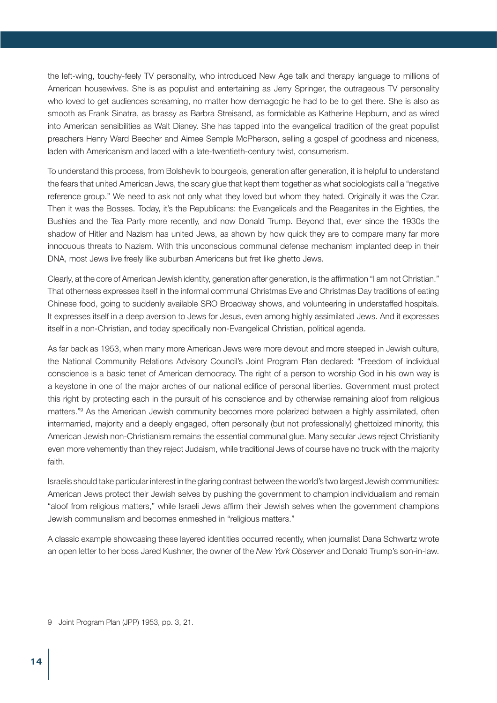the left-wing, touchy-feely TV personality, who introduced New Age talk and therapy language to millions of American housewives. She is as populist and entertaining as Jerry Springer, the outrageous TV personality who loved to get audiences screaming, no matter how demagogic he had to be to get there. She is also as smooth as Frank Sinatra, as brassy as Barbra Streisand, as formidable as Katherine Hepburn, and as wired into American sensibilities as Walt Disney. She has tapped into the evangelical tradition of the great populist preachers Henry Ward Beecher and Aimee Semple McPherson, selling a gospel of goodness and niceness, laden with Americanism and laced with a late-twentieth-century twist, consumerism.

To understand this process, from Bolshevik to bourgeois, generation after generation, it is helpful to understand the fears that united American Jews, the scary glue that kept them together as what sociologists call a "negative reference group." We need to ask not only what they loved but whom they hated. Originally it was the Czar. Then it was the Bosses. Today, it's the Republicans: the Evangelicals and the Reaganites in the Eighties, the Bushies and the Tea Party more recently, and now Donald Trump. Beyond that, ever since the 1930s the shadow of Hitler and Nazism has united Jews, as shown by how quick they are to compare many far more innocuous threats to Nazism. With this unconscious communal defense mechanism implanted deep in their DNA, most Jews live freely like suburban Americans but fret like ghetto Jews.

Clearly, at the core of American Jewish identity, generation after generation, is the affirmation "I am not Christian." That otherness expresses itself in the informal communal Christmas Eve and Christmas Day traditions of eating Chinese food, going to suddenly available SRO Broadway shows, and volunteering in understaffed hospitals. It expresses itself in a deep aversion to Jews for Jesus, even among highly assimilated Jews. And it expresses itself in a non-Christian, and today specifically non-Evangelical Christian, political agenda.

As far back as 1953, when many more American Jews were more devout and more steeped in Jewish culture, the National Community Relations Advisory Council's Joint Program Plan declared: "Freedom of individual conscience is a basic tenet of American democracy. The right of a person to worship God in his own way is a keystone in one of the major arches of our national edifice of personal liberties. Government must protect this right by protecting each in the pursuit of his conscience and by otherwise remaining aloof from religious matters."9 As the American Jewish community becomes more polarized between a highly assimilated, often intermarried, majority and a deeply engaged, often personally (but not professionally) ghettoized minority, this American Jewish non-Christianism remains the essential communal glue. Many secular Jews reject Christianity even more vehemently than they reject Judaism, while traditional Jews of course have no truck with the majority faith.

Israelis should take particular interest in the glaring contrast between the world's two largest Jewish communities: American Jews protect their Jewish selves by pushing the government to champion individualism and remain "aloof from religious matters," while Israeli Jews affirm their Jewish selves when the government champions Jewish communalism and becomes enmeshed in "religious matters."

A classic example showcasing these layered identities occurred recently, when journalist Dana Schwartz wrote an open letter to her boss Jared Kushner, the owner of the *New York Observer* and Donald Trump's son-in-law.

<sup>9</sup> Joint Program Plan (JPP) 1953, pp. 3, 21.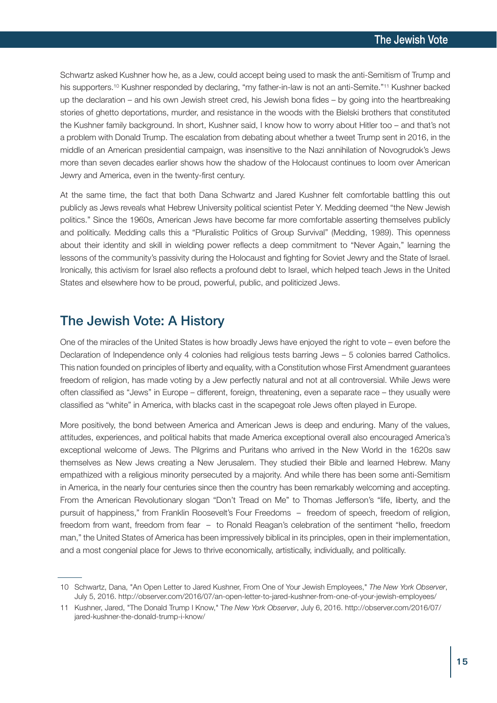Schwartz asked Kushner how he, as a Jew, could accept being used to mask the anti-Semitism of Trump and his supporters. <sup>10</sup> Kushner responded by declaring, "my father-in-law is not an anti-Semite."11 Kushner backed up the declaration – and his own Jewish street cred, his Jewish bona fides – by going into the heartbreaking stories of ghetto deportations, murder, and resistance in the woods with the Bielski brothers that constituted the Kushner family background. In short, Kushner said, I know how to worry about Hitler too – and that's not a problem with Donald Trump. The escalation from debating about whether a tweet Trump sent in 2016, in the middle of an American presidential campaign, was insensitive to the Nazi annihilation of Novogrudok's Jews more than seven decades earlier shows how the shadow of the Holocaust continues to loom over American Jewry and America, even in the twenty-first century.

At the same time, the fact that both Dana Schwartz and Jared Kushner felt comfortable battling this out publicly as Jews reveals what Hebrew University political scientist Peter Y. Medding deemed "the New Jewish politics." Since the 1960s, American Jews have become far more comfortable asserting themselves publicly and politically. Medding calls this a "Pluralistic Politics of Group Survival" (Medding, 1989). This openness about their identity and skill in wielding power reflects a deep commitment to "Never Again," learning the lessons of the community's passivity during the Holocaust and fighting for Soviet Jewry and the State of Israel. Ironically, this activism for Israel also reflects a profound debt to Israel, which helped teach Jews in the United States and elsewhere how to be proud, powerful, public, and politicized Jews.

### The Jewish Vote: A History

One of the miracles of the United States is how broadly Jews have enjoyed the right to vote – even before the Declaration of Independence only 4 colonies had religious tests barring Jews – 5 colonies barred Catholics. This nation founded on principles of liberty and equality, with a Constitution whose First Amendment guarantees freedom of religion, has made voting by a Jew perfectly natural and not at all controversial. While Jews were often classified as "Jews" in Europe – different, foreign, threatening, even a separate race – they usually were classified as "white" in America, with blacks cast in the scapegoat role Jews often played in Europe.

More positively, the bond between America and American Jews is deep and enduring. Many of the values, attitudes, experiences, and political habits that made America exceptional overall also encouraged America's exceptional welcome of Jews. The Pilgrims and Puritans who arrived in the New World in the 1620s saw themselves as New Jews creating a New Jerusalem. They studied their Bible and learned Hebrew. Many empathized with a religious minority persecuted by a majority. And while there has been some anti-Semitism in America, in the nearly four centuries since then the country has been remarkably welcoming and accepting. From the American Revolutionary slogan "Don't Tread on Me" to Thomas Jefferson's "life, liberty, and the pursuit of happiness," from Franklin Roosevelt's Four Freedoms – freedom of speech, freedom of religion, freedom from want, freedom from fear – to Ronald Reagan's celebration of the sentiment "hello, freedom man," the United States of America has been impressively biblical in its principles, open in their implementation, and a most congenial place for Jews to thrive economically, artistically, individually, and politically.

<sup>10</sup> Schwartz, Dana, "An Open Letter to Jared Kushner, From One of Your Jewish Employees," *The New York Observer*, July 5, 2016. http://observer.com/2016/07/an-open-letter-to-jared-kushner-from-one-of-your-jewish-employees/

<sup>11</sup> Kushner, Jared, "The Donald Trump I Know," T*he New York Observer*, July 6, 2016. http://observer.com/2016/07/ jared-kushner-the-donald-trump-i-know/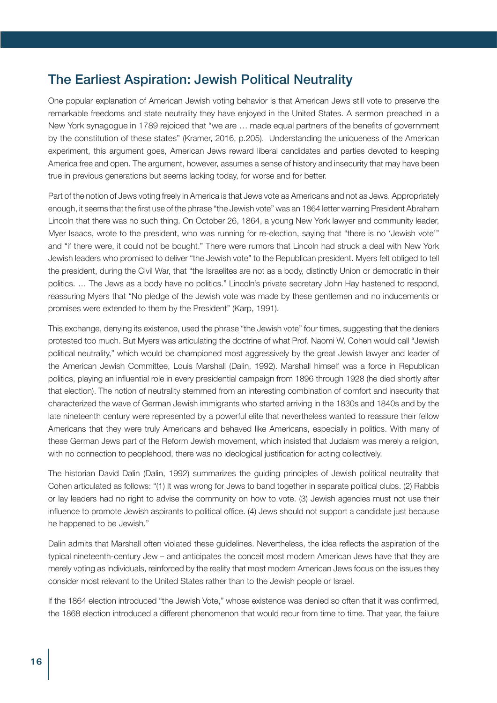# The Earliest Aspiration: Jewish Political Neutrality

One popular explanation of American Jewish voting behavior is that American Jews still vote to preserve the remarkable freedoms and state neutrality they have enjoyed in the United States. A sermon preached in a New York synagogue in 1789 rejoiced that "we are … made equal partners of the benefits of government by the constitution of these states" (Kramer, 2016, p.205). Understanding the uniqueness of the American experiment, this argument goes, American Jews reward liberal candidates and parties devoted to keeping America free and open. The argument, however, assumes a sense of history and insecurity that may have been true in previous generations but seems lacking today, for worse and for better.

Part of the notion of Jews voting freely in America is that Jews vote as Americans and not as Jews. Appropriately enough, it seems that the first use of the phrase "the Jewish vote" was an 1864 letter warning President Abraham Lincoln that there was no such thing. On October 26, 1864, a young New York lawyer and community leader, Myer Isaacs, wrote to the president, who was running for re-election, saying that "there is no 'Jewish vote'" and "if there were, it could not be bought." There were rumors that Lincoln had struck a deal with New York Jewish leaders who promised to deliver "the Jewish vote" to the Republican president. Myers felt obliged to tell the president, during the Civil War, that "the Israelites are not as a body, distinctly Union or democratic in their politics. … The Jews as a body have no politics." Lincoln's private secretary John Hay hastened to respond, reassuring Myers that "No pledge of the Jewish vote was made by these gentlemen and no inducements or promises were extended to them by the President" (Karp, 1991).

This exchange, denying its existence, used the phrase "the Jewish vote" four times, suggesting that the deniers protested too much. But Myers was articulating the doctrine of what Prof. Naomi W. Cohen would call "Jewish political neutrality," which would be championed most aggressively by the great Jewish lawyer and leader of the American Jewish Committee, Louis Marshall (Dalin, 1992). Marshall himself was a force in Republican politics, playing an influential role in every presidential campaign from 1896 through 1928 (he died shortly after that election). The notion of neutrality stemmed from an interesting combination of comfort and insecurity that characterized the wave of German Jewish immigrants who started arriving in the 1830s and 1840s and by the late nineteenth century were represented by a powerful elite that nevertheless wanted to reassure their fellow Americans that they were truly Americans and behaved like Americans, especially in politics. With many of these German Jews part of the Reform Jewish movement, which insisted that Judaism was merely a religion, with no connection to peoplehood, there was no ideological justification for acting collectively.

The historian David Dalin (Dalin, 1992) summarizes the guiding principles of Jewish political neutrality that Cohen articulated as follows: "(1) It was wrong for Jews to band together in separate political clubs. (2) Rabbis or lay leaders had no right to advise the community on how to vote. (3) Jewish agencies must not use their influence to promote Jewish aspirants to political office. (4) Jews should not support a candidate just because he happened to be Jewish."

Dalin admits that Marshall often violated these guidelines. Nevertheless, the idea reflects the aspiration of the typical nineteenth-century Jew – and anticipates the conceit most modern American Jews have that they are merely voting as individuals, reinforced by the reality that most modern American Jews focus on the issues they consider most relevant to the United States rather than to the Jewish people or Israel.

If the 1864 election introduced "the Jewish Vote," whose existence was denied so often that it was confirmed, the 1868 election introduced a different phenomenon that would recur from time to time. That year, the failure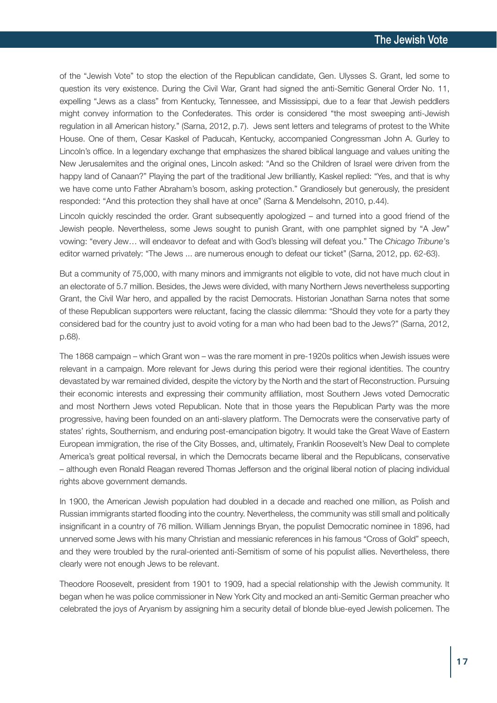of the "Jewish Vote" to stop the election of the Republican candidate, Gen. Ulysses S. Grant, led some to question its very existence. During the Civil War, Grant had signed the anti-Semitic General Order No. 11, expelling "Jews as a class" from Kentucky, Tennessee, and Mississippi, due to a fear that Jewish peddlers might convey information to the Confederates. This order is considered "the most sweeping anti-Jewish regulation in all American history." (Sarna, 2012, p.7). Jews sent letters and telegrams of protest to the White House. One of them, Cesar Kaskel of Paducah, Kentucky, accompanied Congressman John A. Gurley to Lincoln's office. In a legendary exchange that emphasizes the shared biblical language and values uniting the New Jerusalemites and the original ones, Lincoln asked: "And so the Children of Israel were driven from the happy land of Canaan?" Playing the part of the traditional Jew brilliantly, Kaskel replied: "Yes, and that is why we have come unto Father Abraham's bosom, asking protection." Grandiosely but generously, the president responded: "And this protection they shall have at once" (Sarna & Mendelsohn, 2010, p.44).

Lincoln quickly rescinded the order. Grant subsequently apologized – and turned into a good friend of the Jewish people. Nevertheless, some Jews sought to punish Grant, with one pamphlet signed by "A Jew" vowing: "every Jew… will endeavor to defeat and with God's blessing will defeat you." The *Chicago Tribune'*s editor warned privately: "The Jews ... are numerous enough to defeat our ticket" (Sarna, 2012, pp. 62-63).

But a community of 75,000, with many minors and immigrants not eligible to vote, did not have much clout in an electorate of 5.7 million. Besides, the Jews were divided, with many Northern Jews nevertheless supporting Grant, the Civil War hero, and appalled by the racist Democrats. Historian Jonathan Sarna notes that some of these Republican supporters were reluctant, facing the classic dilemma: "Should they vote for a party they considered bad for the country just to avoid voting for a man who had been bad to the Jews?" (Sarna, 2012, p.68).

The 1868 campaign – which Grant won – was the rare moment in pre-1920s politics when Jewish issues were relevant in a campaign. More relevant for Jews during this period were their regional identities. The country devastated by war remained divided, despite the victory by the North and the start of Reconstruction. Pursuing their economic interests and expressing their community affiliation, most Southern Jews voted Democratic and most Northern Jews voted Republican. Note that in those years the Republican Party was the more progressive, having been founded on an anti-slavery platform. The Democrats were the conservative party of states' rights, Southernism, and enduring post-emancipation bigotry. It would take the Great Wave of Eastern European immigration, the rise of the City Bosses, and, ultimately, Franklin Roosevelt's New Deal to complete America's great political reversal, in which the Democrats became liberal and the Republicans, conservative – although even Ronald Reagan revered Thomas Jefferson and the original liberal notion of placing individual rights above government demands.

In 1900, the American Jewish population had doubled in a decade and reached one million, as Polish and Russian immigrants started flooding into the country. Nevertheless, the community was still small and politically insignificant in a country of 76 million. William Jennings Bryan, the populist Democratic nominee in 1896, had unnerved some Jews with his many Christian and messianic references in his famous "Cross of Gold" speech, and they were troubled by the rural-oriented anti-Semitism of some of his populist allies. Nevertheless, there clearly were not enough Jews to be relevant.

Theodore Roosevelt, president from 1901 to 1909, had a special relationship with the Jewish community. It began when he was police commissioner in New York City and mocked an anti-Semitic German preacher who celebrated the joys of Aryanism by assigning him a security detail of blonde blue-eyed Jewish policemen. The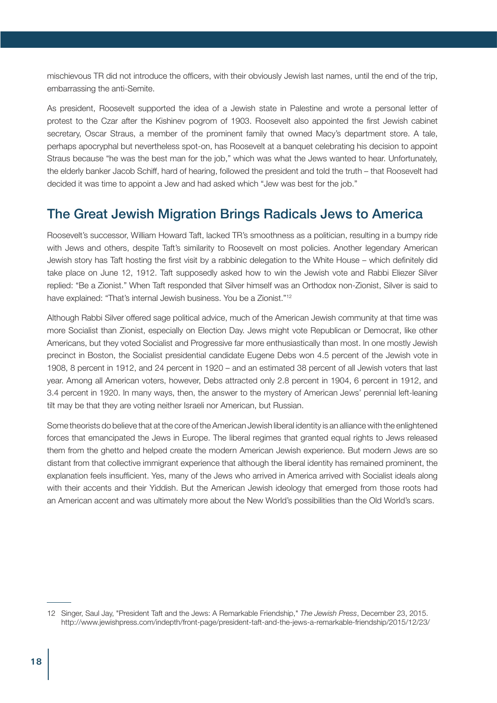mischievous TR did not introduce the officers, with their obviously Jewish last names, until the end of the trip, embarrassing the anti-Semite.

As president, Roosevelt supported the idea of a Jewish state in Palestine and wrote a personal letter of protest to the Czar after the Kishinev pogrom of 1903. Roosevelt also appointed the first Jewish cabinet secretary, Oscar Straus, a member of the prominent family that owned Macy's department store. A tale, perhaps apocryphal but nevertheless spot-on, has Roosevelt at a banquet celebrating his decision to appoint Straus because "he was the best man for the job," which was what the Jews wanted to hear. Unfortunately, the elderly banker Jacob Schiff, hard of hearing, followed the president and told the truth – that Roosevelt had decided it was time to appoint a Jew and had asked which "Jew was best for the job."

# The Great Jewish Migration Brings Radicals Jews to America

Roosevelt's successor, William Howard Taft, lacked TR's smoothness as a politician, resulting in a bumpy ride with Jews and others, despite Taft's similarity to Roosevelt on most policies. Another legendary American Jewish story has Taft hosting the first visit by a rabbinic delegation to the White House – which definitely did take place on June 12, 1912. Taft supposedly asked how to win the Jewish vote and Rabbi Eliezer Silver replied: "Be a Zionist." When Taft responded that Silver himself was an Orthodox non-Zionist, Silver is said to have explained: "That's internal Jewish business. You be a Zionist."12

Although Rabbi Silver offered sage political advice, much of the American Jewish community at that time was more Socialist than Zionist, especially on Election Day. Jews might vote Republican or Democrat, like other Americans, but they voted Socialist and Progressive far more enthusiastically than most. In one mostly Jewish precinct in Boston, the Socialist presidential candidate Eugene Debs won 4.5 percent of the Jewish vote in 1908, 8 percent in 1912, and 24 percent in 1920 – and an estimated 38 percent of all Jewish voters that last year. Among all American voters, however, Debs attracted only 2.8 percent in 1904, 6 percent in 1912, and 3.4 percent in 1920. In many ways, then, the answer to the mystery of American Jews' perennial left-leaning tilt may be that they are voting neither Israeli nor American, but Russian.

Some theorists do believe that at the core of the American Jewish liberal identity is an alliance with the enlightened forces that emancipated the Jews in Europe. The liberal regimes that granted equal rights to Jews released them from the ghetto and helped create the modern American Jewish experience. But modern Jews are so distant from that collective immigrant experience that although the liberal identity has remained prominent, the explanation feels insufficient. Yes, many of the Jews who arrived in America arrived with Socialist ideals along with their accents and their Yiddish. But the American Jewish ideology that emerged from those roots had an American accent and was ultimately more about the New World's possibilities than the Old World's scars.

<sup>12</sup> Singer, Saul Jay, "President Taft and the Jews: A Remarkable Friendship," *The Jewish Press*, December 23, 2015. http://www.jewishpress.com/indepth/front-page/president-taft-and-the-jews-a-remarkable-friendship/2015/12/23/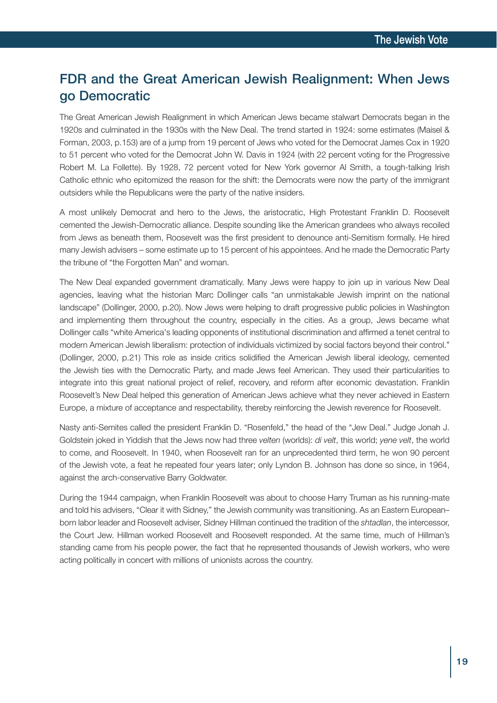# FDR and the Great American Jewish Realignment: When Jews go Democratic

The Great American Jewish Realignment in which American Jews became stalwart Democrats began in the 1920s and culminated in the 1930s with the New Deal. The trend started in 1924: some estimates (Maisel & Forman, 2003, p.153) are of a jump from 19 percent of Jews who voted for the Democrat James Cox in 1920 to 51 percent who voted for the Democrat John W. Davis in 1924 (with 22 percent voting for the Progressive Robert M. La Follette). By 1928, 72 percent voted for New York governor Al Smith, a tough-talking Irish Catholic ethnic who epitomized the reason for the shift: the Democrats were now the party of the immigrant outsiders while the Republicans were the party of the native insiders.

A most unlikely Democrat and hero to the Jews, the aristocratic, High Protestant Franklin D. Roosevelt cemented the Jewish-Democratic alliance. Despite sounding like the American grandees who always recoiled from Jews as beneath them, Roosevelt was the first president to denounce anti-Semitism formally. He hired many Jewish advisers – some estimate up to 15 percent of his appointees. And he made the Democratic Party the tribune of "the Forgotten Man" and woman.

The New Deal expanded government dramatically. Many Jews were happy to join up in various New Deal agencies, leaving what the historian Marc Dollinger calls "an unmistakable Jewish imprint on the national landscape" (Dollinger, 2000, p.20). Now Jews were helping to draft progressive public policies in Washington and implementing them throughout the country, especially in the cities. As a group, Jews became what Dollinger calls "white America's leading opponents of institutional discrimination and affirmed a tenet central to modern American Jewish liberalism: protection of individuals victimized by social factors beyond their control." (Dollinger, 2000, p.21) This role as inside critics solidified the American Jewish liberal ideology, cemented the Jewish ties with the Democratic Party, and made Jews feel American. They used their particularities to integrate into this great national project of relief, recovery, and reform after economic devastation. Franklin Roosevelt's New Deal helped this generation of American Jews achieve what they never achieved in Eastern Europe, a mixture of acceptance and respectability, thereby reinforcing the Jewish reverence for Roosevelt.

Nasty anti-Semites called the president Franklin D. "Rosenfeld," the head of the "Jew Deal." Judge Jonah J. Goldstein joked in Yiddish that the Jews now had three *velten* (worlds): *di velt*, this world; *yene velt*, the world to come, and Roosevelt. In 1940, when Roosevelt ran for an unprecedented third term, he won 90 percent of the Jewish vote, a feat he repeated four years later; only Lyndon B. Johnson has done so since, in 1964, against the arch-conservative Barry Goldwater.

During the 1944 campaign, when Franklin Roosevelt was about to choose Harry Truman as his running-mate and told his advisers, "Clear it with Sidney," the Jewish community was transitioning. As an Eastern European– born labor leader and Roosevelt adviser, Sidney Hillman continued the tradition of the *shtadlan*, the intercessor, the Court Jew. Hillman worked Roosevelt and Roosevelt responded. At the same time, much of Hillman's standing came from his people power, the fact that he represented thousands of Jewish workers, who were acting politically in concert with millions of unionists across the country.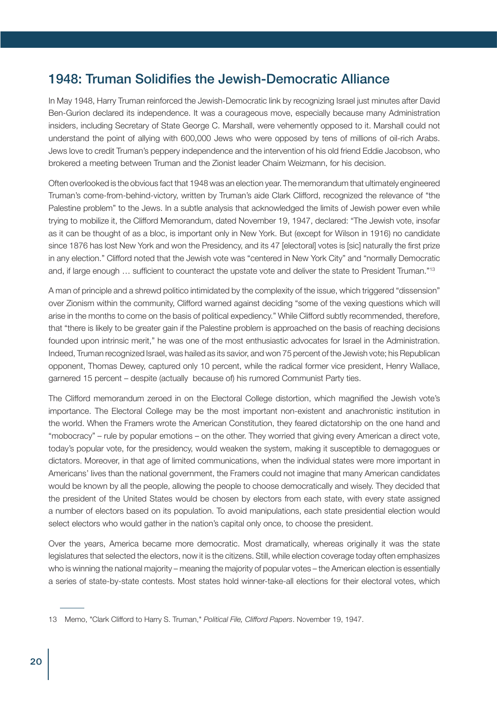# 1948: Truman Solidifies the Jewish-Democratic Alliance

In May 1948, Harry Truman reinforced the Jewish-Democratic link by recognizing Israel just minutes after David Ben-Gurion declared its independence. It was a courageous move, especially because many Administration insiders, including Secretary of State George C. Marshall, were vehemently opposed to it. Marshall could not understand the point of allying with 600,000 Jews who were opposed by tens of millions of oil-rich Arabs. Jews love to credit Truman's peppery independence and the intervention of his old friend Eddie Jacobson, who brokered a meeting between Truman and the Zionist leader Chaim Weizmann, for his decision.

Often overlooked is the obvious fact that 1948 was an election year. The memorandum that ultimately engineered Truman's come-from-behind-victory, written by Truman's aide Clark Clifford, recognized the relevance of "the Palestine problem" to the Jews. In a subtle analysis that acknowledged the limits of Jewish power even while trying to mobilize it, the Clifford Memorandum, dated November 19, 1947, declared: "The Jewish vote, insofar as it can be thought of as a bloc, is important only in New York. But (except for Wilson in 1916) no candidate since 1876 has lost New York and won the Presidency, and its 47 [electoral] votes is [sic] naturally the first prize in any election." Clifford noted that the Jewish vote was "centered in New York City" and "normally Democratic and, if large enough … sufficient to counteract the upstate vote and deliver the state to President Truman."13

A man of principle and a shrewd politico intimidated by the complexity of the issue, which triggered "dissension" over Zionism within the community, Clifford warned against deciding "some of the vexing questions which will arise in the months to come on the basis of political expediency." While Clifford subtly recommended, therefore, that "there is likely to be greater gain if the Palestine problem is approached on the basis of reaching decisions founded upon intrinsic merit," he was one of the most enthusiastic advocates for Israel in the Administration. Indeed, Truman recognized Israel, was hailed as its savior, and won 75 percent of the Jewish vote; his Republican opponent, Thomas Dewey, captured only 10 percent, while the radical former vice president, Henry Wallace, garnered 15 percent – despite (actually because of) his rumored Communist Party ties.

The Clifford memorandum zeroed in on the Electoral College distortion, which magnified the Jewish vote's importance. The Electoral College may be the most important non-existent and anachronistic institution in the world. When the Framers wrote the American Constitution, they feared dictatorship on the one hand and "mobocracy" – rule by popular emotions – on the other. They worried that giving every American a direct vote, today's popular vote, for the presidency, would weaken the system, making it susceptible to demagogues or dictators. Moreover, in that age of limited communications, when the individual states were more important in Americans' lives than the national government, the Framers could not imagine that many American candidates would be known by all the people, allowing the people to choose democratically and wisely. They decided that the president of the United States would be chosen by electors from each state, with every state assigned a number of electors based on its population. To avoid manipulations, each state presidential election would select electors who would gather in the nation's capital only once, to choose the president.

Over the years, America became more democratic. Most dramatically, whereas originally it was the state legislatures that selected the electors, now it is the citizens. Still, while election coverage today often emphasizes who is winning the national majority – meaning the majority of popular votes – the American election is essentially a series of state-by-state contests. Most states hold winner-take-all elections for their electoral votes, which

<sup>13</sup> Memo, "Clark Clifford to Harry S. Truman," *Political File, Clifford Papers*. November 19, 1947.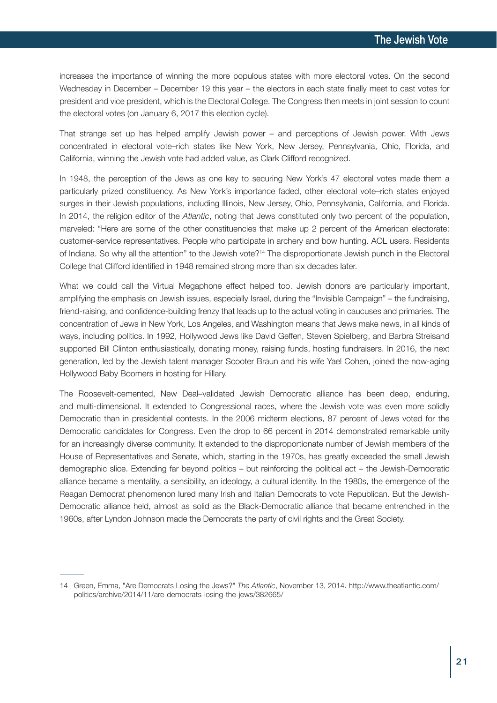increases the importance of winning the more populous states with more electoral votes. On the second Wednesday in December – December 19 this year – the electors in each state finally meet to cast votes for president and vice president, which is the Electoral College. The Congress then meets in joint session to count the electoral votes (on January 6, 2017 this election cycle).

That strange set up has helped amplify Jewish power – and perceptions of Jewish power. With Jews concentrated in electoral vote–rich states like New York, New Jersey, Pennsylvania, Ohio, Florida, and California, winning the Jewish vote had added value, as Clark Clifford recognized.

In 1948, the perception of the Jews as one key to securing New York's 47 electoral votes made them a particularly prized constituency. As New York's importance faded, other electoral vote–rich states enjoyed surges in their Jewish populations, including Illinois, New Jersey, Ohio, Pennsylvania, California, and Florida. In 2014, the religion editor of the *Atlantic*, noting that Jews constituted only two percent of the population, marveled: "Here are some of the other constituencies that make up 2 percent of the American electorate: customer-service representatives. People who participate in archery and bow hunting. AOL users. Residents of Indiana. So why all the attention" to the Jewish vote?14 The disproportionate Jewish punch in the Electoral College that Clifford identified in 1948 remained strong more than six decades later.

What we could call the Virtual Megaphone effect helped too. Jewish donors are particularly important, amplifying the emphasis on Jewish issues, especially Israel, during the "Invisible Campaign" – the fundraising, friend-raising, and confidence-building frenzy that leads up to the actual voting in caucuses and primaries. The concentration of Jews in New York, Los Angeles, and Washington means that Jews make news, in all kinds of ways, including politics. In 1992, Hollywood Jews like David Geffen, Steven Spielberg, and Barbra Streisand supported Bill Clinton enthusiastically, donating money, raising funds, hosting fundraisers. In 2016, the next generation, led by the Jewish talent manager Scooter Braun and his wife Yael Cohen, joined the now-aging Hollywood Baby Boomers in hosting for Hillary.

The Roosevelt-cemented, New Deal–validated Jewish Democratic alliance has been deep, enduring, and multi-dimensional. It extended to Congressional races, where the Jewish vote was even more solidly Democratic than in presidential contests. In the 2006 midterm elections, 87 percent of Jews voted for the Democratic candidates for Congress. Even the drop to 66 percent in 2014 demonstrated remarkable unity for an increasingly diverse community. It extended to the disproportionate number of Jewish members of the House of Representatives and Senate, which, starting in the 1970s, has greatly exceeded the small Jewish demographic slice. Extending far beyond politics – but reinforcing the political act – the Jewish-Democratic alliance became a mentality, a sensibility, an ideology, a cultural identity. In the 1980s, the emergence of the Reagan Democrat phenomenon lured many Irish and Italian Democrats to vote Republican. But the Jewish-Democratic alliance held, almost as solid as the Black-Democratic alliance that became entrenched in the 1960s, after Lyndon Johnson made the Democrats the party of civil rights and the Great Society.

<sup>14</sup> Green, Emma, "Are Democrats Losing the Jews?" *The Atlantic*, November 13, 2014. http://www.theatlantic.com/ politics/archive/2014/11/are-democrats-losing-the-jews/382665/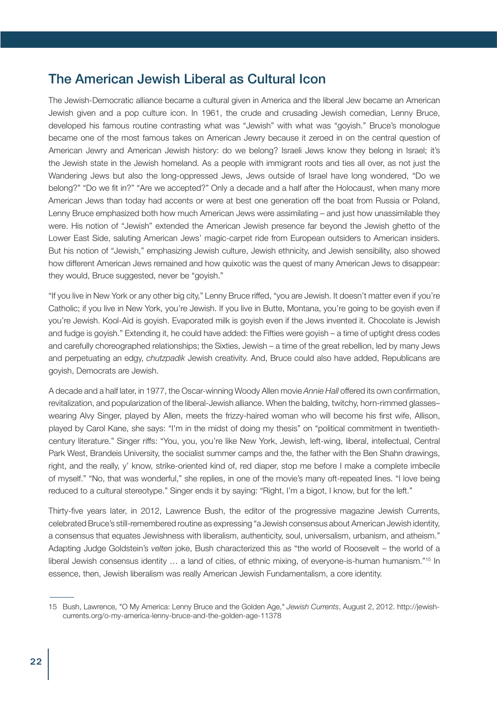#### The American Jewish Liberal as Cultural Icon

The Jewish-Democratic alliance became a cultural given in America and the liberal Jew became an American Jewish given and a pop culture icon. In 1961, the crude and crusading Jewish comedian, Lenny Bruce, developed his famous routine contrasting what was "Jewish" with what was "goyish." Bruce's monologue became one of the most famous takes on American Jewry because it zeroed in on the central question of American Jewry and American Jewish history: do we belong? Israeli Jews know they belong in Israel; it's the Jewish state in the Jewish homeland. As a people with immigrant roots and ties all over, as not just the Wandering Jews but also the long-oppressed Jews, Jews outside of Israel have long wondered, "Do we belong?" "Do we fit in?" "Are we accepted?" Only a decade and a half after the Holocaust, when many more American Jews than today had accents or were at best one generation off the boat from Russia or Poland, Lenny Bruce emphasized both how much American Jews were assimilating – and just how unassimilable they were. His notion of "Jewish" extended the American Jewish presence far beyond the Jewish ghetto of the Lower East Side, saluting American Jews' magic-carpet ride from European outsiders to American insiders. But his notion of "Jewish," emphasizing Jewish culture, Jewish ethnicity, and Jewish sensibility, also showed how different American Jews remained and how quixotic was the quest of many American Jews to disappear: they would, Bruce suggested, never be "goyish."

"If you live in New York or any other big city," Lenny Bruce riffed, "you are Jewish. It doesn't matter even if you're Catholic; if you live in New York, you're Jewish. If you live in Butte, Montana, you're going to be goyish even if you're Jewish. Kool-Aid is goyish. Evaporated milk is goyish even if the Jews invented it. Chocolate is Jewish and fudge is goyish." Extending it, he could have added: the Fifties were goyish – a time of uptight dress codes and carefully choreographed relationships; the Sixties, Jewish – a time of the great rebellion, led by many Jews and perpetuating an edgy, *chutzpadik* Jewish creativity. And, Bruce could also have added, Republicans are goyish, Democrats are Jewish.

A decade and a half later, in 1977, the Oscar-winning Woody Allen movie *Annie Hall* offered its own confirmation, revitalization, and popularization of the liberal-Jewish alliance. When the balding, twitchy, horn-rimmed glasses– wearing Alvy Singer, played by Allen, meets the frizzy-haired woman who will become his first wife, Allison, played by Carol Kane, she says: "I'm in the midst of doing my thesis" on "political commitment in twentiethcentury literature." Singer riffs: "You, you, you're like New York, Jewish, left-wing, liberal, intellectual, Central Park West, Brandeis University, the socialist summer camps and the, the father with the Ben Shahn drawings, right, and the really, y' know, strike-oriented kind of, red diaper, stop me before I make a complete imbecile of myself." "No, that was wonderful," she replies, in one of the movie's many oft-repeated lines. "I love being reduced to a cultural stereotype." Singer ends it by saying: "Right, I'm a bigot, I know, but for the left."

Thirty-five years later, in 2012, Lawrence Bush, the editor of the progressive magazine Jewish Currents, celebrated Bruce's still-remembered routine as expressing "a Jewish consensus about American Jewish identity, a consensus that equates Jewishness with liberalism, authenticity, soul, universalism, urbanism, and atheism." Adapting Judge Goldstein's *velten* joke, Bush characterized this as "the world of Roosevelt – the world of a liberal Jewish consensus identity ... a land of cities, of ethnic mixing, of everyone-is-human humanism."<sup>15</sup> In essence, then, Jewish liberalism was really American Jewish Fundamentalism, a core identity.

<sup>15</sup> Bush, Lawrence, "O My America: Lenny Bruce and the Golden Age," *Jewish Currents*, August 2, 2012. http://jewishcurrents.org/o-my-america-lenny-bruce-and-the-golden-age-11378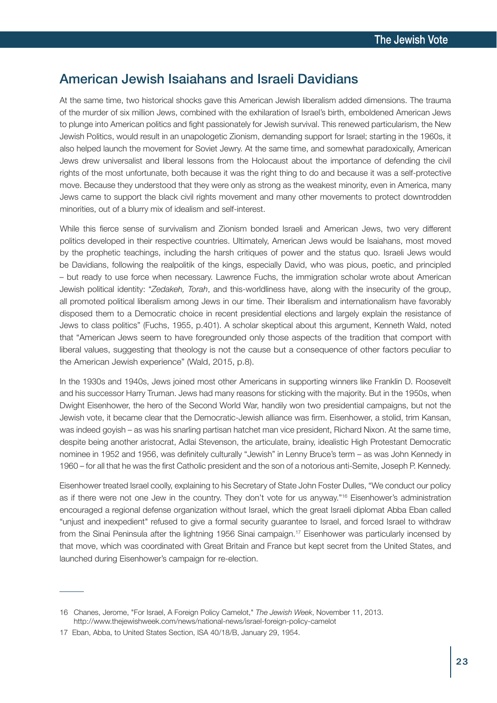#### American Jewish Isaiahans and Israeli Davidians

At the same time, two historical shocks gave this American Jewish liberalism added dimensions. The trauma of the murder of six million Jews, combined with the exhilaration of Israel's birth, emboldened American Jews to plunge into American politics and fight passionately for Jewish survival. This renewed particularism, the New Jewish Politics, would result in an unapologetic Zionism, demanding support for Israel; starting in the 1960s, it also helped launch the movement for Soviet Jewry. At the same time, and somewhat paradoxically, American Jews drew universalist and liberal lessons from the Holocaust about the importance of defending the civil rights of the most unfortunate, both because it was the right thing to do and because it was a self-protective move. Because they understood that they were only as strong as the weakest minority, even in America, many Jews came to support the black civil rights movement and many other movements to protect downtrodden minorities, out of a blurry mix of idealism and self-interest.

While this fierce sense of survivalism and Zionism bonded Israeli and American Jews, two very different politics developed in their respective countries. Ultimately, American Jews would be Isaiahans, most moved by the prophetic teachings, including the harsh critiques of power and the status quo. Israeli Jews would be Davidians, following the realpolitik of the kings, especially David, who was pious, poetic, and principled – but ready to use force when necessary. Lawrence Fuchs, the immigration scholar wrote about American Jewish political identity: "*Zedakeh, Torah*, and this-worldliness have, along with the insecurity of the group, all promoted political liberalism among Jews in our time. Their liberalism and internationalism have favorably disposed them to a Democratic choice in recent presidential elections and largely explain the resistance of Jews to class politics" (Fuchs, 1955, p.401). A scholar skeptical about this argument, Kenneth Wald, noted that "American Jews seem to have foregrounded only those aspects of the tradition that comport with liberal values, suggesting that theology is not the cause but a consequence of other factors peculiar to the American Jewish experience" (Wald, 2015, p.8).

In the 1930s and 1940s, Jews joined most other Americans in supporting winners like Franklin D. Roosevelt and his successor Harry Truman. Jews had many reasons for sticking with the majority. But in the 1950s, when Dwight Eisenhower, the hero of the Second World War, handily won two presidential campaigns, but not the Jewish vote, it became clear that the Democratic-Jewish alliance was firm. Eisenhower, a stolid, trim Kansan, was indeed goyish – as was his snarling partisan hatchet man vice president, Richard Nixon. At the same time, despite being another aristocrat, Adlai Stevenson, the articulate, brainy, idealistic High Protestant Democratic nominee in 1952 and 1956, was definitely culturally "Jewish" in Lenny Bruce's term – as was John Kennedy in 1960 – for all that he was the first Catholic president and the son of a notorious anti-Semite, Joseph P. Kennedy.

Eisenhower treated Israel coolly, explaining to his Secretary of State John Foster Dulles, "We conduct our policy as if there were not one Jew in the country. They don't vote for us anyway."<sup>16</sup> Eisenhower's administration encouraged a regional defense organization without Israel, which the great Israeli diplomat Abba Eban called "unjust and inexpedient" refused to give a formal security guarantee to Israel, and forced Israel to withdraw from the Sinai Peninsula after the lightning 1956 Sinai campaign.<sup>17</sup> Eisenhower was particularly incensed by that move, which was coordinated with Great Britain and France but kept secret from the United States, and launched during Eisenhower's campaign for re-election.

<sup>16</sup> Chanes, Jerome, "For Israel, A Foreign Policy Camelot," *The Jewish Week*, November 11, 2013. http://www.thejewishweek.com/news/national-news/israel-foreign-policy-camelot

<sup>17</sup> Eban, Abba, to United States Section, ISA 40/18/B, January 29, 1954.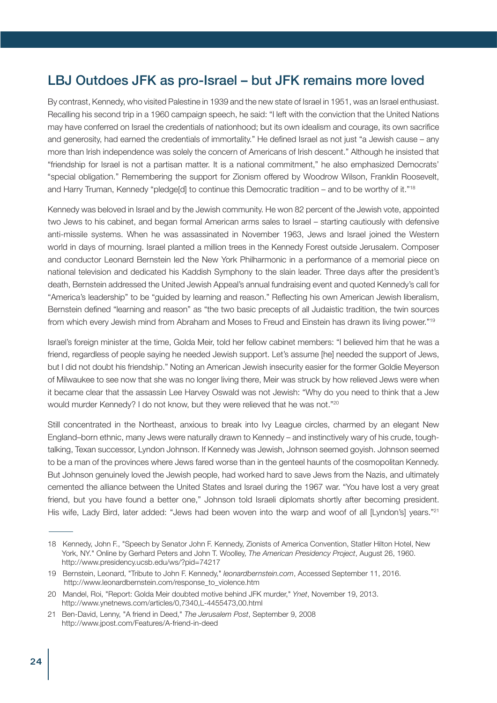# LBJ Outdoes JFK as pro-Israel – but JFK remains more loved

By contrast, Kennedy, who visited Palestine in 1939 and the new state of Israel in 1951, was an Israel enthusiast. Recalling his second trip in a 1960 campaign speech, he said: "I left with the conviction that the United Nations may have conferred on Israel the credentials of nationhood; but its own idealism and courage, its own sacrifice and generosity, had earned the credentials of immortality." He defined Israel as not just "a Jewish cause – any more than Irish independence was solely the concern of Americans of Irish descent." Although he insisted that "friendship for Israel is not a partisan matter. It is a national commitment," he also emphasized Democrats' "special obligation." Remembering the support for Zionism offered by Woodrow Wilson, Franklin Roosevelt, and Harry Truman, Kennedy "pledge[d] to continue this Democratic tradition – and to be worthy of it."<sup>18</sup>

Kennedy was beloved in Israel and by the Jewish community. He won 82 percent of the Jewish vote, appointed two Jews to his cabinet, and began formal American arms sales to Israel – starting cautiously with defensive anti-missile systems. When he was assassinated in November 1963, Jews and Israel joined the Western world in days of mourning. Israel planted a million trees in the Kennedy Forest outside Jerusalem. Composer and conductor Leonard Bernstein led the New York Philharmonic in a performance of a memorial piece on national television and dedicated his Kaddish Symphony to the slain leader. Three days after the president's death, Bernstein addressed the United Jewish Appeal's annual fundraising event and quoted Kennedy's call for "America's leadership" to be "guided by learning and reason." Reflecting his own American Jewish liberalism, Bernstein defined "learning and reason" as "the two basic precepts of all Judaistic tradition, the twin sources from which every Jewish mind from Abraham and Moses to Freud and Einstein has drawn its living power."19

Israel's foreign minister at the time, Golda Meir, told her fellow cabinet members: "I believed him that he was a friend, regardless of people saying he needed Jewish support. Let's assume [he] needed the support of Jews, but I did not doubt his friendship." Noting an American Jewish insecurity easier for the former Goldie Meyerson of Milwaukee to see now that she was no longer living there, Meir was struck by how relieved Jews were when it became clear that the assassin Lee Harvey Oswald was not Jewish: "Why do you need to think that a Jew would murder Kennedy? I do not know, but they were relieved that he was not."<sup>20</sup>

Still concentrated in the Northeast, anxious to break into Ivy League circles, charmed by an elegant New England–born ethnic, many Jews were naturally drawn to Kennedy – and instinctively wary of his crude, toughtalking, Texan successor, Lyndon Johnson. If Kennedy was Jewish, Johnson seemed goyish. Johnson seemed to be a man of the provinces where Jews fared worse than in the genteel haunts of the cosmopolitan Kennedy. But Johnson genuinely loved the Jewish people, had worked hard to save Jews from the Nazis, and ultimately cemented the alliance between the United States and Israel during the 1967 war. "You have lost a very great friend, but you have found a better one," Johnson told Israeli diplomats shortly after becoming president. His wife, Lady Bird, later added: "Jews had been woven into the warp and woof of all [Lyndon's] years."<sup>21</sup>

<sup>18</sup> Kennedy, John F., "Speech by Senator John F. Kennedy, Zionists of America Convention, Statler Hilton Hotel, New York, NY." Online by Gerhard Peters and John T. Woolley, *The American Presidency Project*, August 26, 1960. http://www.presidency.ucsb.edu/ws/?pid=74217

<sup>19</sup> Bernstein, Leonard, "Tribute to John F. Kennedy," *leonardbernstein.com*, Accessed September 11, 2016. http://www.leonardbernstein.com/response\_to\_violence.htm

<sup>20</sup> Mandel, Roi, "Report: Golda Meir doubted motive behind JFK murder," *Ynet*, November 19, 2013. http://www.ynetnews.com/articles/0,7340,L-4455473,00.html

<sup>21</sup> Ben-David, Lenny, "A friend in Deed," *The Jerusalem Post*, September 9, 2008 http://www.jpost.com/Features/A-friend-in-deed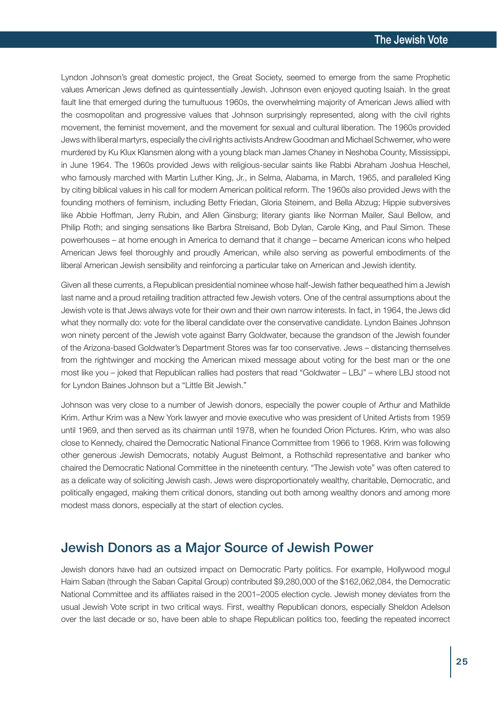Lyndon Johnson's great domestic project, the Great Society, seemed to emerge from the same Prophetic values American Jews defined as quintessentially Jewish. Johnson even enjoyed quoting Isaiah. In the great fault line that emerged during the tumultuous 1960s, the overwhelming majority of American Jews allied with the cosmopolitan and progressive values that Johnson surprisingly represented, along with the civil rights movement, the feminist movement, and the movement for sexual and cultural liberation. The 1960s provided Jews with liberal martyrs, especially the civil rights activists Andrew Goodman and Michael Schwerner, who were murdered by Ku Klux Klansmen along with a young black man James Chaney in Neshoba County, Mississippi, in June 1964. The 1960s provided Jews with religious-secular saints like Rabbi Abraham Joshua Heschel, who famously marched with Martin Luther King, Jr., in Selma, Alabama, in March, 1965, and paralleled King by citing biblical values in his call for modern American political reform. The 1960s also provided Jews with the founding mothers of feminism, including Betty Friedan, Gloria Steinem, and Bella Abzug; Hippie subversives like Abbie Hoffman, Jerry Rubin, and Allen Ginsburg; literary giants like Norman Mailer, Saul Bellow, and Philip Roth; and singing sensations like Barbra Streisand, Bob Dylan, Carole King, and Paul Simon. These powerhouses – at home enough in America to demand that it change – became American icons who helped American Jews feel thoroughly and proudly American, while also serving as powerful embodiments of the liberal American Jewish sensibility and reinforcing a particular take on American and Jewish identity.

Given all these currents, a Republican presidential nominee whose half-Jewish father bequeathed him a Jewish last name and a proud retailing tradition attracted few Jewish voters. One of the central assumptions about the Jewish vote is that Jews always vote for their own and their own narrow interests. In fact, in 1964, the Jews did what they normally do: vote for the liberal candidate over the conservative candidate. Lyndon Baines Johnson won ninety percent of the Jewish vote against Barry Goldwater, because the grandson of the Jewish founder of the Arizona-based Goldwater's Department Stores was far too conservative. Jews – distancing themselves from the rightwinger and mocking the American mixed message about voting for the best man or the one most like you – joked that Republican rallies had posters that read "Goldwater – LBJ" – where LBJ stood not for Lyndon Baines Johnson but a "Little Bit Jewish."

Johnson was very close to a number of Jewish donors, especially the power couple of Arthur and Mathilde Krim. Arthur Krim was a New York lawyer and movie executive who was president of United Artists from 1959 until 1969, and then served as its chairman until 1978, when he founded Orion Pictures. Krim, who was also close to Kennedy, chaired the Democratic National Finance Committee from 1966 to 1968. Krim was following other generous Jewish Democrats, notably August Belmont, a Rothschild representative and banker who chaired the Democratic National Committee in the nineteenth century. "The Jewish vote" was often catered to as a delicate way of soliciting Jewish cash. Jews were disproportionately wealthy, charitable, Democratic, and politically engaged, making them critical donors, standing out both among wealthy donors and among more modest mass donors, especially at the start of election cycles.

#### Jewish Donors as a Major Source of Jewish Power

Jewish donors have had an outsized impact on Democratic Party politics. For example, Hollywood mogul Haim Saban (through the Saban Capital Group) contributed \$9,280,000 of the \$162,062,084, the Democratic National Committee and its affiliates raised in the 2001–2005 election cycle. Jewish money deviates from the usual Jewish Vote script in two critical ways. First, wealthy Republican donors, especially Sheldon Adelson over the last decade or so, have been able to shape Republican politics too, feeding the repeated incorrect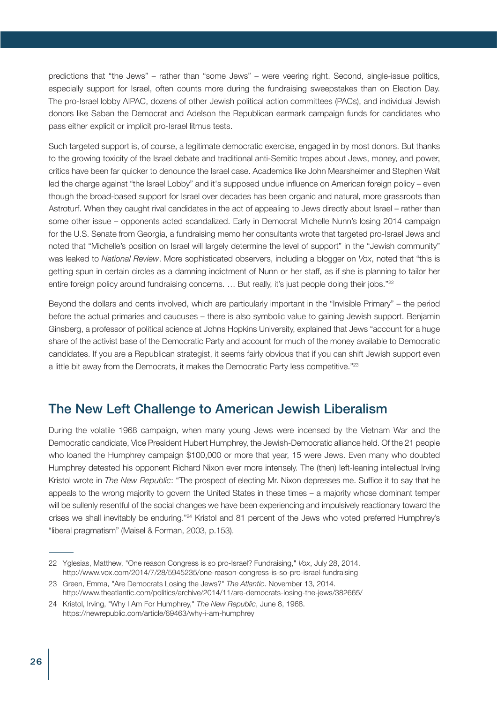predictions that "the Jews" – rather than "some Jews" – were veering right. Second, single-issue politics, especially support for Israel, often counts more during the fundraising sweepstakes than on Election Day. The pro-Israel lobby AIPAC, dozens of other Jewish political action committees (PACs), and individual Jewish donors like Saban the Democrat and Adelson the Republican earmark campaign funds for candidates who pass either explicit or implicit pro-Israel litmus tests.

Such targeted support is, of course, a legitimate democratic exercise, engaged in by most donors. But thanks to the growing toxicity of the Israel debate and traditional anti-Semitic tropes about Jews, money, and power, critics have been far quicker to denounce the Israel case. Academics like John Mearsheimer and Stephen Walt led the charge against "the Israel Lobby" and it's supposed undue influence on American foreign policy – even though the broad-based support for Israel over decades has been organic and natural, more grassroots than Astroturf. When they caught rival candidates in the act of appealing to Jews directly about Israel – rather than some other issue – opponents acted scandalized. Early in Democrat Michelle Nunn's losing 2014 campaign for the U.S. Senate from Georgia, a fundraising memo her consultants wrote that targeted pro-Israel Jews and noted that "Michelle's position on Israel will largely determine the level of support" in the "Jewish community" was leaked to *National Review*. More sophisticated observers, including a blogger on *Vox*, noted that "this is getting spun in certain circles as a damning indictment of Nunn or her staff, as if she is planning to tailor her entire foreign policy around fundraising concerns. ... But really, it's just people doing their jobs."<sup>22</sup>

Beyond the dollars and cents involved, which are particularly important in the "Invisible Primary" – the period before the actual primaries and caucuses – there is also symbolic value to gaining Jewish support. Benjamin Ginsberg, a professor of political science at Johns Hopkins University, explained that Jews "account for a huge share of the activist base of the Democratic Party and account for much of the money available to Democratic candidates. If you are a Republican strategist, it seems fairly obvious that if you can shift Jewish support even a little bit away from the Democrats, it makes the Democratic Party less competitive."23

# The New Left Challenge to American Jewish Liberalism

During the volatile 1968 campaign, when many young Jews were incensed by the Vietnam War and the Democratic candidate, Vice President Hubert Humphrey, the Jewish-Democratic alliance held. Of the 21 people who loaned the Humphrey campaign \$100,000 or more that year, 15 were Jews. Even many who doubted Humphrey detested his opponent Richard Nixon ever more intensely. The (then) left-leaning intellectual Irving Kristol wrote in *The New Republic*: "The prospect of electing Mr. Nixon depresses me. Suffice it to say that he appeals to the wrong majority to govern the United States in these times – a majority whose dominant temper will be sullenly resentful of the social changes we have been experiencing and impulsively reactionary toward the crises we shall inevitably be enduring."24 Kristol and 81 percent of the Jews who voted preferred Humphrey's "liberal pragmatism" (Maisel & Forman, 2003, p.153).

<sup>22</sup> Yglesias, Matthew, "One reason Congress is so pro-Israel? Fundraising," *Vox*, July 28, 2014. http://www.vox.com/2014/7/28/5945235/one-reason-congress-is-so-pro-israel-fundraising

<sup>23</sup> Green, Emma, "Are Democrats Losing the Jews?" *The Atlantic*. November 13, 2014. http://www.theatlantic.com/politics/archive/2014/11/are-democrats-losing-the-jews/382665/

<sup>24</sup> Kristol, Irving, "Why I Am For Humphrey," *The New Republic*, June 8, 1968. https://newrepublic.com/article/69463/why-i-am-humphrey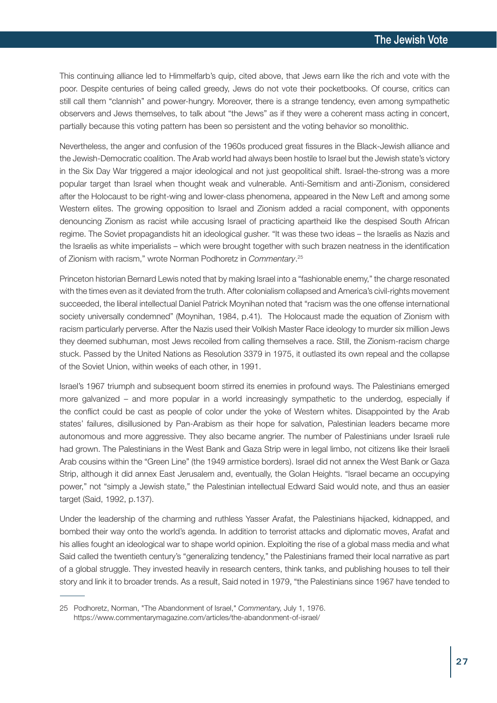This continuing alliance led to Himmelfarb's quip, cited above, that Jews earn like the rich and vote with the poor. Despite centuries of being called greedy, Jews do not vote their pocketbooks. Of course, critics can still call them "clannish" and power-hungry. Moreover, there is a strange tendency, even among sympathetic observers and Jews themselves, to talk about "the Jews" as if they were a coherent mass acting in concert, partially because this voting pattern has been so persistent and the voting behavior so monolithic.

Nevertheless, the anger and confusion of the 1960s produced great fissures in the Black-Jewish alliance and the Jewish-Democratic coalition. The Arab world had always been hostile to Israel but the Jewish state's victory in the Six Day War triggered a major ideological and not just geopolitical shift. Israel-the-strong was a more popular target than Israel when thought weak and vulnerable. Anti-Semitism and anti-Zionism, considered after the Holocaust to be right-wing and lower-class phenomena, appeared in the New Left and among some Western elites. The growing opposition to Israel and Zionism added a racial component, with opponents denouncing Zionism as racist while accusing Israel of practicing apartheid like the despised South African regime. The Soviet propagandists hit an ideological gusher. "It was these two ideas – the Israelis as Nazis and the Israelis as white imperialists – which were brought together with such brazen neatness in the identification of Zionism with racism," wrote Norman Podhoretz in *Commentary*. 25

Princeton historian Bernard Lewis noted that by making Israel into a "fashionable enemy," the charge resonated with the times even as it deviated from the truth. After colonialism collapsed and America's civil-rights movement succeeded, the liberal intellectual Daniel Patrick Moynihan noted that "racism was the one offense international society universally condemned" (Moynihan, 1984, p.41). The Holocaust made the equation of Zionism with racism particularly perverse. After the Nazis used their Volkish Master Race ideology to murder six million Jews they deemed subhuman, most Jews recoiled from calling themselves a race. Still, the Zionism-racism charge stuck. Passed by the United Nations as Resolution 3379 in 1975, it outlasted its own repeal and the collapse of the Soviet Union, within weeks of each other, in 1991.

Israel's 1967 triumph and subsequent boom stirred its enemies in profound ways. The Palestinians emerged more galvanized – and more popular in a world increasingly sympathetic to the underdog, especially if the conflict could be cast as people of color under the yoke of Western whites. Disappointed by the Arab states' failures, disillusioned by Pan-Arabism as their hope for salvation, Palestinian leaders became more autonomous and more aggressive. They also became angrier. The number of Palestinians under Israeli rule had grown. The Palestinians in the West Bank and Gaza Strip were in legal limbo, not citizens like their Israeli Arab cousins within the "Green Line" (the 1949 armistice borders). Israel did not annex the West Bank or Gaza Strip, although it did annex East Jerusalem and, eventually, the Golan Heights. "Israel became an occupying power," not "simply a Jewish state," the Palestinian intellectual Edward Said would note, and thus an easier target (Said, 1992, p.137).

Under the leadership of the charming and ruthless Yasser Arafat, the Palestinians hijacked, kidnapped, and bombed their way onto the world's agenda. In addition to terrorist attacks and diplomatic moves, Arafat and his allies fought an ideological war to shape world opinion. Exploiting the rise of a global mass media and what Said called the twentieth century's "generalizing tendency," the Palestinians framed their local narrative as part of a global struggle. They invested heavily in research centers, think tanks, and publishing houses to tell their story and link it to broader trends. As a result, Said noted in 1979, "the Palestinians since 1967 have tended to

<sup>25</sup> Podhoretz, Norman, "The Abandonment of Israel," *Commentar*y, July 1, 1976. https://www.commentarymagazine.com/articles/the-abandonment-of-israel/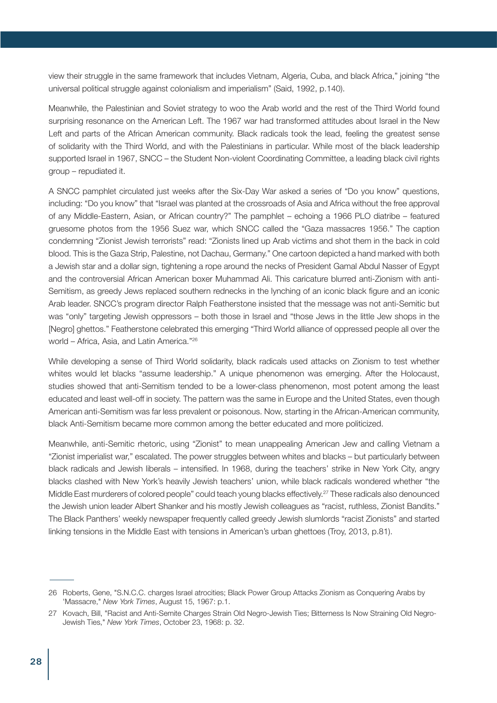view their struggle in the same framework that includes Vietnam, Algeria, Cuba, and black Africa," joining "the universal political struggle against colonialism and imperialism" (Said, 1992, p.140).

Meanwhile, the Palestinian and Soviet strategy to woo the Arab world and the rest of the Third World found surprising resonance on the American Left. The 1967 war had transformed attitudes about Israel in the New Left and parts of the African American community. Black radicals took the lead, feeling the greatest sense of solidarity with the Third World, and with the Palestinians in particular. While most of the black leadership supported Israel in 1967, SNCC – the Student Non-violent Coordinating Committee, a leading black civil rights group – repudiated it.

A SNCC pamphlet circulated just weeks after the Six-Day War asked a series of "Do you know" questions, including: "Do you know" that "Israel was planted at the crossroads of Asia and Africa without the free approval of any Middle-Eastern, Asian, or African country?" The pamphlet – echoing a 1966 PLO diatribe – featured gruesome photos from the 1956 Suez war, which SNCC called the "Gaza massacres 1956." The caption condemning "Zionist Jewish terrorists" read: "Zionists lined up Arab victims and shot them in the back in cold blood. This is the Gaza Strip, Palestine, not Dachau, Germany." One cartoon depicted a hand marked with both a Jewish star and a dollar sign, tightening a rope around the necks of President Gamal Abdul Nasser of Egypt and the controversial African American boxer Muhammad Ali. This caricature blurred anti-Zionism with anti-Semitism, as greedy Jews replaced southern rednecks in the lynching of an iconic black figure and an iconic Arab leader. SNCC's program director Ralph Featherstone insisted that the message was not anti-Semitic but was "only" targeting Jewish oppressors – both those in Israel and "those Jews in the little Jew shops in the [Negro] ghettos." Featherstone celebrated this emerging "Third World alliance of oppressed people all over the world – Africa, Asia, and Latin America."26

While developing a sense of Third World solidarity, black radicals used attacks on Zionism to test whether whites would let blacks "assume leadership." A unique phenomenon was emerging. After the Holocaust, studies showed that anti-Semitism tended to be a lower-class phenomenon, most potent among the least educated and least well-off in society. The pattern was the same in Europe and the United States, even though American anti-Semitism was far less prevalent or poisonous. Now, starting in the African-American community, black Anti-Semitism became more common among the better educated and more politicized.

Meanwhile, anti-Semitic rhetoric, using "Zionist" to mean unappealing American Jew and calling Vietnam a "Zionist imperialist war," escalated. The power struggles between whites and blacks – but particularly between black radicals and Jewish liberals – intensified. In 1968, during the teachers' strike in New York City, angry blacks clashed with New York's heavily Jewish teachers' union, while black radicals wondered whether "the Middle East murderers of colored people" could teach young blacks effectively. <sup>27</sup> These radicals also denounced the Jewish union leader Albert Shanker and his mostly Jewish colleagues as "racist, ruthless, Zionist Bandits." The Black Panthers' weekly newspaper frequently called greedy Jewish slumlords "racist Zionists" and started linking tensions in the Middle East with tensions in American's urban ghettoes (Troy, 2013, p.81).

<sup>26</sup> Roberts, Gene, "S.N.C.C. charges Israel atrocities; Black Power Group Attacks Zionism as Conquering Arabs by 'Massacre," *New York Times*, August 15, 1967: p.1.

<sup>27</sup> Kovach, Bill, "Racist and Anti-Semite Charges Strain Old Negro-Jewish Ties; Bitterness Is Now Straining Old Negro-Jewish Ties," *New York Times*, October 23, 1968: p. 32.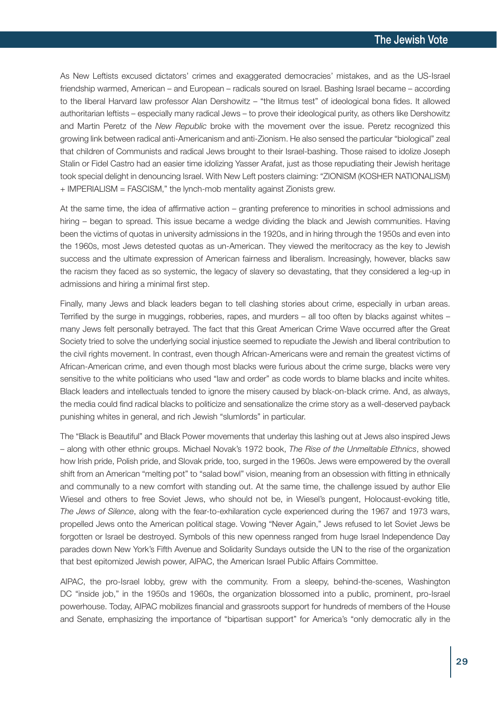As New Leftists excused dictators' crimes and exaggerated democracies' mistakes, and as the US-Israel friendship warmed, American – and European – radicals soured on Israel. Bashing Israel became – according to the liberal Harvard law professor Alan Dershowitz – "the litmus test" of ideological bona fides. It allowed authoritarian leftists – especially many radical Jews – to prove their ideological purity, as others like Dershowitz and Martin Peretz of the *New Republic* broke with the movement over the issue. Peretz recognized this growing link between radical anti-Americanism and anti-Zionism. He also sensed the particular "biological" zeal that children of Communists and radical Jews brought to their Israel-bashing. Those raised to idolize Joseph Stalin or Fidel Castro had an easier time idolizing Yasser Arafat, just as those repudiating their Jewish heritage took special delight in denouncing Israel. With New Left posters claiming: "ZIONISM (KOSHER NATIONALISM) + IMPERIALISM = FASCISM," the lynch-mob mentality against Zionists grew.

At the same time, the idea of affirmative action – granting preference to minorities in school admissions and hiring – began to spread. This issue became a wedge dividing the black and Jewish communities. Having been the victims of quotas in university admissions in the 1920s, and in hiring through the 1950s and even into the 1960s, most Jews detested quotas as un-American. They viewed the meritocracy as the key to Jewish success and the ultimate expression of American fairness and liberalism. Increasingly, however, blacks saw the racism they faced as so systemic, the legacy of slavery so devastating, that they considered a leg-up in admissions and hiring a minimal first step.

Finally, many Jews and black leaders began to tell clashing stories about crime, especially in urban areas. Terrified by the surge in muggings, robberies, rapes, and murders – all too often by blacks against whites – many Jews felt personally betrayed. The fact that this Great American Crime Wave occurred after the Great Society tried to solve the underlying social injustice seemed to repudiate the Jewish and liberal contribution to the civil rights movement. In contrast, even though African-Americans were and remain the greatest victims of African-American crime, and even though most blacks were furious about the crime surge, blacks were very sensitive to the white politicians who used "law and order" as code words to blame blacks and incite whites. Black leaders and intellectuals tended to ignore the misery caused by black-on-black crime. And, as always, the media could find radical blacks to politicize and sensationalize the crime story as a well-deserved payback punishing whites in general, and rich Jewish "slumlords" in particular.

The "Black is Beautiful" and Black Power movements that underlay this lashing out at Jews also inspired Jews – along with other ethnic groups. Michael Novak's 1972 book, *The Rise of the Unmeltable Ethnics*, showed how Irish pride, Polish pride, and Slovak pride, too, surged in the 1960s. Jews were empowered by the overall shift from an American "melting pot" to "salad bowl" vision, meaning from an obsession with fitting in ethnically and communally to a new comfort with standing out. At the same time, the challenge issued by author Elie Wiesel and others to free Soviet Jews, who should not be, in Wiesel's pungent, Holocaust-evoking title, *The Jews of Silence*, along with the fear-to-exhilaration cycle experienced during the 1967 and 1973 wars, propelled Jews onto the American political stage. Vowing "Never Again," Jews refused to let Soviet Jews be forgotten or Israel be destroyed. Symbols of this new openness ranged from huge Israel Independence Day parades down New York's Fifth Avenue and Solidarity Sundays outside the UN to the rise of the organization that best epitomized Jewish power, AIPAC, the American Israel Public Affairs Committee.

AIPAC, the pro-Israel lobby, grew with the community. From a sleepy, behind-the-scenes, Washington DC "inside job," in the 1950s and 1960s, the organization blossomed into a public, prominent, pro-Israel powerhouse. Today, AIPAC mobilizes financial and grassroots support for hundreds of members of the House and Senate, emphasizing the importance of "bipartisan support" for America's "only democratic ally in the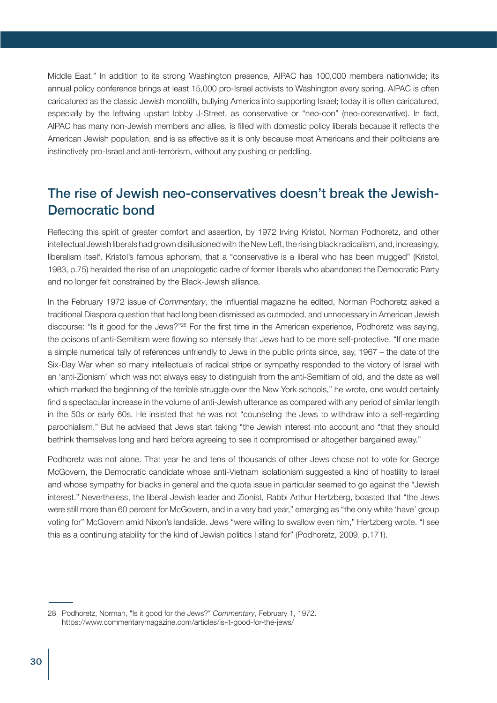Middle East." In addition to its strong Washington presence, AIPAC has 100,000 members nationwide; its annual policy conference brings at least 15,000 pro-Israel activists to Washington every spring. AIPAC is often caricatured as the classic Jewish monolith, bullying America into supporting Israel; today it is often caricatured, especially by the leftwing upstart lobby J-Street, as conservative or "neo-con" (neo-conservative). In fact, AIPAC has many non-Jewish members and allies, is filled with domestic policy liberals because it reflects the American Jewish population, and is as effective as it is only because most Americans and their politicians are instinctively pro-Israel and anti-terrorism, without any pushing or peddling.

# The rise of Jewish neo-conservatives doesn't break the Jewish-Democratic bond

Reflecting this spirit of greater comfort and assertion, by 1972 Irving Kristol, Norman Podhoretz, and other intellectual Jewish liberals had grown disillusioned with the New Left, the rising black radicalism, and, increasingly, liberalism itself. Kristol's famous aphorism, that a "conservative is a liberal who has been mugged" (Kristol, 1983, p.75) heralded the rise of an unapologetic cadre of former liberals who abandoned the Democratic Party and no longer felt constrained by the Black-Jewish alliance.

In the February 1972 issue of *Commentary*, the influential magazine he edited, Norman Podhoretz asked a traditional Diaspora question that had long been dismissed as outmoded, and unnecessary in American Jewish discourse: "Is it good for the Jews?"28 For the first time in the American experience, Podhoretz was saying, the poisons of anti-Semitism were flowing so intensely that Jews had to be more self-protective. "If one made a simple numerical tally of references unfriendly to Jews in the public prints since, say, 1967 – the date of the Six-Day War when so many intellectuals of radical stripe or sympathy responded to the victory of Israel with an 'anti-Zionism' which was not always easy to distinguish from the anti-Semitism of old, and the date as well which marked the beginning of the terrible struggle over the New York schools," he wrote, one would certainly find a spectacular increase in the volume of anti-Jewish utterance as compared with any period of similar length in the 50s or early 60s. He insisted that he was not "counseling the Jews to withdraw into a self-regarding parochialism." But he advised that Jews start taking "the Jewish interest into account and "that they should bethink themselves long and hard before agreeing to see it compromised or altogether bargained away."

Podhoretz was not alone. That year he and tens of thousands of other Jews chose not to vote for George McGovern, the Democratic candidate whose anti-Vietnam isolationism suggested a kind of hostility to Israel and whose sympathy for blacks in general and the quota issue in particular seemed to go against the "Jewish interest." Nevertheless, the liberal Jewish leader and Zionist, Rabbi Arthur Hertzberg, boasted that "the Jews were still more than 60 percent for McGovern, and in a very bad year," emerging as "the only white 'have' group voting for" McGovern amid Nixon's landslide. Jews "were willing to swallow even him," Hertzberg wrote. "I see this as a continuing stability for the kind of Jewish politics I stand for" (Podhoretz, 2009, p.171).

<sup>28</sup> Podhoretz, Norman, "Is it good for the Jews?" *Commentary*, February 1, 1972. https://www.commentarymagazine.com/articles/is-it-good-for-the-jews/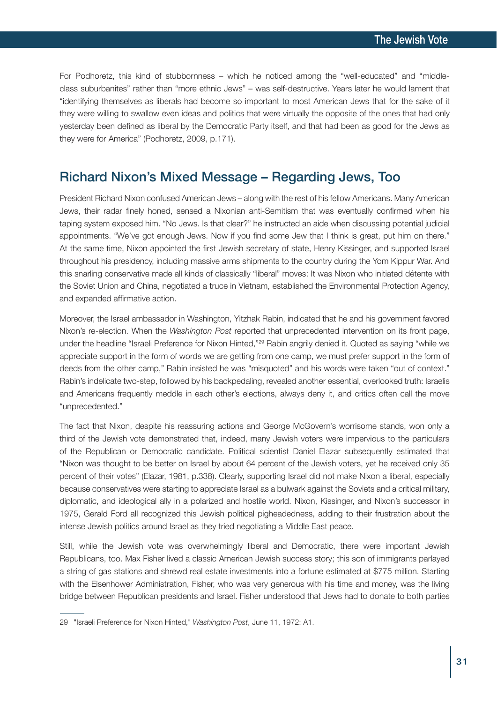For Podhoretz, this kind of stubbornness – which he noticed among the "well-educated" and "middleclass suburbanites" rather than "more ethnic Jews" – was self-destructive. Years later he would lament that "identifying themselves as liberals had become so important to most American Jews that for the sake of it they were willing to swallow even ideas and politics that were virtually the opposite of the ones that had only yesterday been defined as liberal by the Democratic Party itself, and that had been as good for the Jews as they were for America" (Podhoretz, 2009, p.171).

### Richard Nixon's Mixed Message – Regarding Jews, Too

President Richard Nixon confused American Jews – along with the rest of his fellow Americans. Many American Jews, their radar finely honed, sensed a Nixonian anti-Semitism that was eventually confirmed when his taping system exposed him. "No Jews. Is that clear?" he instructed an aide when discussing potential judicial appointments. "We've got enough Jews. Now if you find some Jew that I think is great, put him on there." At the same time, Nixon appointed the first Jewish secretary of state, Henry Kissinger, and supported Israel throughout his presidency, including massive arms shipments to the country during the Yom Kippur War. And this snarling conservative made all kinds of classically "liberal" moves: It was Nixon who initiated détente with the Soviet Union and China, negotiated a truce in Vietnam, established the Environmental Protection Agency, and expanded affirmative action.

Moreover, the Israel ambassador in Washington, Yitzhak Rabin, indicated that he and his government favored Nixon's re-election. When the *Washington Post* reported that unprecedented intervention on its front page, under the headline "Israeli Preference for Nixon Hinted,"<sup>29</sup> Rabin angrily denied it. Quoted as saying "while we appreciate support in the form of words we are getting from one camp, we must prefer support in the form of deeds from the other camp," Rabin insisted he was "misquoted" and his words were taken "out of context." Rabin's indelicate two-step, followed by his backpedaling, revealed another essential, overlooked truth: Israelis and Americans frequently meddle in each other's elections, always deny it, and critics often call the move "unprecedented."

The fact that Nixon, despite his reassuring actions and George McGovern's worrisome stands, won only a third of the Jewish vote demonstrated that, indeed, many Jewish voters were impervious to the particulars of the Republican or Democratic candidate. Political scientist Daniel Elazar subsequently estimated that "Nixon was thought to be better on Israel by about 64 percent of the Jewish voters, yet he received only 35 percent of their votes" (Elazar, 1981, p.338). Clearly, supporting Israel did not make Nixon a liberal, especially because conservatives were starting to appreciate Israel as a bulwark against the Soviets and a critical military, diplomatic, and ideological ally in a polarized and hostile world. Nixon, Kissinger, and Nixon's successor in 1975, Gerald Ford all recognized this Jewish political pigheadedness, adding to their frustration about the intense Jewish politics around Israel as they tried negotiating a Middle East peace.

Still, while the Jewish vote was overwhelmingly liberal and Democratic, there were important Jewish Republicans, too. Max Fisher lived a classic American Jewish success story; this son of immigrants parlayed a string of gas stations and shrewd real estate investments into a fortune estimated at \$775 million. Starting with the Eisenhower Administration, Fisher, who was very generous with his time and money, was the living bridge between Republican presidents and Israel. Fisher understood that Jews had to donate to both parties

<sup>29</sup> "Israeli Preference for Nixon Hinted," *Washington Post*, June 11, 1972: A1.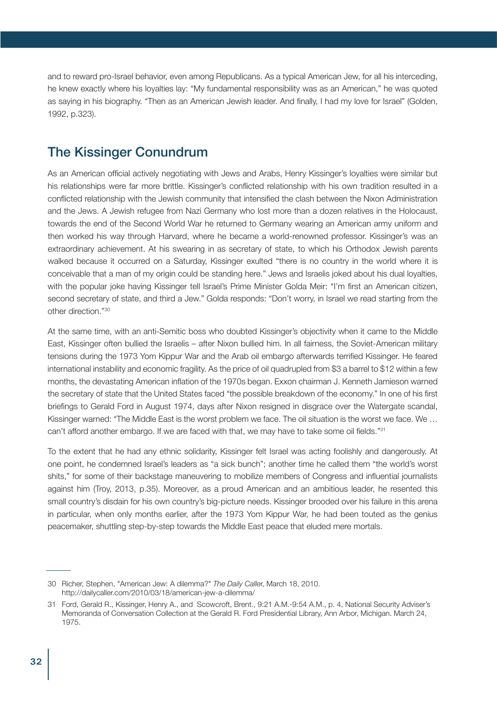and to reward pro-Israel behavior, even among Republicans. As a typical American Jew, for all his interceding, he knew exactly where his loyalties lay: "My fundamental responsibility was as an American," he was quoted as saying in his biography. "Then as an American Jewish leader. And finally, I had my love for Israel" (Golden, 1992, p.323).

#### The Kissinger Conundrum

As an American official actively negotiating with Jews and Arabs, Henry Kissinger's loyalties were similar but his relationships were far more brittle. Kissinger's conflicted relationship with his own tradition resulted in a conflicted relationship with the Jewish community that intensified the clash between the Nixon Administration and the Jews. A Jewish refugee from Nazi Germany who lost more than a dozen relatives in the Holocaust, towards the end of the Second World War he returned to Germany wearing an American army uniform and then worked his way through Harvard, where he became a world-renowned professor. Kissinger's was an extraordinary achievement. At his swearing in as secretary of state, to which his Orthodox Jewish parents walked because it occurred on a Saturday, Kissinger exulted "there is no country in the world where it is conceivable that a man of my origin could be standing here." Jews and Israelis joked about his dual loyalties, with the popular joke having Kissinger tell Israel's Prime Minister Golda Meir: "I'm first an American citizen, second secretary of state, and third a Jew." Golda responds: "Don't worry, in Israel we read starting from the other direction."30

At the same time, with an anti-Semitic boss who doubted Kissinger's objectivity when it came to the Middle East, Kissinger often bullied the Israelis – after Nixon bullied him. In all fairness, the Soviet-American military tensions during the 1973 Yom Kippur War and the Arab oil embargo afterwards terrified Kissinger. He feared international instability and economic fragility. As the price of oil quadrupled from \$3 a barrel to \$12 within a few months, the devastating American inflation of the 1970s began. Exxon chairman J. Kenneth Jamieson warned the secretary of state that the United States faced "the possible breakdown of the economy." In one of his first briefings to Gerald Ford in August 1974, days after Nixon resigned in disgrace over the Watergate scandal, Kissinger warned: "The Middle East is the worst problem we face. The oil situation is the worst we face. We … can't afford another embargo. If we are faced with that, we may have to take some oil fields."31

To the extent that he had any ethnic solidarity, Kissinger felt Israel was acting foolishly and dangerously. At one point, he condemned Israel's leaders as "a sick bunch"; another time he called them "the world's worst shits," for some of their backstage maneuvering to mobilize members of Congress and influential journalists against him (Troy, 2013, p.35). Moreover, as a proud American and an ambitious leader, he resented this small country's disdain for his own country's big-picture needs. Kissinger brooded over his failure in this arena in particular, when only months earlier, after the 1973 Yom Kippur War, he had been touted as the genius peacemaker, shuttling step-by-step towards the Middle East peace that eluded mere mortals.

<sup>30</sup> Richer, Stephen, "American Jew: A dilemma?" *The Daily Calle*r, March 18, 2010. http://dailycaller.com/2010/03/18/american-jew-a-dilemma/

<sup>31</sup> Ford, Gerald R., Kissinger, Henry A., and Scowcroft, Brent., 9:21 A.M.-9:54 A.M., p. 4, National Security Adviser's Memoranda of Conversation Collection at the Gerald R. Ford Presidential Library, Ann Arbor, Michigan. March 24, 1975.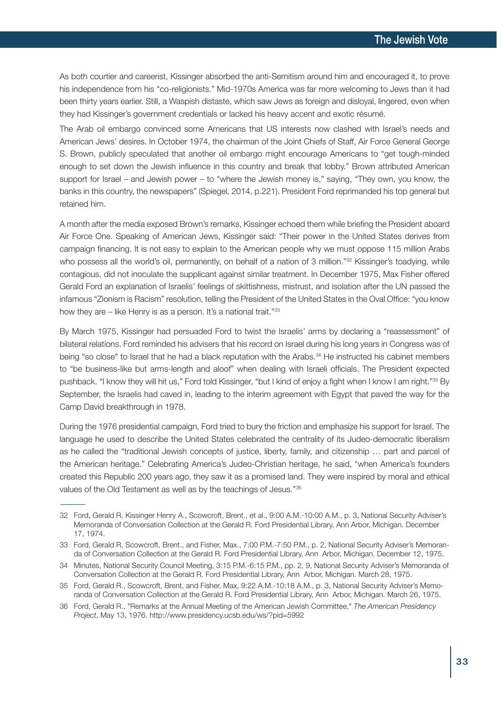As both courtier and careerist, Kissinger absorbed the anti-Semitism around him and encouraged it, to prove his independence from his "co-religionists." Mid-1970s America was far more welcoming to Jews than it had been thirty years earlier. Still, a Waspish distaste, which saw Jews as foreign and disloyal, lingered, even when they had Kissinger's government credentials or lacked his heavy accent and exotic résumé.

The Arab oil embargo convinced some Americans that US interests now clashed with Israel's needs and American Jews' desires. In October 1974, the chairman of the Joint Chiefs of Staff, Air Force General George S. Brown, publicly speculated that another oil embargo might encourage Americans to "get tough-minded enough to set down the Jewish influence in this country and break that lobby." Brown attributed American support for Israel – and Jewish power – to "where the Jewish money is," saying, "They own, you know, the banks in this country, the newspapers" (Spiegel, 2014, p.221). President Ford reprimanded his top general but retained him.

A month after the media exposed Brown's remarks, Kissinger echoed them while briefing the President aboard Air Force One. Speaking of American Jews, Kissinger said: "Their power in the United States derives from campaign financing. It is not easy to explain to the American people why we must oppose 115 million Arabs who possess all the world's oil, permanently, on behalf of a nation of 3 million."<sup>32</sup> Kissinger's toadying, while contagious, did not inoculate the supplicant against similar treatment. In December 1975, Max Fisher offered Gerald Ford an explanation of Israelis' feelings of skittishness, mistrust, and isolation after the UN passed the infamous "Zionism is Racism" resolution, telling the President of the United States in the Oval Office: "you know how they are – like Henry is as a person. It's a national trait."33

By March 1975, Kissinger had persuaded Ford to twist the Israelis' arms by declaring a "reassessment" of bilateral relations. Ford reminded his advisers that his record on Israel during his long years in Congress was of being "so close" to Israel that he had a black reputation with the Arabs.<sup>34</sup> He instructed his cabinet members to "be business-like but arms-length and aloof" when dealing with Israeli officials. The President expected pushback. "I know they will hit us," Ford told Kissinger, "but I kind of enjoy a fight when I know I am right."35 By September, the Israelis had caved in, leading to the interim agreement with Egypt that paved the way for the Camp David breakthrough in 1978.

During the 1976 presidential campaign, Ford tried to bury the friction and emphasize his support for Israel. The language he used to describe the United States celebrated the centrality of its Judeo-democratic liberalism as he called the "traditional Jewish concepts of justice, liberty, family, and citizenship … part and parcel of the American heritage." Celebrating America's Judeo-Christian heritage, he said, "when America's founders created this Republic 200 years ago, they saw it as a promised land. They were inspired by moral and ethical values of the Old Testament as well as by the teachings of Jesus."36

<sup>32</sup> Ford, Gerald R, Kissinger Henry A., Scowcroft, Brent., et al., 9:00 A.M.-10:00 A.M., p. 3, National Security Adviser's Memoranda of Conversation Collection at the Gerald R. Ford Presidential Library, Ann Arbor, Michigan. December 17, 1974.

<sup>33</sup> Ford, Gerald R, Scowcroft, Brent., and Fisher, Max., 7:00 P.M.-7:50 P.M., p. 2, National Security Adviser's Memoranda of Conversation Collection at the Gerald R. Ford Presidential Library, Ann Arbor, Michigan. December 12, 1975.

<sup>34</sup> Minutes, National Security Council Meeting, 3:15 P.M.-6:15 P.M., pp. 2, 9, National Security Adviser's Memoranda of Conversation Collection at the Gerald R. Ford Presidential Library, Ann Arbor, Michigan. March 28, 1975.

<sup>35</sup> Ford, Gerald R., Scowcroft, Brent, and Fisher, Max, 9:22 A.M.-10:18 A.M., p. 3, National Security Adviser's Memoranda of Conversation Collection at the Gerald R. Ford Presidential Library, Ann Arbor, Michigan. March 26, 1975.

<sup>36</sup> Ford, Gerald R., "Remarks at the Annual Meeting of the American Jewish Committee," *The American Presidency Project*, May 13, 1976. http://www.presidency.ucsb.edu/ws/?pid=5992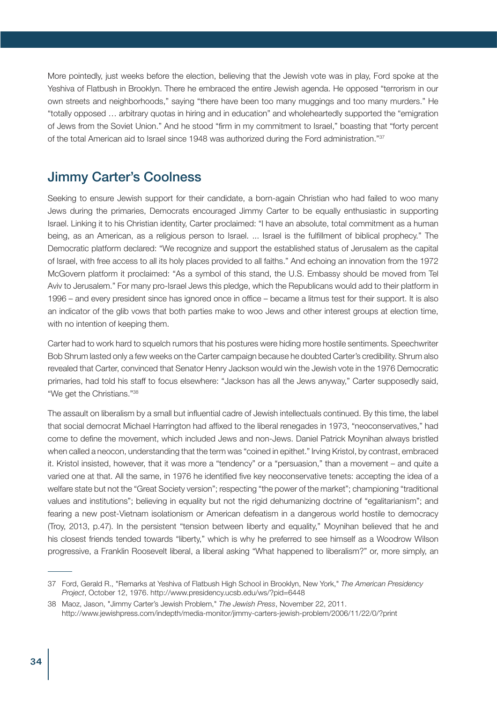More pointedly, just weeks before the election, believing that the Jewish vote was in play, Ford spoke at the Yeshiva of Flatbush in Brooklyn. There he embraced the entire Jewish agenda. He opposed "terrorism in our own streets and neighborhoods," saying "there have been too many muggings and too many murders." He "totally opposed … arbitrary quotas in hiring and in education" and wholeheartedly supported the "emigration of Jews from the Soviet Union." And he stood "firm in my commitment to Israel," boasting that "forty percent of the total American aid to Israel since 1948 was authorized during the Ford administration."37

### Jimmy Carter's Coolness

Seeking to ensure Jewish support for their candidate, a born-again Christian who had failed to woo many Jews during the primaries, Democrats encouraged Jimmy Carter to be equally enthusiastic in supporting Israel. Linking it to his Christian identity, Carter proclaimed: "I have an absolute, total commitment as a human being, as an American, as a religious person to Israel. ... Israel is the fulfillment of biblical prophecy." The Democratic platform declared: "We recognize and support the established status of Jerusalem as the capital of Israel, with free access to all its holy places provided to all faiths." And echoing an innovation from the 1972 McGovern platform it proclaimed: "As a symbol of this stand, the U.S. Embassy should be moved from Tel Aviv to Jerusalem." For many pro-Israel Jews this pledge, which the Republicans would add to their platform in 1996 – and every president since has ignored once in office – became a litmus test for their support. It is also an indicator of the glib vows that both parties make to woo Jews and other interest groups at election time, with no intention of keeping them.

Carter had to work hard to squelch rumors that his postures were hiding more hostile sentiments. Speechwriter Bob Shrum lasted only a few weeks on the Carter campaign because he doubted Carter's credibility. Shrum also revealed that Carter, convinced that Senator Henry Jackson would win the Jewish vote in the 1976 Democratic primaries, had told his staff to focus elsewhere: "Jackson has all the Jews anyway," Carter supposedly said, "We get the Christians."38

The assault on liberalism by a small but influential cadre of Jewish intellectuals continued. By this time, the label that social democrat Michael Harrington had affixed to the liberal renegades in 1973, "neoconservatives," had come to define the movement, which included Jews and non-Jews. Daniel Patrick Moynihan always bristled when called a neocon, understanding that the term was "coined in epithet." Irving Kristol, by contrast, embraced it. Kristol insisted, however, that it was more a "tendency" or a "persuasion," than a movement – and quite a varied one at that. All the same, in 1976 he identified five key neoconservative tenets: accepting the idea of a welfare state but not the "Great Society version"; respecting "the power of the market"; championing "traditional values and institutions"; believing in equality but not the rigid dehumanizing doctrine of "egalitarianism"; and fearing a new post-Vietnam isolationism or American defeatism in a dangerous world hostile to democracy (Troy, 2013, p.47). In the persistent "tension between liberty and equality," Moynihan believed that he and his closest friends tended towards "liberty," which is why he preferred to see himself as a Woodrow Wilson progressive, a Franklin Roosevelt liberal, a liberal asking "What happened to liberalism?" or, more simply, an

<sup>37</sup> Ford, Gerald R., "Remarks at Yeshiva of Flatbush High School in Brooklyn, New York," *The American Presidency Project*, October 12, 1976. http://www.presidency.ucsb.edu/ws/?pid=6448

<sup>38</sup> Maoz, Jason, "Jimmy Carter's Jewish Problem," *The Jewish Press*, November 22, 2011. http://www.jewishpress.com/indepth/media-monitor/jimmy-carters-jewish-problem/2006/11/22/0/?print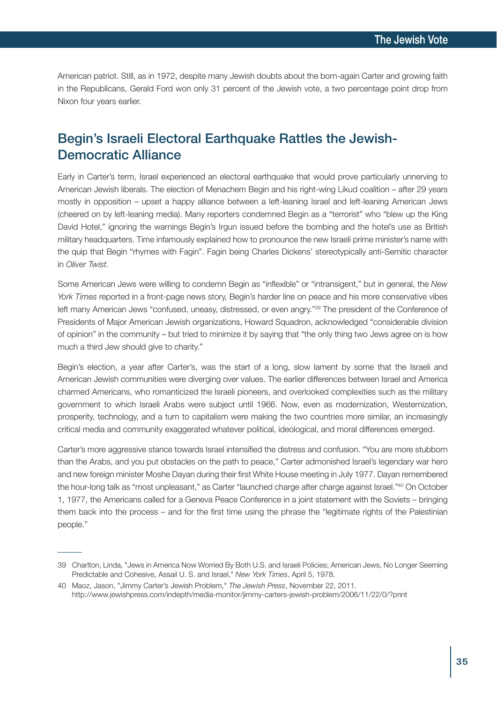American patriot. Still, as in 1972, despite many Jewish doubts about the born-again Carter and growing faith in the Republicans, Gerald Ford won only 31 percent of the Jewish vote, a two percentage point drop from Nixon four years earlier.

# Begin's Israeli Electoral Earthquake Rattles the Jewish-Democratic Alliance

Early in Carter's term, Israel experienced an electoral earthquake that would prove particularly unnerving to American Jewish liberals. The election of Menachem Begin and his right-wing Likud coalition – after 29 years mostly in opposition – upset a happy alliance between a left-leaning Israel and left-leaning American Jews (cheered on by left-leaning media). Many reporters condemned Begin as a "terrorist" who "blew up the King David Hotel," ignoring the warnings Begin's Irgun issued before the bombing and the hotel's use as British military headquarters. Time infamously explained how to pronounce the new Israeli prime minister's name with the quip that Begin "rhymes with Fagin". Fagin being Charles Dickens' stereotypically anti-Semitic character in *Oliver Twist*.

Some American Jews were willing to condemn Begin as "inflexible" or "intransigent," but in general, the *New York Times* reported in a front-page news story, Begin's harder line on peace and his more conservative vibes left many American Jews "confused, uneasy, distressed, or even angry."<sup>39</sup> The president of the Conference of Presidents of Major American Jewish organizations, Howard Squadron, acknowledged "considerable division of opinion" in the community – but tried to minimize it by saying that "the only thing two Jews agree on is how much a third Jew should give to charity."

Begin's election, a year after Carter's, was the start of a long, slow lament by some that the Israeli and American Jewish communities were diverging over values. The earlier differences between Israel and America charmed Americans, who romanticized the Israeli pioneers, and overlooked complexities such as the military government to which Israeli Arabs were subject until 1966. Now, even as modernization, Westernization, prosperity, technology, and a turn to capitalism were making the two countries more similar, an increasingly critical media and community exaggerated whatever political, ideological, and moral differences emerged.

Carter's more aggressive stance towards Israel intensified the distress and confusion. "You are more stubborn than the Arabs, and you put obstacles on the path to peace," Carter admonished Israel's legendary war hero and new foreign minister Moshe Dayan during their first White House meeting in July 1977. Dayan remembered the hour-long talk as "most unpleasant," as Carter "launched charge after charge against Israel."40 On October 1, 1977, the Americans called for a Geneva Peace Conference in a joint statement with the Soviets – bringing them back into the process – and for the first time using the phrase the "legitimate rights of the Palestinian people."

<sup>39</sup> Charlton, Linda, "Jews in America Now Worried By Both U.S. and Israeli Policies; American Jews, No Longer Seeming Predictable and Cohesive, Assail U. S. and Israel," *New York Times*, April 5, 1978.

<sup>40</sup> Maoz, Jason, "Jimmy Carter's Jewish Problem," *The Jewish Press*, November 22, 2011. http://www.jewishpress.com/indepth/media-monitor/jimmy-carters-jewish-problem/2006/11/22/0/?print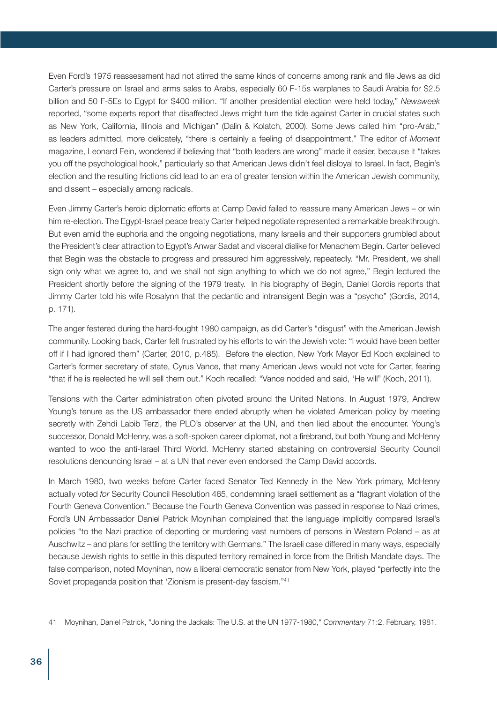Even Ford's 1975 reassessment had not stirred the same kinds of concerns among rank and file Jews as did Carter's pressure on Israel and arms sales to Arabs, especially 60 F-15s warplanes to Saudi Arabia for \$2.5 billion and 50 F-5Es to Egypt for \$400 million. "If another presidential election were held today," *Newsweek* reported, "some experts report that disaffected Jews might turn the tide against Carter in crucial states such as New York, California, Illinois and Michigan" (Dalin & Kolatch, 2000). Some Jews called him "pro-Arab," as leaders admitted, more delicately, "there is certainly a feeling of disappointment." The editor of *Moment* magazine, Leonard Fein, wondered if believing that "both leaders are wrong" made it easier, because it "takes you off the psychological hook," particularly so that American Jews didn't feel disloyal to Israel. In fact, Begin's election and the resulting frictions did lead to an era of greater tension within the American Jewish community, and dissent – especially among radicals.

Even Jimmy Carter's heroic diplomatic efforts at Camp David failed to reassure many American Jews – or win him re-election. The Egypt-Israel peace treaty Carter helped negotiate represented a remarkable breakthrough. But even amid the euphoria and the ongoing negotiations, many Israelis and their supporters grumbled about the President's clear attraction to Egypt's Anwar Sadat and visceral dislike for Menachem Begin. Carter believed that Begin was the obstacle to progress and pressured him aggressively, repeatedly. "Mr. President, we shall sign only what we agree to, and we shall not sign anything to which we do not agree," Begin lectured the President shortly before the signing of the 1979 treaty. In his biography of Begin, Daniel Gordis reports that Jimmy Carter told his wife Rosalynn that the pedantic and intransigent Begin was a "psycho" (Gordis, 2014, p. 171).

The anger festered during the hard-fought 1980 campaign, as did Carter's "disgust" with the American Jewish community. Looking back, Carter felt frustrated by his efforts to win the Jewish vote: "I would have been better off if I had ignored them" (Carter, 2010, p.485). Before the election, New York Mayor Ed Koch explained to Carter's former secretary of state, Cyrus Vance, that many American Jews would not vote for Carter, fearing "that if he is reelected he will sell them out." Koch recalled: "Vance nodded and said, 'He will" (Koch, 2011).

Tensions with the Carter administration often pivoted around the United Nations. In August 1979, Andrew Young's tenure as the US ambassador there ended abruptly when he violated American policy by meeting secretly with Zehdi Labib Terzi, the PLO's observer at the UN, and then lied about the encounter. Young's successor, Donald McHenry, was a soft-spoken career diplomat, not a firebrand, but both Young and McHenry wanted to woo the anti-Israel Third World. McHenry started abstaining on controversial Security Council resolutions denouncing Israel – at a UN that never even endorsed the Camp David accords.

In March 1980, two weeks before Carter faced Senator Ted Kennedy in the New York primary, McHenry actually voted *for* Security Council Resolution 465, condemning Israeli settlement as a "flagrant violation of the Fourth Geneva Convention." Because the Fourth Geneva Convention was passed in response to Nazi crimes, Ford's UN Ambassador Daniel Patrick Moynihan complained that the language implicitly compared Israel's policies "to the Nazi practice of deporting or murdering vast numbers of persons in Western Poland – as at Auschwitz – and plans for settling the territory with Germans." The Israeli case differed in many ways, especially because Jewish rights to settle in this disputed territory remained in force from the British Mandate days. The false comparison, noted Moynihan, now a liberal democratic senator from New York, played "perfectly into the Soviet propaganda position that 'Zionism is present-day fascism."41

<sup>41</sup> Moynihan, Daniel Patrick, "Joining the Jackals: The U.S. at the UN 1977-1980," *Commentary* 71:2, February, 1981.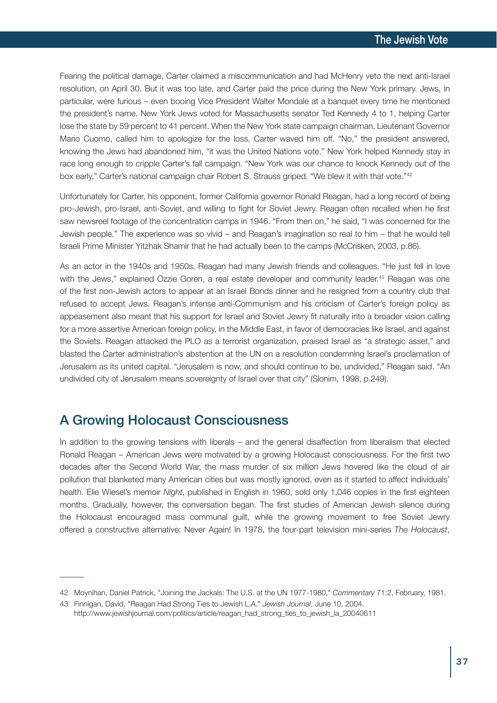Fearing the political damage, Carter claimed a miscommunication and had McHenry veto the next anti-Israel resolution, on April 30. But it was too late, and Carter paid the price during the New York primary. Jews, in particular, were furious – even booing Vice President Walter Mondale at a banquet every time he mentioned the president's name. New York Jews voted for Massachusetts senator Ted Kennedy 4 to 1, helping Carter lose the state by 59 percent to 41 percent. When the New York state campaign chairman, Lieutenant Governor Mario Cuomo, called him to apologize for the loss, Carter waved him off. "No," the president answered, knowing the Jews had abandoned him, "it was the United Nations vote." New York helped Kennedy stay in race long enough to cripple Carter's fall campaign. "New York was our chance to knock Kennedy out of the box early," Carter's national campaign chair Robert S. Strauss griped. "We blew it with that vote."<sup>42</sup>

Unfortunately for Carter, his opponent, former California governor Ronald Reagan, had a long record of being pro-Jewish, pro-Israel, anti-Soviet, and willing to fight for Soviet Jewry. Reagan often recalled when he first saw newsreel footage of the concentration camps in 1946. "From then on," he said, "I was concerned for the Jewish people." The experience was so vivid – and Reagan's imagination so real to him – that he would tell Israeli Prime Minister Yitzhak Shamir that he had actually been to the camps (McCrisken, 2003, p.86).

As an actor in the 1940s and 1950s, Reagan had many Jewish friends and colleagues. "He just fell in love with the Jews," explained Ozzie Goren, a real estate developer and community leader. <sup>43</sup> Reagan was one of the first non-Jewish actors to appear at an Israel Bonds dinner and he resigned from a country club that refused to accept Jews. Reagan's intense anti-Communism and his criticism of Carter's foreign policy as appeasement also meant that his support for Israel and Soviet Jewry fit naturally into a broader vision calling for a more assertive American foreign policy, in the Middle East, in favor of democracies like Israel, and against the Soviets. Reagan attacked the PLO as a terrorist organization, praised Israel as "a strategic asset," and blasted the Carter administration's abstention at the UN on a resolution condemning Israel's proclamation of Jerusalem as its united capital. "Jerusalem is now, and should continue to be, undivided," Reagan said. "An undivided city of Jerusalem means sovereignty of Israel over that city" (Slonim, 1998, p.249).

# A Growing Holocaust Consciousness

In addition to the growing tensions with liberals – and the general disaffection from liberalism that elected Ronald Reagan – American Jews were motivated by a growing Holocaust consciousness. For the first two decades after the Second World War, the mass murder of six million Jews hovered like the cloud of air pollution that blanketed many American cities but was mostly ignored, even as it started to affect individuals' health. Elie Wiesel's memoir *Night*, published in English in 1960, sold only 1,046 copies in the first eighteen months. Gradually, however, the conversation began. The first studies of American Jewish silence during the Holocaust encouraged mass communal guilt, while the growing movement to free Soviet Jewry offered a constructive alternative: Never Again! In 1978, the four-part television mini-series *The Holocaust*,

<sup>42</sup> Moynihan, Daniel Patrick, "Joining the Jackals: The U.S. at the UN 1977-1980," *Commentary* 71:2, February, 1981.

<sup>43</sup> Finnigan, David, "Reagan Had Strong Ties to Jewish L.A." *Jewish Journal*, June 10, 2004. http://www.jewishjournal.com/politics/article/reagan\_had\_strong\_ties\_to\_jewish\_la\_20040611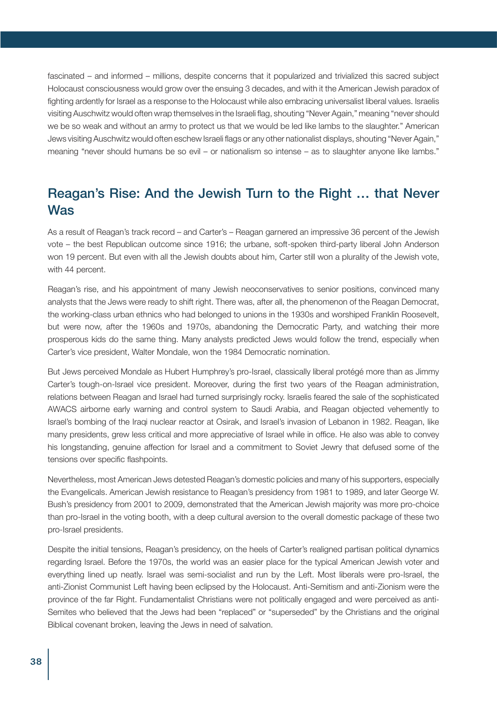fascinated – and informed – millions, despite concerns that it popularized and trivialized this sacred subject Holocaust consciousness would grow over the ensuing 3 decades, and with it the American Jewish paradox of fighting ardently for Israel as a response to the Holocaust while also embracing universalist liberal values. Israelis visiting Auschwitz would often wrap themselves in the Israeli flag, shouting "Never Again," meaning "never should we be so weak and without an army to protect us that we would be led like lambs to the slaughter." American Jews visiting Auschwitz would often eschew Israeli flags or any other nationalist displays, shouting "Never Again," meaning "never should humans be so evil – or nationalism so intense – as to slaughter anyone like lambs."

# Reagan's Rise: And the Jewish Turn to the Right … that Never Was

As a result of Reagan's track record – and Carter's – Reagan garnered an impressive 36 percent of the Jewish vote – the best Republican outcome since 1916; the urbane, soft-spoken third-party liberal John Anderson won 19 percent. But even with all the Jewish doubts about him, Carter still won a plurality of the Jewish vote, with 44 percent.

Reagan's rise, and his appointment of many Jewish neoconservatives to senior positions, convinced many analysts that the Jews were ready to shift right. There was, after all, the phenomenon of the Reagan Democrat, the working-class urban ethnics who had belonged to unions in the 1930s and worshiped Franklin Roosevelt, but were now, after the 1960s and 1970s, abandoning the Democratic Party, and watching their more prosperous kids do the same thing. Many analysts predicted Jews would follow the trend, especially when Carter's vice president, Walter Mondale, won the 1984 Democratic nomination.

But Jews perceived Mondale as Hubert Humphrey's pro-Israel, classically liberal protégé more than as Jimmy Carter's tough-on-Israel vice president. Moreover, during the first two years of the Reagan administration, relations between Reagan and Israel had turned surprisingly rocky. Israelis feared the sale of the sophisticated AWACS airborne early warning and control system to Saudi Arabia, and Reagan objected vehemently to Israel's bombing of the Iraqi nuclear reactor at Osirak, and Israel's invasion of Lebanon in 1982. Reagan, like many presidents, grew less critical and more appreciative of Israel while in office. He also was able to convey his longstanding, genuine affection for Israel and a commitment to Soviet Jewry that defused some of the tensions over specific flashpoints.

Nevertheless, most American Jews detested Reagan's domestic policies and many of his supporters, especially the Evangelicals. American Jewish resistance to Reagan's presidency from 1981 to 1989, and later George W. Bush's presidency from 2001 to 2009, demonstrated that the American Jewish majority was more pro-choice than pro-Israel in the voting booth, with a deep cultural aversion to the overall domestic package of these two pro-Israel presidents.

Despite the initial tensions, Reagan's presidency, on the heels of Carter's realigned partisan political dynamics regarding Israel. Before the 1970s, the world was an easier place for the typical American Jewish voter and everything lined up neatly. Israel was semi-socialist and run by the Left. Most liberals were pro-Israel, the anti-Zionist Communist Left having been eclipsed by the Holocaust. Anti-Semitism and anti-Zionism were the province of the far Right. Fundamentalist Christians were not politically engaged and were perceived as anti-Semites who believed that the Jews had been "replaced" or "superseded" by the Christians and the original Biblical covenant broken, leaving the Jews in need of salvation.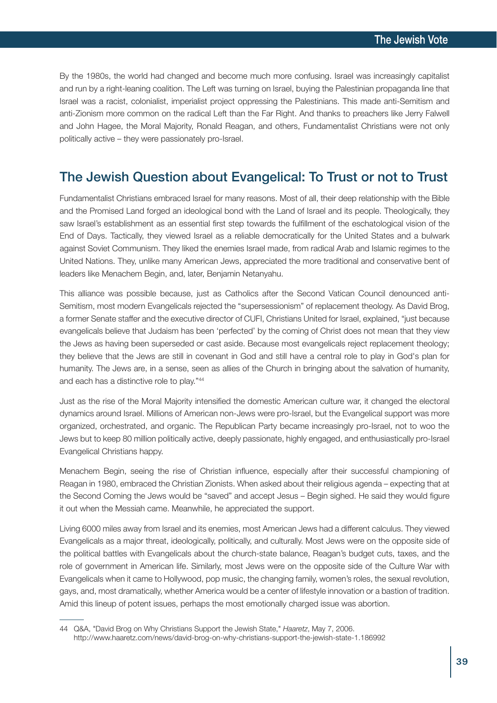By the 1980s, the world had changed and become much more confusing. Israel was increasingly capitalist and run by a right-leaning coalition. The Left was turning on Israel, buying the Palestinian propaganda line that Israel was a racist, colonialist, imperialist project oppressing the Palestinians. This made anti-Semitism and anti-Zionism more common on the radical Left than the Far Right. And thanks to preachers like Jerry Falwell and John Hagee, the Moral Majority, Ronald Reagan, and others, Fundamentalist Christians were not only politically active – they were passionately pro-Israel.

### The Jewish Question about Evangelical: To Trust or not to Trust

Fundamentalist Christians embraced Israel for many reasons. Most of all, their deep relationship with the Bible and the Promised Land forged an ideological bond with the Land of Israel and its people. Theologically, they saw Israel's establishment as an essential first step towards the fulfillment of the eschatological vision of the End of Days. Tactically, they viewed Israel as a reliable democratically for the United States and a bulwark against Soviet Communism. They liked the enemies Israel made, from radical Arab and Islamic regimes to the United Nations. They, unlike many American Jews, appreciated the more traditional and conservative bent of leaders like Menachem Begin, and, later, Benjamin Netanyahu.

This alliance was possible because, just as Catholics after the Second Vatican Council denounced anti-Semitism, most modern Evangelicals rejected the "supersessionism" of replacement theology. As David Brog, a former Senate staffer and the executive director of CUFI, Christians United for Israel, explained, "just because evangelicals believe that Judaism has been 'perfected' by the coming of Christ does not mean that they view the Jews as having been superseded or cast aside. Because most evangelicals reject replacement theology; they believe that the Jews are still in covenant in God and still have a central role to play in God's plan for humanity. The Jews are, in a sense, seen as allies of the Church in bringing about the salvation of humanity, and each has a distinctive role to play."44

Just as the rise of the Moral Majority intensified the domestic American culture war, it changed the electoral dynamics around Israel. Millions of American non-Jews were pro-Israel, but the Evangelical support was more organized, orchestrated, and organic. The Republican Party became increasingly pro-Israel, not to woo the Jews but to keep 80 million politically active, deeply passionate, highly engaged, and enthusiastically pro-Israel Evangelical Christians happy.

Menachem Begin, seeing the rise of Christian influence, especially after their successful championing of Reagan in 1980, embraced the Christian Zionists. When asked about their religious agenda – expecting that at the Second Coming the Jews would be "saved" and accept Jesus – Begin sighed. He said they would figure it out when the Messiah came. Meanwhile, he appreciated the support.

Living 6000 miles away from Israel and its enemies, most American Jews had a different calculus. They viewed Evangelicals as a major threat, ideologically, politically, and culturally. Most Jews were on the opposite side of the political battles with Evangelicals about the church-state balance, Reagan's budget cuts, taxes, and the role of government in American life. Similarly, most Jews were on the opposite side of the Culture War with Evangelicals when it came to Hollywood, pop music, the changing family, women's roles, the sexual revolution, gays, and, most dramatically, whether America would be a center of lifestyle innovation or a bastion of tradition. Amid this lineup of potent issues, perhaps the most emotionally charged issue was abortion.

<sup>44</sup> Q&A, "David Brog on Why Christians Support the Jewish State," *Haaretz*, May 7, 2006. http://www.haaretz.com/news/david-brog-on-why-christians-support-the-jewish-state-1.186992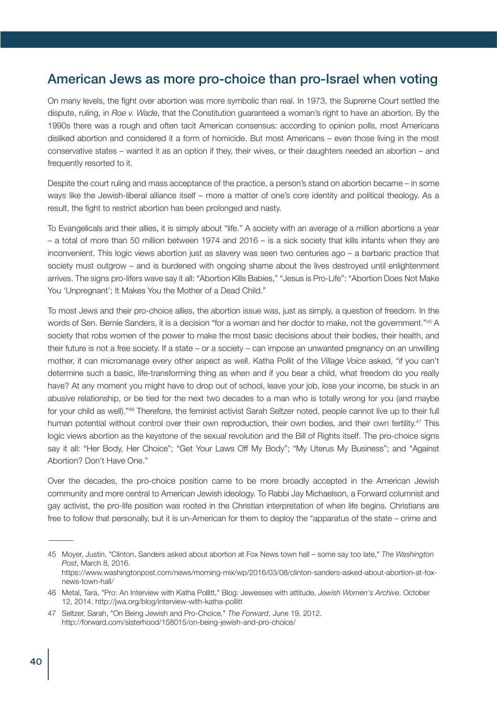## American Jews as more pro-choice than pro-Israel when voting

On many levels, the fight over abortion was more symbolic than real. In 1973, the Supreme Court settled the dispute, ruling, in *Roe v. Wade*, that the Constitution guaranteed a woman's right to have an abortion. By the 1990s there was a rough and often tacit American consensus: according to opinion polls, most Americans disliked abortion and considered it a form of homicide. But most Americans – even those living in the most conservative states – wanted it as an option if they, their wives, or their daughters needed an abortion – and frequently resorted to it.

Despite the court ruling and mass acceptance of the practice, a person's stand on abortion became – in some ways like the Jewish-liberal alliance itself – more a matter of one's core identity and political theology. As a result, the fight to restrict abortion has been prolonged and nasty.

To Evangelicals and their allies, it is simply about "life." A society with an average of a million abortions a year – a total of more than 50 million between 1974 and 2016 – is a sick society that kills infants when they are inconvenient. This logic views abortion just as slavery was seen two centuries ago – a barbaric practice that society must outgrow – and is burdened with ongoing shame about the lives destroyed until enlightenment arrives. The signs pro-lifers wave say it all: "Abortion Kills Babies," "Jesus is Pro-Life": "Abortion Does Not Make You 'Unpregnant'; It Makes You the Mother of a Dead Child."

To most Jews and their pro-choice allies, the abortion issue was, just as simply, a question of freedom. In the words of Sen. Bernie Sanders, it is a decision "for a woman and her doctor to make, not the government."45 A society that robs women of the power to make the most basic decisions about their bodies, their health, and their future is not a free society. If a state – or a society – can impose an unwanted pregnancy on an unwilling mother, it can micromanage every other aspect as well. Katha Pollit of the *Village Voice* asked, "if you can't determine such a basic, life-transforming thing as when and if you bear a child, what freedom do you really have? At any moment you might have to drop out of school, leave your job, lose your income, be stuck in an abusive relationship, or be tied for the next two decades to a man who is totally wrong for you (and maybe for your child as well)."46 Therefore, the feminist activist Sarah Seltzer noted, people cannot live up to their full human potential without control over their own reproduction, their own bodies, and their own fertility.<sup>47</sup> This logic views abortion as the keystone of the sexual revolution and the Bill of Rights itself. The pro-choice signs say it all: "Her Body, Her Choice"; "Get Your Laws Off My Body"; "My Uterus My Business"; and "Against Abortion? Don't Have One."

Over the decades, the pro-choice position came to be more broadly accepted in the American Jewish community and more central to American Jewish ideology. To Rabbi Jay Michaelson, a Forward columnist and gay activist, the pro-life position was rooted in the Christian interpretation of when life begins. Christians are free to follow that personally, but it is un-American for them to deploy the "apparatus of the state – crime and

<sup>45</sup> Moyer, Justin, "Clinton, Sanders asked about abortion at Fox News town hall – some say too late," *The Washington Post*, March 8, 2016. https://www.washingtonpost.com/news/morning-mix/wp/2016/03/08/clinton-sanders-asked-about-abortion-at-foxnews-town-hall/

<sup>46</sup> Metal, Tara, "Pro: An Interview with Katha Pollitt," Blog: Jewesses with attitude, *Jewish Women's Archive*. October 12, 2014. http://jwa.org/blog/interview-with-katha-pollitt

<sup>47</sup> Seltzer, Sarah, "On Being Jewish and Pro-Choice," *The Forward*, June 19, 2012. http://forward.com/sisterhood/158015/on-being-jewish-and-pro-choice/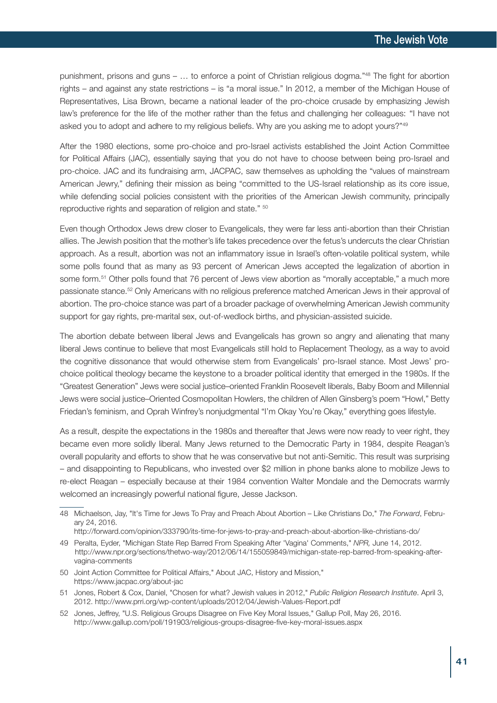punishment, prisons and guns – … to enforce a point of Christian religious dogma."48 The fight for abortion rights – and against any state restrictions – is "a moral issue." In 2012, a member of the Michigan House of Representatives, Lisa Brown, became a national leader of the pro-choice crusade by emphasizing Jewish law's preference for the life of the mother rather than the fetus and challenging her colleagues: "I have not asked you to adopt and adhere to my religious beliefs. Why are you asking me to adopt yours?"49

After the 1980 elections, some pro-choice and pro-Israel activists established the Joint Action Committee for Political Affairs (JAC), essentially saying that you do not have to choose between being pro-Israel and pro-choice. JAC and its fundraising arm, JACPAC, saw themselves as upholding the "values of mainstream American Jewry," defining their mission as being "committed to the US-Israel relationship as its core issue, while defending social policies consistent with the priorities of the American Jewish community, principally reproductive rights and separation of religion and state." 50

Even though Orthodox Jews drew closer to Evangelicals, they were far less anti-abortion than their Christian allies. The Jewish position that the mother's life takes precedence over the fetus's undercuts the clear Christian approach. As a result, abortion was not an inflammatory issue in Israel's often-volatile political system, while some polls found that as many as 93 percent of American Jews accepted the legalization of abortion in some form.<sup>51</sup> Other polls found that 76 percent of Jews view abortion as "morally acceptable," a much more passionate stance. <sup>52</sup> Only Americans with no religious preference matched American Jews in their approval of abortion. The pro-choice stance was part of a broader package of overwhelming American Jewish community support for gay rights, pre-marital sex, out-of-wedlock births, and physician-assisted suicide.

The abortion debate between liberal Jews and Evangelicals has grown so angry and alienating that many liberal Jews continue to believe that most Evangelicals still hold to Replacement Theology, as a way to avoid the cognitive dissonance that would otherwise stem from Evangelicals' pro-Israel stance. Most Jews' prochoice political theology became the keystone to a broader political identity that emerged in the 1980s. If the "Greatest Generation" Jews were social justice–oriented Franklin Roosevelt liberals, Baby Boom and Millennial Jews were social justice–Oriented Cosmopolitan Howlers, the children of Allen Ginsberg's poem "Howl," Betty Friedan's feminism, and Oprah Winfrey's nonjudgmental "I'm Okay You're Okay," everything goes lifestyle.

As a result, despite the expectations in the 1980s and thereafter that Jews were now ready to veer right, they became even more solidly liberal. Many Jews returned to the Democratic Party in 1984, despite Reagan's overall popularity and efforts to show that he was conservative but not anti-Semitic. This result was surprising – and disappointing to Republicans, who invested over \$2 million in phone banks alone to mobilize Jews to re-elect Reagan – especially because at their 1984 convention Walter Mondale and the Democrats warmly welcomed an increasingly powerful national figure, Jesse Jackson.

49 Peralta, Eyder, "Michigan State Rep Barred From Speaking After 'Vagina' Comments," *NPR,* June 14, 2012. http://www.npr.org/sections/thetwo-way/2012/06/14/155059849/michigan-state-rep-barred-from-speaking-aftervagina-comments

- 51 Jones, Robert & Cox, Daniel, "Chosen for what? Jewish values in 2012," *Public Religion Research Institute*. April 3, 2012. http://www.prri.org/wp-content/uploads/2012/04/Jewish-Values-Report.pdf
- 52 Jones, Jeffrey, "U.S. Religious Groups Disagree on Five Key Moral Issues," Gallup Poll, May 26, 2016. http://www.gallup.com/poll/191903/religious-groups-disagree-five-key-moral-issues.aspx

<sup>48</sup> Michaelson, Jay, "It's Time for Jews To Pray and Preach About Abortion – Like Christians Do," *The Forward*, February 24, 2016.

http://forward.com/opinion/333790/its-time-for-jews-to-pray-and-preach-about-abortion-like-christians-do/

<sup>50</sup> Joint Action Committee for Political Affairs," About JAC, History and Mission," https://www.jacpac.org/about-jac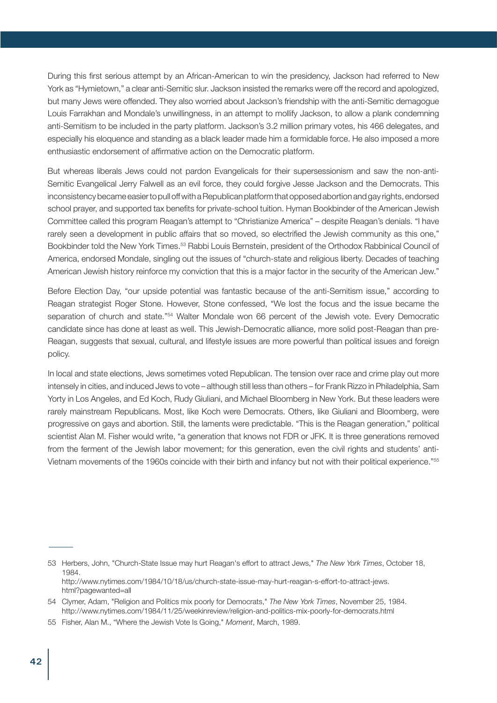During this first serious attempt by an African-American to win the presidency, Jackson had referred to New York as "Hymietown," a clear anti-Semitic slur. Jackson insisted the remarks were off the record and apologized, but many Jews were offended. They also worried about Jackson's friendship with the anti-Semitic demagogue Louis Farrakhan and Mondale's unwillingness, in an attempt to mollify Jackson, to allow a plank condemning anti-Semitism to be included in the party platform. Jackson's 3.2 million primary votes, his 466 delegates, and especially his eloquence and standing as a black leader made him a formidable force. He also imposed a more enthusiastic endorsement of affirmative action on the Democratic platform.

But whereas liberals Jews could not pardon Evangelicals for their supersessionism and saw the non-anti-Semitic Evangelical Jerry Falwell as an evil force, they could forgive Jesse Jackson and the Democrats. This inconsistency became easier to pull off with a Republican platform that opposed abortion and gay rights, endorsed school prayer, and supported tax benefits for private-school tuition. Hyman Bookbinder of the American Jewish Committee called this program Reagan's attempt to "Christianize America" – despite Reagan's denials. "I have rarely seen a development in public affairs that so moved, so electrified the Jewish community as this one," Bookbinder told the New York Times.<sup>53</sup> Rabbi Louis Bernstein, president of the Orthodox Rabbinical Council of America, endorsed Mondale, singling out the issues of "church-state and religious liberty. Decades of teaching American Jewish history reinforce my conviction that this is a major factor in the security of the American Jew."

Before Election Day, "our upside potential was fantastic because of the anti-Semitism issue," according to Reagan strategist Roger Stone. However, Stone confessed, "We lost the focus and the issue became the separation of church and state."<sup>54</sup> Walter Mondale won 66 percent of the Jewish vote. Every Democratic candidate since has done at least as well. This Jewish-Democratic alliance, more solid post-Reagan than pre-Reagan, suggests that sexual, cultural, and lifestyle issues are more powerful than political issues and foreign policy.

In local and state elections, Jews sometimes voted Republican. The tension over race and crime play out more intensely in cities, and induced Jews to vote – although still less than others – for Frank Rizzo in Philadelphia, Sam Yorty in Los Angeles, and Ed Koch, Rudy Giuliani, and Michael Bloomberg in New York. But these leaders were rarely mainstream Republicans. Most, like Koch were Democrats. Others, like Giuliani and Bloomberg, were progressive on gays and abortion. Still, the laments were predictable. "This is the Reagan generation," political scientist Alan M. Fisher would write, "a generation that knows not FDR or JFK. It is three generations removed from the ferment of the Jewish labor movement; for this generation, even the civil rights and students' anti-Vietnam movements of the 1960s coincide with their birth and infancy but not with their political experience."55

<sup>53</sup> Herbers, John, "Church-State Issue may hurt Reagan's effort to attract Jews," *The New York Times*, October 18, 1984. http://www.nytimes.com/1984/10/18/us/church-state-issue-may-hurt-reagan-s-effort-to-attract-jews. html?pagewanted=all

<sup>54</sup> Clymer, Adam, "Religion and Politics mix poorly for Democrats," *The New York Times*, November 25, 1984. http://www.nytimes.com/1984/11/25/weekinreview/religion-and-politics-mix-poorly-for-democrats.html

<sup>55</sup> Fisher, Alan M., "Where the Jewish Vote Is Going," *Moment*, March, 1989.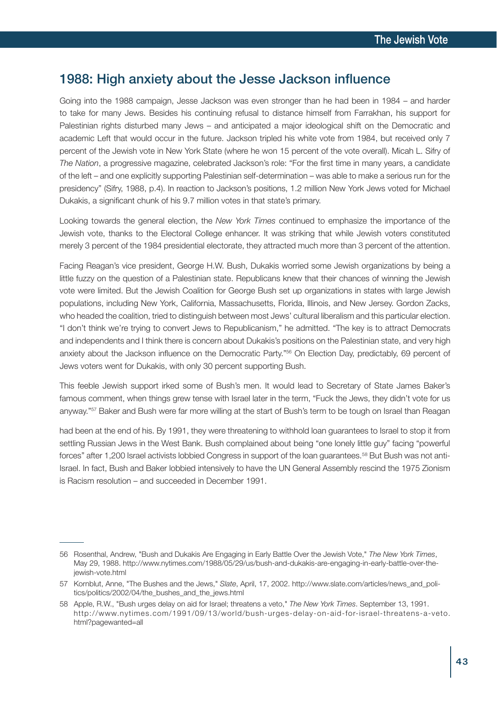#### 1988: High anxiety about the Jesse Jackson influence

Going into the 1988 campaign, Jesse Jackson was even stronger than he had been in 1984 – and harder to take for many Jews. Besides his continuing refusal to distance himself from Farrakhan, his support for Palestinian rights disturbed many Jews – and anticipated a major ideological shift on the Democratic and academic Left that would occur in the future. Jackson tripled his white vote from 1984, but received only 7 percent of the Jewish vote in New York State (where he won 15 percent of the vote overall). Micah L. Sifry of *The Nation*, a progressive magazine, celebrated Jackson's role: "For the first time in many years, a candidate of the left – and one explicitly supporting Palestinian self-determination – was able to make a serious run for the presidency" (Sifry, 1988, p.4). In reaction to Jackson's positions, 1.2 million New York Jews voted for Michael Dukakis, a significant chunk of his 9.7 million votes in that state's primary.

Looking towards the general election, the *New York Times* continued to emphasize the importance of the Jewish vote, thanks to the Electoral College enhancer. It was striking that while Jewish voters constituted merely 3 percent of the 1984 presidential electorate, they attracted much more than 3 percent of the attention.

Facing Reagan's vice president, George H.W. Bush, Dukakis worried some Jewish organizations by being a little fuzzy on the question of a Palestinian state. Republicans knew that their chances of winning the Jewish vote were limited. But the Jewish Coalition for George Bush set up organizations in states with large Jewish populations, including New York, California, Massachusetts, Florida, Illinois, and New Jersey. Gordon Zacks, who headed the coalition, tried to distinguish between most Jews' cultural liberalism and this particular election. "I don't think we're trying to convert Jews to Republicanism," he admitted. "The key is to attract Democrats and independents and I think there is concern about Dukakis's positions on the Palestinian state, and very high anxiety about the Jackson influence on the Democratic Party."56 On Election Day, predictably, 69 percent of Jews voters went for Dukakis, with only 30 percent supporting Bush.

This feeble Jewish support irked some of Bush's men. It would lead to Secretary of State James Baker's famous comment, when things grew tense with Israel later in the term, "Fuck the Jews, they didn't vote for us anyway."<sup>57</sup> Baker and Bush were far more willing at the start of Bush's term to be tough on Israel than Reagan

had been at the end of his. By 1991, they were threatening to withhold loan guarantees to Israel to stop it from settling Russian Jews in the West Bank. Bush complained about being "one lonely little guy" facing "powerful forces" after 1,200 Israel activists lobbied Congress in support of the loan guarantees.<sup>58</sup> But Bush was not anti-Israel. In fact, Bush and Baker lobbied intensively to have the UN General Assembly rescind the 1975 Zionism is Racism resolution – and succeeded in December 1991.

<sup>56</sup> Rosenthal, Andrew, "Bush and Dukakis Are Engaging in Early Battle Over the Jewish Vote," *The New York Times*, May 29, 1988. http://www.nytimes.com/1988/05/29/us/bush-and-dukakis-are-engaging-in-early-battle-over-thejewish-vote.html

<sup>57</sup> Kornblut, Anne, "The Bushes and the Jews," *Slate*, April, 17, 2002. http://www.slate.com/articles/news\_and\_politics/politics/2002/04/the\_bushes\_and\_the\_jews.html

<sup>58</sup> Apple, R.W., "Bush urges delay on aid for Israel; threatens a veto," *The New York Times*. September 13, 1991. http://www.nytimes.com/1991/09/13/world/bush-urges-delay-on-aid-for-israel-threatens-a-veto. html?pagewanted=all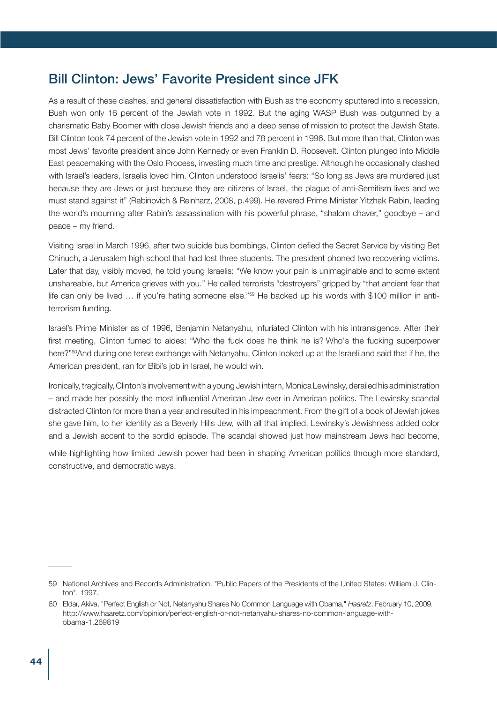# Bill Clinton: Jews' Favorite President since JFK

As a result of these clashes, and general dissatisfaction with Bush as the economy sputtered into a recession, Bush won only 16 percent of the Jewish vote in 1992. But the aging WASP Bush was outgunned by a charismatic Baby Boomer with close Jewish friends and a deep sense of mission to protect the Jewish State. Bill Clinton took 74 percent of the Jewish vote in 1992 and 78 percent in 1996. But more than that, Clinton was most Jews' favorite president since John Kennedy or even Franklin D. Roosevelt. Clinton plunged into Middle East peacemaking with the Oslo Process, investing much time and prestige. Although he occasionally clashed with Israel's leaders, Israelis loved him. Clinton understood Israelis' fears: "So long as Jews are murdered just because they are Jews or just because they are citizens of Israel, the plague of anti-Semitism lives and we must stand against it" (Rabinovich & Reinharz, 2008, p.499). He revered Prime Minister Yitzhak Rabin, leading the world's mourning after Rabin's assassination with his powerful phrase, "shalom chaver," goodbye – and peace – my friend.

Visiting Israel in March 1996, after two suicide bus bombings, Clinton defied the Secret Service by visiting Bet Chinuch, a Jerusalem high school that had lost three students. The president phoned two recovering victims. Later that day, visibly moved, he told young Israelis: "We know your pain is unimaginable and to some extent unshareable, but America grieves with you." He called terrorists "destroyers" gripped by "that ancient fear that life can only be lived ... if you're hating someone else."<sup>59</sup> He backed up his words with \$100 million in antiterrorism funding.

Israel's Prime Minister as of 1996, Benjamin Netanyahu, infuriated Clinton with his intransigence. After their first meeting, Clinton fumed to aides: "Who the fuck does he think he is? Who's the fucking superpower here?"<sup>60</sup>And during one tense exchange with Netanyahu, Clinton looked up at the Israeli and said that if he, the American president, ran for Bibi's job in Israel, he would win.

Ironically, tragically, Clinton's involvement with a young Jewish intern, Monica Lewinsky, derailed his administration – and made her possibly the most influential American Jew ever in American politics. The Lewinsky scandal distracted Clinton for more than a year and resulted in his impeachment. From the gift of a book of Jewish jokes she gave him, to her identity as a Beverly Hills Jew, with all that implied, Lewinsky's Jewishness added color and a Jewish accent to the sordid episode. The scandal showed just how mainstream Jews had become,

while highlighting how limited Jewish power had been in shaping American politics through more standard, constructive, and democratic ways.

<sup>59</sup> National Archives and Records Administration. "Public Papers of the Presidents of the United States: William J. Clinton". 1997.

<sup>60</sup> Eldar, Akiva, "Perfect English or Not, Netanyahu Shares No Common Language with Obama," *Haaretz*, February 10, 2009. http://www.haaretz.com/opinion/perfect-english-or-not-netanyahu-shares-no-common-language-withobama-1.269819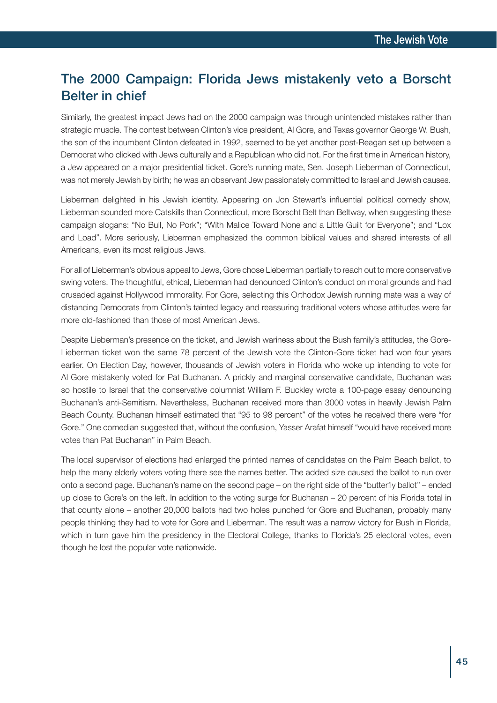# The 2000 Campaign: Florida Jews mistakenly veto a Borscht Belter in chief

Similarly, the greatest impact Jews had on the 2000 campaign was through unintended mistakes rather than strategic muscle. The contest between Clinton's vice president, Al Gore, and Texas governor George W. Bush, the son of the incumbent Clinton defeated in 1992, seemed to be yet another post-Reagan set up between a Democrat who clicked with Jews culturally and a Republican who did not. For the first time in American history, a Jew appeared on a major presidential ticket. Gore's running mate, Sen. Joseph Lieberman of Connecticut, was not merely Jewish by birth; he was an observant Jew passionately committed to Israel and Jewish causes.

Lieberman delighted in his Jewish identity. Appearing on Jon Stewart's influential political comedy show, Lieberman sounded more Catskills than Connecticut, more Borscht Belt than Beltway, when suggesting these campaign slogans: "No Bull, No Pork"; "With Malice Toward None and a Little Guilt for Everyone"; and "Lox and Load". More seriously, Lieberman emphasized the common biblical values and shared interests of all Americans, even its most religious Jews.

For all of Lieberman's obvious appeal to Jews, Gore chose Lieberman partially to reach out to more conservative swing voters. The thoughtful, ethical, Lieberman had denounced Clinton's conduct on moral grounds and had crusaded against Hollywood immorality. For Gore, selecting this Orthodox Jewish running mate was a way of distancing Democrats from Clinton's tainted legacy and reassuring traditional voters whose attitudes were far more old-fashioned than those of most American Jews.

Despite Lieberman's presence on the ticket, and Jewish wariness about the Bush family's attitudes, the Gore-Lieberman ticket won the same 78 percent of the Jewish vote the Clinton-Gore ticket had won four years earlier. On Election Day, however, thousands of Jewish voters in Florida who woke up intending to vote for Al Gore mistakenly voted for Pat Buchanan. A prickly and marginal conservative candidate, Buchanan was so hostile to Israel that the conservative columnist William F. Buckley wrote a 100-page essay denouncing Buchanan's anti-Semitism. Nevertheless, Buchanan received more than 3000 votes in heavily Jewish Palm Beach County. Buchanan himself estimated that "95 to 98 percent" of the votes he received there were "for Gore." One comedian suggested that, without the confusion, Yasser Arafat himself "would have received more votes than Pat Buchanan" in Palm Beach.

The local supervisor of elections had enlarged the printed names of candidates on the Palm Beach ballot, to help the many elderly voters voting there see the names better. The added size caused the ballot to run over onto a second page. Buchanan's name on the second page – on the right side of the "butterfly ballot" – ended up close to Gore's on the left. In addition to the voting surge for Buchanan – 20 percent of his Florida total in that county alone – another 20,000 ballots had two holes punched for Gore and Buchanan, probably many people thinking they had to vote for Gore and Lieberman. The result was a narrow victory for Bush in Florida, which in turn gave him the presidency in the Electoral College, thanks to Florida's 25 electoral votes, even though he lost the popular vote nationwide.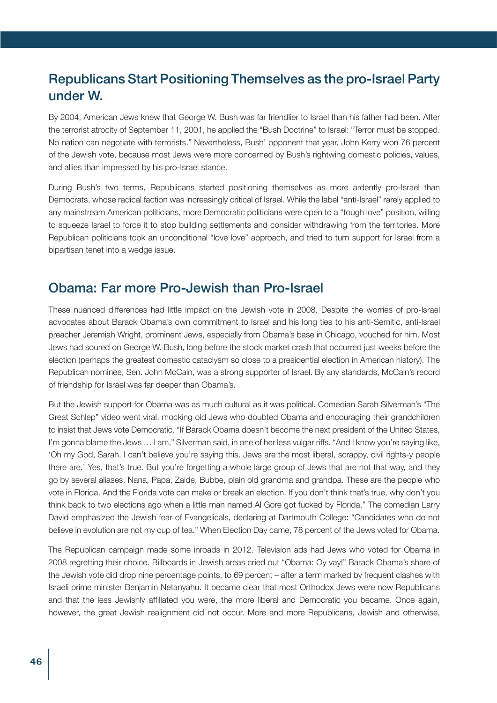# Republicans Start Positioning Themselves as the pro-Israel Party under W.

By 2004, American Jews knew that George W. Bush was far friendlier to Israel than his father had been. After the terrorist atrocity of September 11, 2001, he applied the "Bush Doctrine" to Israel: "Terror must be stopped. No nation can negotiate with terrorists." Nevertheless, Bush' opponent that year, John Kerry won 76 percent of the Jewish vote, because most Jews were more concerned by Bush's rightwing domestic policies, values, and allies than impressed by his pro-Israel stance.

During Bush's two terms, Republicans started positioning themselves as more ardently pro-Israel than Democrats, whose radical faction was increasingly critical of Israel. While the label "anti-Israel" rarely applied to any mainstream American politicians, more Democratic politicians were open to a "tough love" position, willing to squeeze Israel to force it to stop building settlements and consider withdrawing from the territories. More Republican politicians took an unconditional "love love" approach, and tried to turn support for Israel from a bipartisan tenet into a wedge issue.

### Obama: Far more Pro-Jewish than Pro-Israel

These nuanced differences had little impact on the Jewish vote in 2008. Despite the worries of pro-Israel advocates about Barack Obama's own commitment to Israel and his long ties to his anti-Semitic, anti-Israel preacher Jeremiah Wright, prominent Jews, especially from Obama's base in Chicago, vouched for him. Most Jews had soured on George W. Bush, long before the stock market crash that occurred just weeks before the election (perhaps the greatest domestic cataclysm so close to a presidential election in American history). The Republican nominee, Sen. John McCain, was a strong supporter of Israel. By any standards, McCain's record of friendship for Israel was far deeper than Obama's.

But the Jewish support for Obama was as much cultural as it was political. Comedian Sarah Silverman's "The Great Schlep" video went viral, mocking old Jews who doubted Obama and encouraging their grandchildren to insist that Jews vote Democratic. "If Barack Obama doesn't become the next president of the United States, I'm gonna blame the Jews ... I am," Silverman said, in one of her less vulgar riffs. "And I know you're saying like, 'Oh my God, Sarah, I can't believe you're saying this. Jews are the most liberal, scrappy, civil rights-y people there are.' Yes, that's true. But you're forgetting a whole large group of Jews that are not that way, and they go by several aliases. Nana, Papa, Zaide, Bubbe, plain old grandma and grandpa. These are the people who vote in Florida. And the Florida vote can make or break an election. If you don't think that's true, why don't you think back to two elections ago when a little man named Al Gore got fucked by Florida." The comedian Larry David emphasized the Jewish fear of Evangelicals, declaring at Dartmouth College: "Candidates who do not believe in evolution are not my cup of tea." When Election Day came, 78 percent of the Jews voted for Obama.

The Republican campaign made some inroads in 2012. Television ads had Jews who voted for Obama in 2008 regretting their choice. Billboards in Jewish areas cried out "Obama: Oy vay!" Barack Obama's share of the Jewish vote did drop nine percentage points, to 69 percent – after a term marked by frequent clashes with Israeli prime minister Benjamin Netanyahu. It became clear that most Orthodox Jews were now Republicans and that the less Jewishly affiliated you were, the more liberal and Democratic you became. Once again, however, the great Jewish realignment did not occur. More and more Republicans, Jewish and otherwise,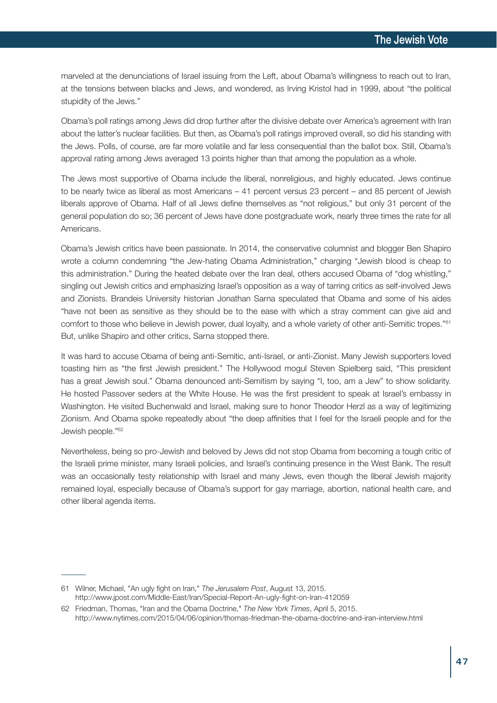marveled at the denunciations of Israel issuing from the Left, about Obama's willingness to reach out to Iran, at the tensions between blacks and Jews, and wondered, as Irving Kristol had in 1999, about "the political stupidity of the Jews."

Obama's poll ratings among Jews did drop further after the divisive debate over America's agreement with Iran about the latter's nuclear facilities. But then, as Obama's poll ratings improved overall, so did his standing with the Jews. Polls, of course, are far more volatile and far less consequential than the ballot box. Still, Obama's approval rating among Jews averaged 13 points higher than that among the population as a whole.

The Jews most supportive of Obama include the liberal, nonreligious, and highly educated. Jews continue to be nearly twice as liberal as most Americans – 41 percent versus 23 percent – and 85 percent of Jewish liberals approve of Obama. Half of all Jews define themselves as "not religious," but only 31 percent of the general population do so; 36 percent of Jews have done postgraduate work, nearly three times the rate for all Americans.

Obama's Jewish critics have been passionate. In 2014, the conservative columnist and blogger Ben Shapiro wrote a column condemning "the Jew-hating Obama Administration," charging "Jewish blood is cheap to this administration." During the heated debate over the Iran deal, others accused Obama of "dog whistling," singling out Jewish critics and emphasizing Israel's opposition as a way of tarring critics as self-involved Jews and Zionists. Brandeis University historian Jonathan Sarna speculated that Obama and some of his aides "have not been as sensitive as they should be to the ease with which a stray comment can give aid and comfort to those who believe in Jewish power, dual loyalty, and a whole variety of other anti-Semitic tropes."<sup>61</sup> But, unlike Shapiro and other critics, Sarna stopped there.

It was hard to accuse Obama of being anti-Semitic, anti-Israel, or anti-Zionist. Many Jewish supporters loved toasting him as "the first Jewish president." The Hollywood mogul Steven Spielberg said, "This president has a great Jewish soul." Obama denounced anti-Semitism by saying "I, too, am a Jew" to show solidarity. He hosted Passover seders at the White House. He was the first president to speak at Israel's embassy in Washington. He visited Buchenwald and Israel, making sure to honor Theodor Herzl as a way of legitimizing Zionism. And Obama spoke repeatedly about "the deep affinities that I feel for the Israeli people and for the Jewish people."62

Nevertheless, being so pro-Jewish and beloved by Jews did not stop Obama from becoming a tough critic of the Israeli prime minister, many Israeli policies, and Israel's continuing presence in the West Bank. The result was an occasionally testy relationship with Israel and many Jews, even though the liberal Jewish majority remained loyal, especially because of Obama's support for gay marriage, abortion, national health care, and other liberal agenda items.

<sup>61</sup> Wilner, Michael, "An ugly fight on Iran," *The Jerusalem Post*, August 13, 2015. http://www.jpost.com/Middle-East/Iran/Special-Report-An-ugly-fight-on-Iran-412059

<sup>62</sup> Friedman, Thomas, "Iran and the Obama Doctrine," *The New York Times*, April 5, 2015. http://www.nytimes.com/2015/04/06/opinion/thomas-friedman-the-obama-doctrine-and-iran-interview.html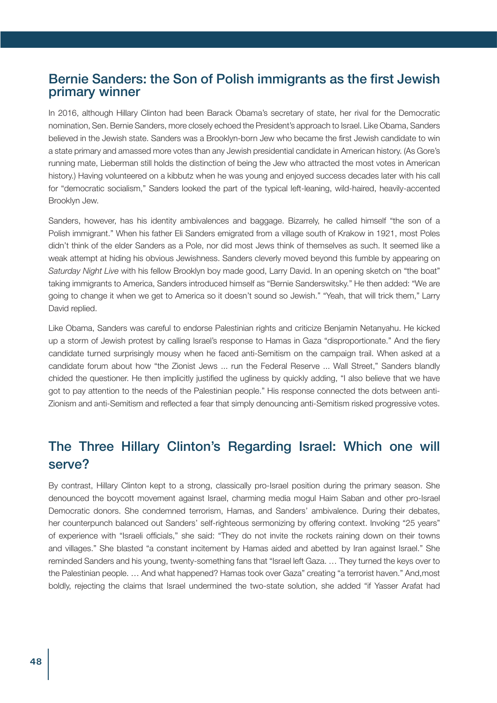#### Bernie Sanders: the Son of Polish immigrants as the first Jewish primary winner

In 2016, although Hillary Clinton had been Barack Obama's secretary of state, her rival for the Democratic nomination, Sen. Bernie Sanders, more closely echoed the President's approach to Israel. Like Obama, Sanders believed in the Jewish state. Sanders was a Brooklyn-born Jew who became the first Jewish candidate to win a state primary and amassed more votes than any Jewish presidential candidate in American history. (As Gore's running mate, Lieberman still holds the distinction of being the Jew who attracted the most votes in American history.) Having volunteered on a kibbutz when he was young and enjoyed success decades later with his call for "democratic socialism," Sanders looked the part of the typical left-leaning, wild-haired, heavily-accented Brooklyn Jew.

Sanders, however, has his identity ambivalences and baggage. Bizarrely, he called himself "the son of a Polish immigrant." When his father Eli Sanders emigrated from a village south of Krakow in 1921, most Poles didn't think of the elder Sanders as a Pole, nor did most Jews think of themselves as such. It seemed like a weak attempt at hiding his obvious Jewishness. Sanders cleverly moved beyond this fumble by appearing on *Saturday Night Live* with his fellow Brooklyn boy made good, Larry David. In an opening sketch on "the boat" taking immigrants to America, Sanders introduced himself as "Bernie Sanderswitsky." He then added: "We are going to change it when we get to America so it doesn't sound so Jewish." "Yeah, that will trick them," Larry David replied.

Like Obama, Sanders was careful to endorse Palestinian rights and criticize Benjamin Netanyahu. He kicked up a storm of Jewish protest by calling Israel's response to Hamas in Gaza "disproportionate." And the fiery candidate turned surprisingly mousy when he faced anti-Semitism on the campaign trail. When asked at a candidate forum about how "the Zionist Jews ... run the Federal Reserve ... Wall Street," Sanders blandly chided the questioner. He then implicitly justified the ugliness by quickly adding, "I also believe that we have got to pay attention to the needs of the Palestinian people." His response connected the dots between anti-Zionism and anti-Semitism and reflected a fear that simply denouncing anti-Semitism risked progressive votes.

# The Three Hillary Clinton's Regarding Israel: Which one will serve?

By contrast, Hillary Clinton kept to a strong, classically pro-Israel position during the primary season. She denounced the boycott movement against Israel, charming media mogul Haim Saban and other pro-Israel Democratic donors. She condemned terrorism, Hamas, and Sanders' ambivalence. During their debates, her counterpunch balanced out Sanders' self-righteous sermonizing by offering context. Invoking "25 years" of experience with "Israeli officials," she said: "They do not invite the rockets raining down on their towns and villages." She blasted "a constant incitement by Hamas aided and abetted by Iran against Israel." She reminded Sanders and his young, twenty-something fans that "Israel left Gaza. ... They turned the keys over to the Palestinian people. … And what happened? Hamas took over Gaza" creating "a terrorist haven." And,most boldly, rejecting the claims that Israel undermined the two-state solution, she added "if Yasser Arafat had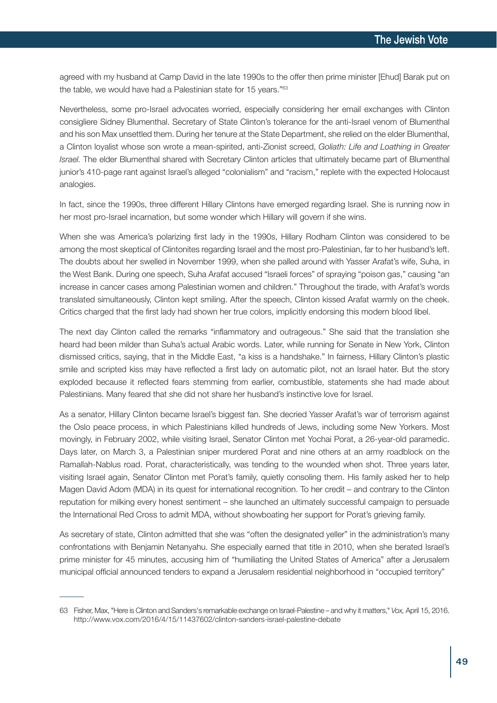agreed with my husband at Camp David in the late 1990s to the offer then prime minister [Ehud] Barak put on the table, we would have had a Palestinian state for 15 years."63

Nevertheless, some pro-Israel advocates worried, especially considering her email exchanges with Clinton consigliere Sidney Blumenthal. Secretary of State Clinton's tolerance for the anti-Israel venom of Blumenthal and his son Max unsettled them. During her tenure at the State Department, she relied on the elder Blumenthal, a Clinton loyalist whose son wrote a mean-spirited, anti-Zionist screed, *Goliath: Life and Loathing in Greater Israel.* The elder Blumenthal shared with Secretary Clinton articles that ultimately became part of Blumenthal junior's 410-page rant against Israel's alleged "colonialism" and "racism," replete with the expected Holocaust analogies.

In fact, since the 1990s, three different Hillary Clintons have emerged regarding Israel. She is running now in her most pro-Israel incarnation, but some wonder which Hillary will govern if she wins.

When she was America's polarizing first lady in the 1990s, Hillary Rodham Clinton was considered to be among the most skeptical of Clintonites regarding Israel and the most pro-Palestinian, far to her husband's left. The doubts about her swelled in November 1999, when she palled around with Yasser Arafat's wife, Suha, in the West Bank. During one speech, Suha Arafat accused "Israeli forces" of spraying "poison gas," causing "an increase in cancer cases among Palestinian women and children." Throughout the tirade, with Arafat's words translated simultaneously, Clinton kept smiling. After the speech, Clinton kissed Arafat warmly on the cheek. Critics charged that the first lady had shown her true colors, implicitly endorsing this modern blood libel.

The next day Clinton called the remarks "inflammatory and outrageous." She said that the translation she heard had been milder than Suha's actual Arabic words. Later, while running for Senate in New York, Clinton dismissed critics, saying, that in the Middle East, "a kiss is a handshake." In fairness, Hillary Clinton's plastic smile and scripted kiss may have reflected a first lady on automatic pilot, not an Israel hater. But the story exploded because it reflected fears stemming from earlier, combustible, statements she had made about Palestinians. Many feared that she did not share her husband's instinctive love for Israel.

As a senator, Hillary Clinton became Israel's biggest fan. She decried Yasser Arafat's war of terrorism against the Oslo peace process, in which Palestinians killed hundreds of Jews, including some New Yorkers. Most movingly, in February 2002, while visiting Israel, Senator Clinton met Yochai Porat, a 26-year-old paramedic. Days later, on March 3, a Palestinian sniper murdered Porat and nine others at an army roadblock on the Ramallah-Nablus road. Porat, characteristically, was tending to the wounded when shot. Three years later, visiting Israel again, Senator Clinton met Porat's family, quietly consoling them. His family asked her to help Magen David Adom (MDA) in its quest for international recognition. To her credit – and contrary to the Clinton reputation for milking every honest sentiment – she launched an ultimately successful campaign to persuade the International Red Cross to admit MDA, without showboating her support for Porat's grieving family.

As secretary of state, Clinton admitted that she was "often the designated yeller" in the administration's many confrontations with Benjamin Netanyahu. She especially earned that title in 2010, when she berated Israel's prime minister for 45 minutes, accusing him of "humiliating the United States of America" after a Jerusalem municipal official announced tenders to expand a Jerusalem residential neighborhood in "occupied territory"

<sup>63</sup> Fisher, Max, "Here is Clinton and Sanders's remarkable exchange on Israel-Palestine – and why it matters," *Vox,* April 15, 2016. http://www.vox.com/2016/4/15/11437602/clinton-sanders-israel-palestine-debate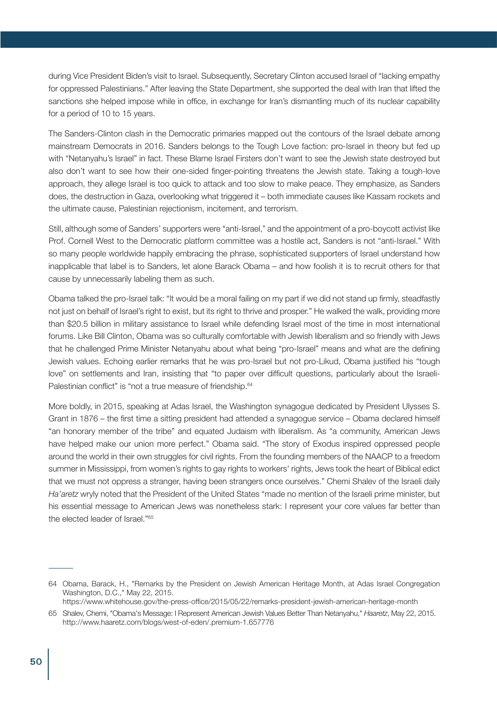during Vice President Biden's visit to Israel. Subsequently, Secretary Clinton accused Israel of "lacking empathy for oppressed Palestinians." After leaving the State Department, she supported the deal with Iran that lifted the sanctions she helped impose while in office, in exchange for Iran's dismantling much of its nuclear capability for a period of 10 to 15 years.

The Sanders-Clinton clash in the Democratic primaries mapped out the contours of the Israel debate among mainstream Democrats in 2016. Sanders belongs to the Tough Love faction: pro-Israel in theory but fed up with "Netanyahu's Israel" in fact. These Blame Israel Firsters don't want to see the Jewish state destroyed but also don't want to see how their one-sided finger-pointing threatens the Jewish state. Taking a tough-love approach, they allege Israel is too quick to attack and too slow to make peace. They emphasize, as Sanders does, the destruction in Gaza, overlooking what triggered it – both immediate causes like Kassam rockets and the ultimate cause, Palestinian rejectionism, incitement, and terrorism.

Still, although some of Sanders' supporters were "anti-Israel," and the appointment of a pro-boycott activist like Prof. Cornell West to the Democratic platform committee was a hostile act, Sanders is not "anti-Israel." With so many people worldwide happily embracing the phrase, sophisticated supporters of Israel understand how inapplicable that label is to Sanders, let alone Barack Obama – and how foolish it is to recruit others for that cause by unnecessarily labeling them as such.

Obama talked the pro-Israel talk: "It would be a moral failing on my part if we did not stand up firmly, steadfastly not just on behalf of Israel's right to exist, but its right to thrive and prosper." He walked the walk, providing more than \$20.5 billion in military assistance to Israel while defending Israel most of the time in most international forums. Like Bill Clinton, Obama was so culturally comfortable with Jewish liberalism and so friendly with Jews that he challenged Prime Minister Netanyahu about what being "pro-Israel" means and what are the defining Jewish values. Echoing earlier remarks that he was pro-Israel but not pro-Likud, Obama justified his "tough love" on settlements and Iran, insisting that "to paper over difficult questions, particularly about the Israeli-Palestinian conflict" is "not a true measure of friendship.<sup>64</sup>

More boldly, in 2015, speaking at Adas Israel, the Washington synagogue dedicated by President Ulysses S. Grant in 1876 – the first time a sitting president had attended a synagogue service – Obama declared himself "an honorary member of the tribe" and equated Judaism with liberalism. As "a community, American Jews have helped make our union more perfect." Obama said. "The story of Exodus inspired oppressed people around the world in their own struggles for civil rights. From the founding members of the NAACP to a freedom summer in Mississippi, from women's rights to gay rights to workers' rights, Jews took the heart of Biblical edict that we must not oppress a stranger, having been strangers once ourselves." Chemi Shalev of the Israeli daily *Ha'aretz* wryly noted that the President of the United States "made no mention of the Israeli prime minister, but his essential message to American Jews was nonetheless stark: I represent your core values far better than the elected leader of Israel."65

https://www.whitehouse.gov/the-press-office/2015/05/22/remarks-president-jewish-american-heritage-month

<sup>64</sup> Obama, Barack, H., "Remarks by the President on Jewish American Heritage Month, at Adas Israel Congregation Washington, D.C.," May 22, 2015.

<sup>65</sup> Shalev, Chemi, "Obama's Message: I Represent American Jewish Values Better Than Netanyahu," *Haaretz*, May 22, 2015. http://www.haaretz.com/blogs/west-of-eden/.premium-1.657776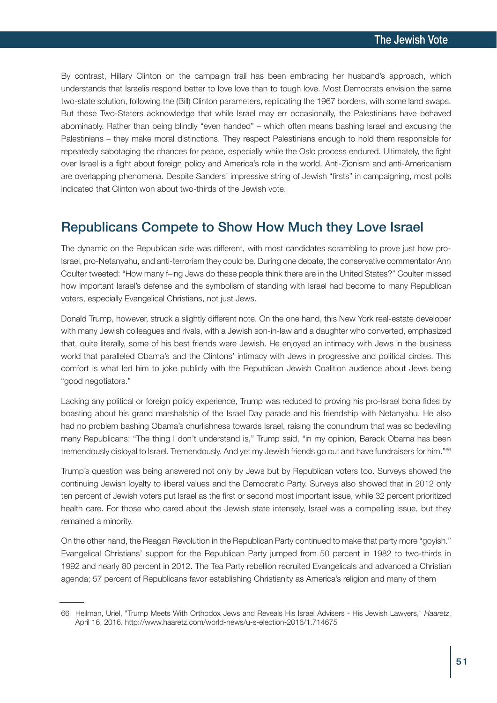By contrast, Hillary Clinton on the campaign trail has been embracing her husband's approach, which understands that Israelis respond better to love love than to tough love. Most Democrats envision the same two-state solution, following the (Bill) Clinton parameters, replicating the 1967 borders, with some land swaps. But these Two-Staters acknowledge that while Israel may err occasionally, the Palestinians have behaved abominably. Rather than being blindly "even handed" – which often means bashing Israel and excusing the Palestinians – they make moral distinctions. They respect Palestinians enough to hold them responsible for repeatedly sabotaging the chances for peace, especially while the Oslo process endured. Ultimately, the fight over Israel is a fight about foreign policy and America's role in the world. Anti-Zionism and anti-Americanism are overlapping phenomena. Despite Sanders' impressive string of Jewish "firsts" in campaigning, most polls indicated that Clinton won about two-thirds of the Jewish vote.

### Republicans Compete to Show How Much they Love Israel

The dynamic on the Republican side was different, with most candidates scrambling to prove just how pro-Israel, pro-Netanyahu, and anti-terrorism they could be. During one debate, the conservative commentator Ann Coulter tweeted: "How many f–ing Jews do these people think there are in the United States?" Coulter missed how important Israel's defense and the symbolism of standing with Israel had become to many Republican voters, especially Evangelical Christians, not just Jews.

Donald Trump, however, struck a slightly different note. On the one hand, this New York real-estate developer with many Jewish colleagues and rivals, with a Jewish son-in-law and a daughter who converted, emphasized that, quite literally, some of his best friends were Jewish. He enjoyed an intimacy with Jews in the business world that paralleled Obama's and the Clintons' intimacy with Jews in progressive and political circles. This comfort is what led him to joke publicly with the Republican Jewish Coalition audience about Jews being "good negotiators."

Lacking any political or foreign policy experience, Trump was reduced to proving his pro-Israel bona fides by boasting about his grand marshalship of the Israel Day parade and his friendship with Netanyahu. He also had no problem bashing Obama's churlishness towards Israel, raising the conundrum that was so bedeviling many Republicans: "The thing I don't understand is," Trump said, "in my opinion, Barack Obama has been tremendously disloyal to Israel. Tremendously. And yet my Jewish friends go out and have fundraisers for him."<sup>66</sup>

Trump's question was being answered not only by Jews but by Republican voters too. Surveys showed the continuing Jewish loyalty to liberal values and the Democratic Party. Surveys also showed that in 2012 only ten percent of Jewish voters put Israel as the first or second most important issue, while 32 percent prioritized health care. For those who cared about the Jewish state intensely, Israel was a compelling issue, but they remained a minority.

On the other hand, the Reagan Revolution in the Republican Party continued to make that party more "goyish." Evangelical Christians' support for the Republican Party jumped from 50 percent in 1982 to two-thirds in 1992 and nearly 80 percent in 2012. The Tea Party rebellion recruited Evangelicals and advanced a Christian agenda; 57 percent of Republicans favor establishing Christianity as America's religion and many of them

<sup>66</sup> Heilman, Uriel, "Trump Meets With Orthodox Jews and Reveals His Israel Advisers - His Jewish Lawyers," *Haaretz*, April 16, 2016. http://www.haaretz.com/world-news/u-s-election-2016/1.714675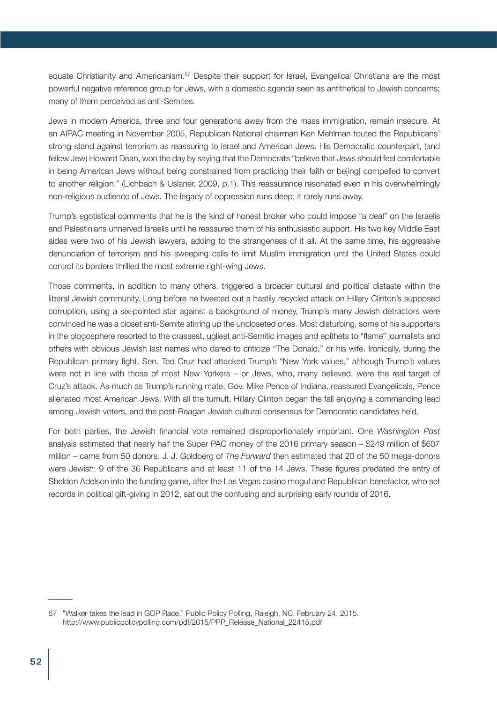equate Christianity and Americanism.<sup>67</sup> Despite their support for Israel, Evangelical Christians are the most powerful negative reference group for Jews, with a domestic agenda seen as antithetical to Jewish concerns; many of them perceived as anti-Semites.

Jews in modern America, three and four generations away from the mass immigration, remain insecure. At an AIPAC meeting in November 2005, Republican National chairman Ken Mehlman touted the Republicans' strong stand against terrorism as reassuring to Israel and American Jews. His Democratic counterpart, (and fellow Jew) Howard Dean, won the day by saying that the Democrats "believe that Jews should feel comfortable in being American Jews without being constrained from practicing their faith or be[ing] compelled to convert to another religion." (Lichbach & Uslaner, 2009, p.1). This reassurance resonated even in his overwhelmingly non-religious audience of Jews. The legacy of oppression runs deep; it rarely runs away.

Trump's egotistical comments that he is the kind of honest broker who could impose "a deal" on the Israelis and Palestinians unnerved Israelis until he reassured them of his enthusiastic support. His two key Middle East aides were two of his Jewish lawyers, adding to the strangeness of it all. At the same time, his aggressive denunciation of terrorism and his sweeping calls to limit Muslim immigration until the United States could control its borders thrilled the most extreme right-wing Jews.

Those comments, in addition to many others, triggered a broader cultural and political distaste within the liberal Jewish community. Long before he tweeted out a hastily recycled attack on Hillary Clinton's supposed corruption, using a six-pointed star against a background of money, Trump's many Jewish detractors were convinced he was a closet anti-Semite stirring up the uncloseted ones. Most disturbing, some of his supporters in the blogosphere resorted to the crassest, ugliest anti-Semitic images and epithets to "flame" journalists and others with obvious Jewish last names who dared to criticize "The Donald," or his wife. Ironically, during the Republican primary fight, Sen. Ted Cruz had attacked Trump's "New York values," although Trump's values were not in line with those of most New Yorkers – or Jews, who, many believed, were the real target of Cruz's attack. As much as Trump's running mate, Gov. Mike Pence of Indiana, reassured Evangelicals, Pence alienated most American Jews. With all the tumult, Hillary Clinton began the fall enjoying a commanding lead among Jewish voters, and the post-Reagan Jewish cultural consensus for Democratic candidates held.

For both parties, the Jewish financial vote remained disproportionately important. One *Washington Post* analysis estimated that nearly half the Super PAC money of the 2016 primary season – \$249 million of \$607 million – came from 50 donors. J. J. Goldberg of *The Forward* then estimated that 20 of the 50 mega-donors were Jewish: 9 of the 36 Republicans and at least 11 of the 14 Jews. These figures predated the entry of Sheldon Adelson into the funding game, after the Las Vegas casino mogul and Republican benefactor, who set records in political gift-giving in 2012, sat out the confusing and surprising early rounds of 2016.

<sup>67</sup> "Walker takes the lead in GOP Race." Public Policy Polling, Raleigh, NC. February 24, 2015. http://www.publicpolicypolling.com/pdf/2015/PPP\_Release\_National\_22415.pdf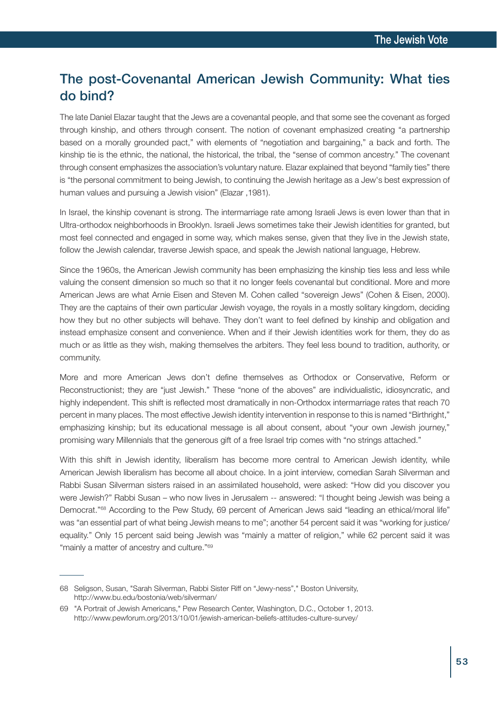# The post-Covenantal American Jewish Community: What ties do bind?

The late Daniel Elazar taught that the Jews are a covenantal people, and that some see the covenant as forged through kinship, and others through consent. The notion of covenant emphasized creating "a partnership based on a morally grounded pact," with elements of "negotiation and bargaining," a back and forth. The kinship tie is the ethnic, the national, the historical, the tribal, the "sense of common ancestry." The covenant through consent emphasizes the association's voluntary nature. Elazar explained that beyond "family ties" there is "the personal commitment to being Jewish, to continuing the Jewish heritage as a Jew's best expression of human values and pursuing a Jewish vision" (Elazar ,1981).

In Israel, the kinship covenant is strong. The intermarriage rate among Israeli Jews is even lower than that in Ultra-orthodox neighborhoods in Brooklyn. Israeli Jews sometimes take their Jewish identities for granted, but most feel connected and engaged in some way, which makes sense, given that they live in the Jewish state, follow the Jewish calendar, traverse Jewish space, and speak the Jewish national language, Hebrew.

Since the 1960s, the American Jewish community has been emphasizing the kinship ties less and less while valuing the consent dimension so much so that it no longer feels covenantal but conditional. More and more American Jews are what Arnie Eisen and Steven M. Cohen called "sovereign Jews" (Cohen & Eisen, 2000). They are the captains of their own particular Jewish voyage, the royals in a mostly solitary kingdom, deciding how they but no other subjects will behave. They don't want to feel defined by kinship and obligation and instead emphasize consent and convenience. When and if their Jewish identities work for them, they do as much or as little as they wish, making themselves the arbiters. They feel less bound to tradition, authority, or community.

More and more American Jews don't define themselves as Orthodox or Conservative, Reform or Reconstructionist; they are "just Jewish." These "none of the aboves" are individualistic, idiosyncratic, and highly independent. This shift is reflected most dramatically in non-Orthodox intermarriage rates that reach 70 percent in many places. The most effective Jewish identity intervention in response to this is named "Birthright," emphasizing kinship; but its educational message is all about consent, about "your own Jewish journey," promising wary Millennials that the generous gift of a free Israel trip comes with "no strings attached."

With this shift in Jewish identity, liberalism has become more central to American Jewish identity, while American Jewish liberalism has become all about choice. In a joint interview, comedian Sarah Silverman and Rabbi Susan Silverman sisters raised in an assimilated household, were asked: "How did you discover you were Jewish?" Rabbi Susan – who now lives in Jerusalem -- answered: "I thought being Jewish was being a Democrat."68 According to the Pew Study, 69 percent of American Jews said "leading an ethical/moral life" was "an essential part of what being Jewish means to me"; another 54 percent said it was "working for justice/ equality." Only 15 percent said being Jewish was "mainly a matter of religion," while 62 percent said it was "mainly a matter of ancestry and culture."<sup>69</sup>

<sup>68</sup> Seligson, Susan, "Sarah Silverman, Rabbi Sister Riff on "Jewy-ness"," Boston University, http://www.bu.edu/bostonia/web/silverman/

<sup>69</sup> "A Portrait of Jewish Americans," Pew Research Center, Washington, D.C., October 1, 2013. http://www.pewforum.org/2013/10/01/jewish-american-beliefs-attitudes-culture-survey/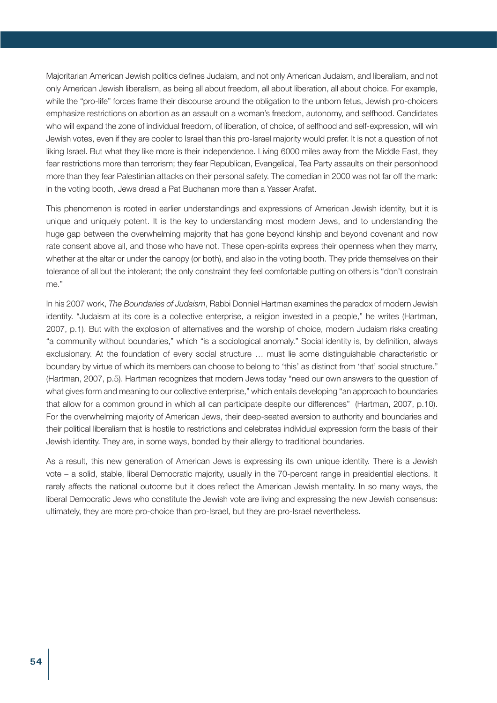Majoritarian American Jewish politics defines Judaism, and not only American Judaism, and liberalism, and not only American Jewish liberalism, as being all about freedom, all about liberation, all about choice. For example, while the "pro-life" forces frame their discourse around the obligation to the unborn fetus, Jewish pro-choicers emphasize restrictions on abortion as an assault on a woman's freedom, autonomy, and selfhood. Candidates who will expand the zone of individual freedom, of liberation, of choice, of selfhood and self-expression, will win Jewish votes, even if they are cooler to Israel than this pro-Israel majority would prefer. It is not a question of not liking Israel. But what they like more is their independence. Living 6000 miles away from the Middle East, they fear restrictions more than terrorism; they fear Republican, Evangelical, Tea Party assaults on their personhood more than they fear Palestinian attacks on their personal safety. The comedian in 2000 was not far off the mark: in the voting booth, Jews dread a Pat Buchanan more than a Yasser Arafat.

This phenomenon is rooted in earlier understandings and expressions of American Jewish identity, but it is unique and uniquely potent. It is the key to understanding most modern Jews, and to understanding the huge gap between the overwhelming majority that has gone beyond kinship and beyond covenant and now rate consent above all, and those who have not. These open-spirits express their openness when they marry, whether at the altar or under the canopy (or both), and also in the voting booth. They pride themselves on their tolerance of all but the intolerant; the only constraint they feel comfortable putting on others is "don't constrain me."

In his 2007 work, *The Boundaries of Judaism*, Rabbi Donniel Hartman examines the paradox of modern Jewish identity. "Judaism at its core is a collective enterprise, a religion invested in a people," he writes (Hartman, 2007, p.1). But with the explosion of alternatives and the worship of choice, modern Judaism risks creating "a community without boundaries," which "is a sociological anomaly." Social identity is, by definition, always exclusionary. At the foundation of every social structure … must lie some distinguishable characteristic or boundary by virtue of which its members can choose to belong to 'this' as distinct from 'that' social structure." (Hartman, 2007, p.5). Hartman recognizes that modern Jews today "need our own answers to the question of what gives form and meaning to our collective enterprise," which entails developing "an approach to boundaries that allow for a common ground in which all can participate despite our differences" (Hartman, 2007, p.10). For the overwhelming majority of American Jews, their deep-seated aversion to authority and boundaries and their political liberalism that is hostile to restrictions and celebrates individual expression form the basis of their Jewish identity. They are, in some ways, bonded by their allergy to traditional boundaries.

As a result, this new generation of American Jews is expressing its own unique identity. There is a Jewish vote – a solid, stable, liberal Democratic majority, usually in the 70-percent range in presidential elections. It rarely affects the national outcome but it does reflect the American Jewish mentality. In so many ways, the liberal Democratic Jews who constitute the Jewish vote are living and expressing the new Jewish consensus: ultimately, they are more pro-choice than pro-Israel, but they are pro-Israel nevertheless.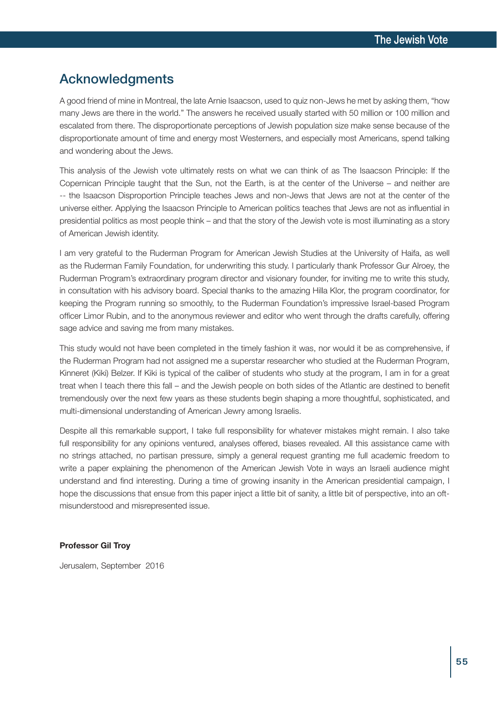### Acknowledgments

A good friend of mine in Montreal, the late Arnie Isaacson, used to quiz non-Jews he met by asking them, "how many Jews are there in the world." The answers he received usually started with 50 million or 100 million and escalated from there. The disproportionate perceptions of Jewish population size make sense because of the disproportionate amount of time and energy most Westerners, and especially most Americans, spend talking and wondering about the Jews.

This analysis of the Jewish vote ultimately rests on what we can think of as The Isaacson Principle: If the Copernican Principle taught that the Sun, not the Earth, is at the center of the Universe – and neither are -- the Isaacson Disproportion Principle teaches Jews and non-Jews that Jews are not at the center of the universe either. Applying the Isaacson Principle to American politics teaches that Jews are not as influential in presidential politics as most people think – and that the story of the Jewish vote is most illuminating as a story of American Jewish identity.

I am very grateful to the Ruderman Program for American Jewish Studies at the University of Haifa, as well as the Ruderman Family Foundation, for underwriting this study. I particularly thank Professor Gur Alroey, the Ruderman Program's extraordinary program director and visionary founder, for inviting me to write this study, in consultation with his advisory board. Special thanks to the amazing Hilla Klor, the program coordinator, for keeping the Program running so smoothly, to the Ruderman Foundation's impressive Israel-based Program officer Limor Rubin, and to the anonymous reviewer and editor who went through the drafts carefully, offering sage advice and saving me from many mistakes.

This study would not have been completed in the timely fashion it was, nor would it be as comprehensive, if the Ruderman Program had not assigned me a superstar researcher who studied at the Ruderman Program, Kinneret (Kiki) Belzer. If Kiki is typical of the caliber of students who study at the program, I am in for a great treat when I teach there this fall – and the Jewish people on both sides of the Atlantic are destined to benefit tremendously over the next few years as these students begin shaping a more thoughtful, sophisticated, and multi-dimensional understanding of American Jewry among Israelis.

Despite all this remarkable support, I take full responsibility for whatever mistakes might remain. I also take full responsibility for any opinions ventured, analyses offered, biases revealed. All this assistance came with no strings attached, no partisan pressure, simply a general request granting me full academic freedom to write a paper explaining the phenomenon of the American Jewish Vote in ways an Israeli audience might understand and find interesting. During a time of growing insanity in the American presidential campaign, I hope the discussions that ensue from this paper inject a little bit of sanity, a little bit of perspective, into an oftmisunderstood and misrepresented issue.

#### **Professor Gil Troy**

Jerusalem, September 2016